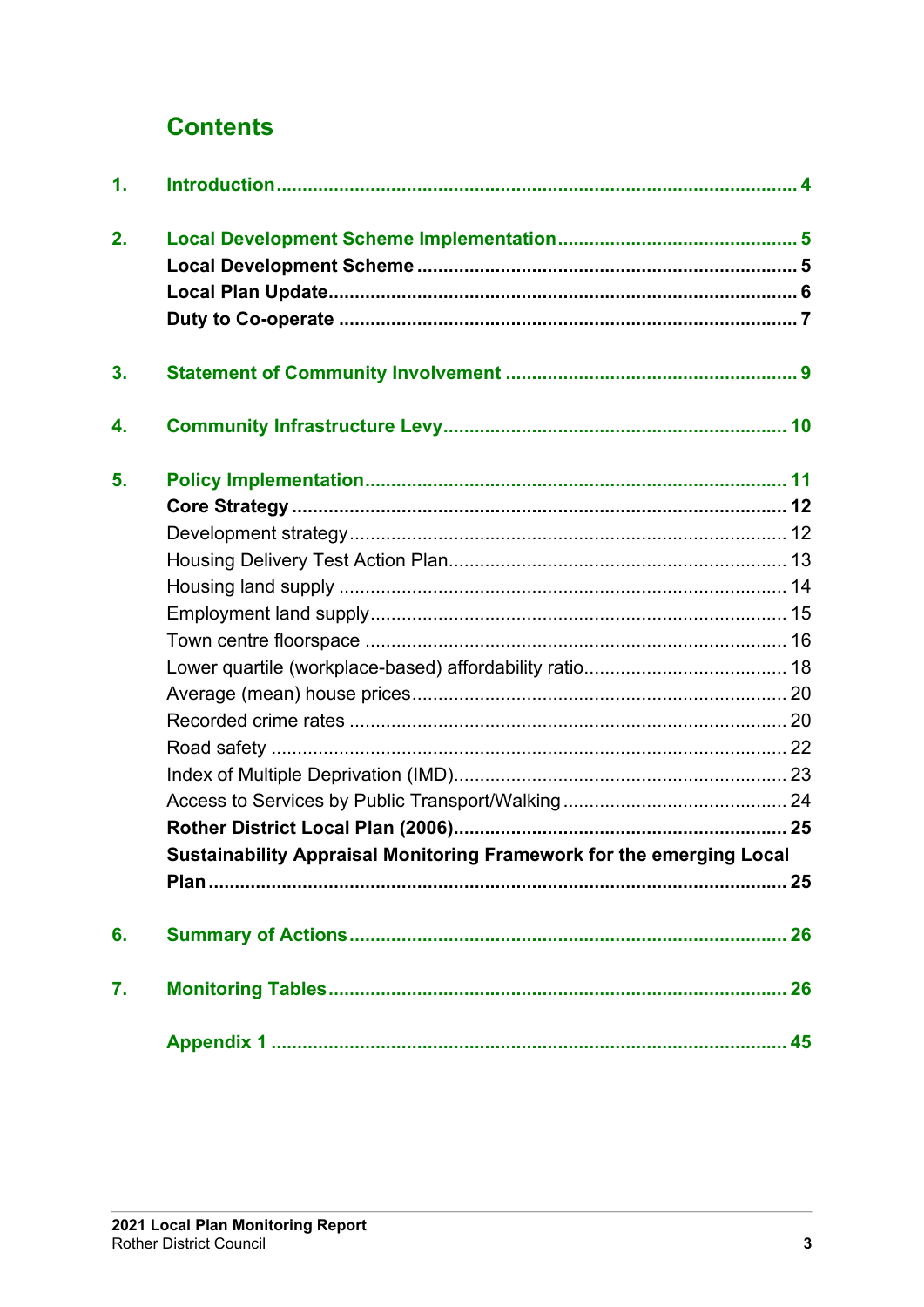## **Contents**

| $\mathbf{1}$ . |                                                                      |  |
|----------------|----------------------------------------------------------------------|--|
| 2.             |                                                                      |  |
|                |                                                                      |  |
|                |                                                                      |  |
| 3.             |                                                                      |  |
| 4.             |                                                                      |  |
| 5.             |                                                                      |  |
|                |                                                                      |  |
|                |                                                                      |  |
|                |                                                                      |  |
|                |                                                                      |  |
|                |                                                                      |  |
|                |                                                                      |  |
|                |                                                                      |  |
|                |                                                                      |  |
|                |                                                                      |  |
|                |                                                                      |  |
|                |                                                                      |  |
|                |                                                                      |  |
|                |                                                                      |  |
|                | Sustainability Appraisal Monitoring Framework for the emerging Local |  |
|                |                                                                      |  |
| 6.             |                                                                      |  |
| 7.             |                                                                      |  |
|                |                                                                      |  |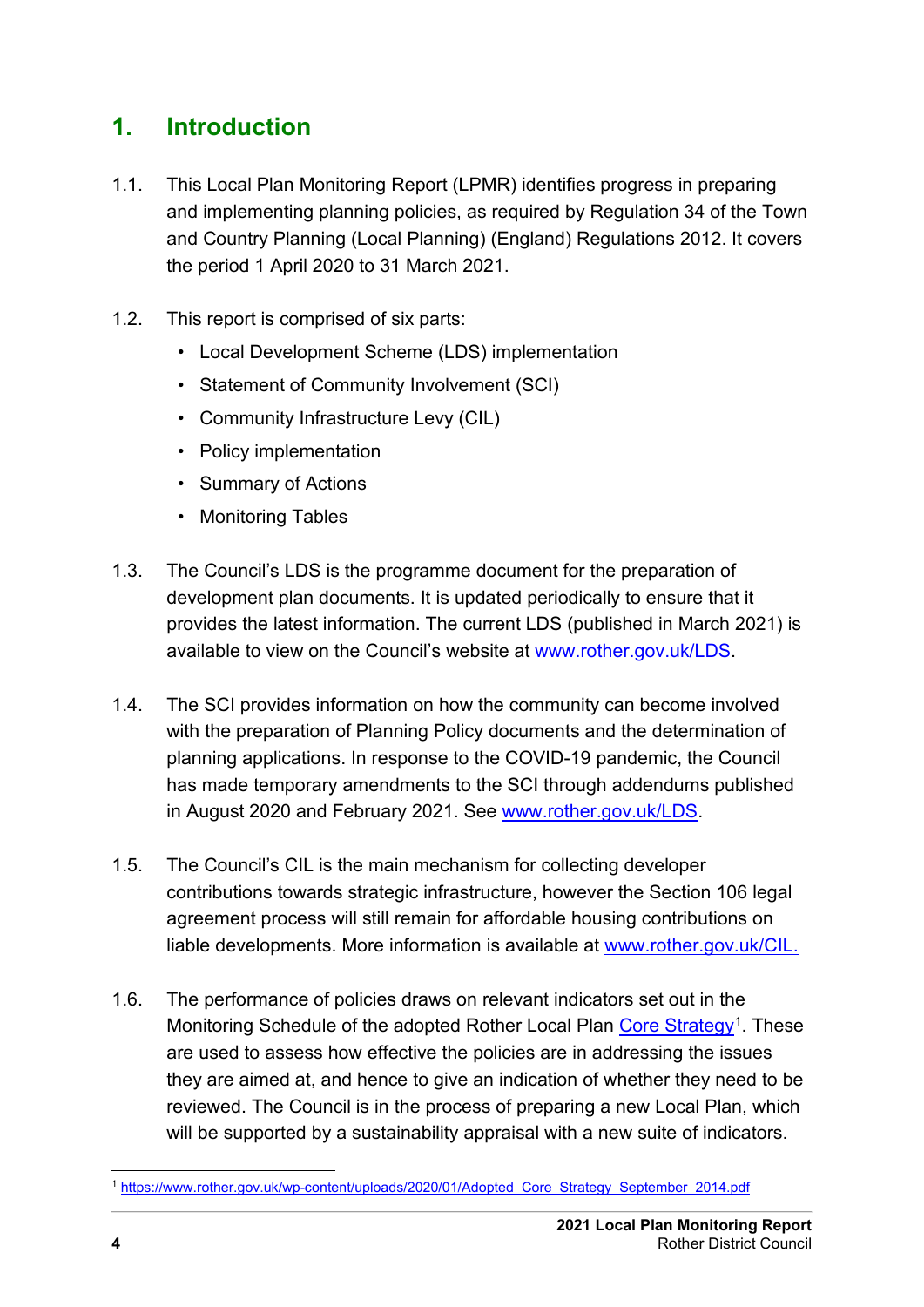## <span id="page-1-0"></span>**1. Introduction**

- 1.1. This Local Plan Monitoring Report (LPMR) identifies progress in preparing and implementing planning policies, as required by Regulation 34 of the Town and Country Planning (Local Planning) (England) Regulations 2012. It covers the period 1 April 2020 to 31 March 2021.
- 1.2. This report is comprised of six parts:
	- Local Development Scheme (LDS) implementation
	- Statement of Community Involvement (SCI)
	- Community Infrastructure Levy (CIL)
	- Policy implementation
	- Summary of Actions
	- Monitoring Tables
- 1.3. The Council's LDS is the programme document for the preparation of development plan documents. It is updated periodically to ensure that it provides the latest information. The current LDS (published in March 2021) is available to view on the Council's website at [www.rother.gov.uk/LDS.](http://www.rother.gov.uk/LDS)
- 1.4. The SCI provides information on how the community can become involved with the preparation of Planning Policy documents and the determination of planning applications. In response to the COVID-19 pandemic, the Council has made temporary amendments to the SCI through addendums published in August 2020 and February 2021. See [www.rother.gov.uk/LDS.](http://www.rother.gov.uk/LDS)
- 1.5. The Council's CIL is the main mechanism for collecting developer contributions towards strategic infrastructure, however the Section 106 legal agreement process will still remain for affordable housing contributions on liable developments. More information is available at [www.rother.gov.uk/CIL.](http://www.rother.gov.uk/CIL)
- 1.6. The performance of policies draws on relevant indicators set out in the Monitoring Schedule of the adopted Rother Local Plan [Core Strategy](https://www.rother.gov.uk/wp-content/uploads/2020/01/Adopted_Core_Strategy_September_2014.pdf)<sup>1</sup>. These are used to assess how effective the policies are in addressing the issues they are aimed at, and hence to give an indication of whether they need to be reviewed. The Council is in the process of preparing a new Local Plan, which will be supported by a sustainability appraisal with a new suite of indicators.

<span id="page-1-1"></span><sup>1</sup> [https://www.rother.gov.uk/wp-content/uploads/2020/01/Adopted\\_Core\\_Strategy\\_September\\_2014.pdf](https://www.rother.gov.uk/wp-content/uploads/2020/01/Adopted_Core_Strategy_September_2014.pdf)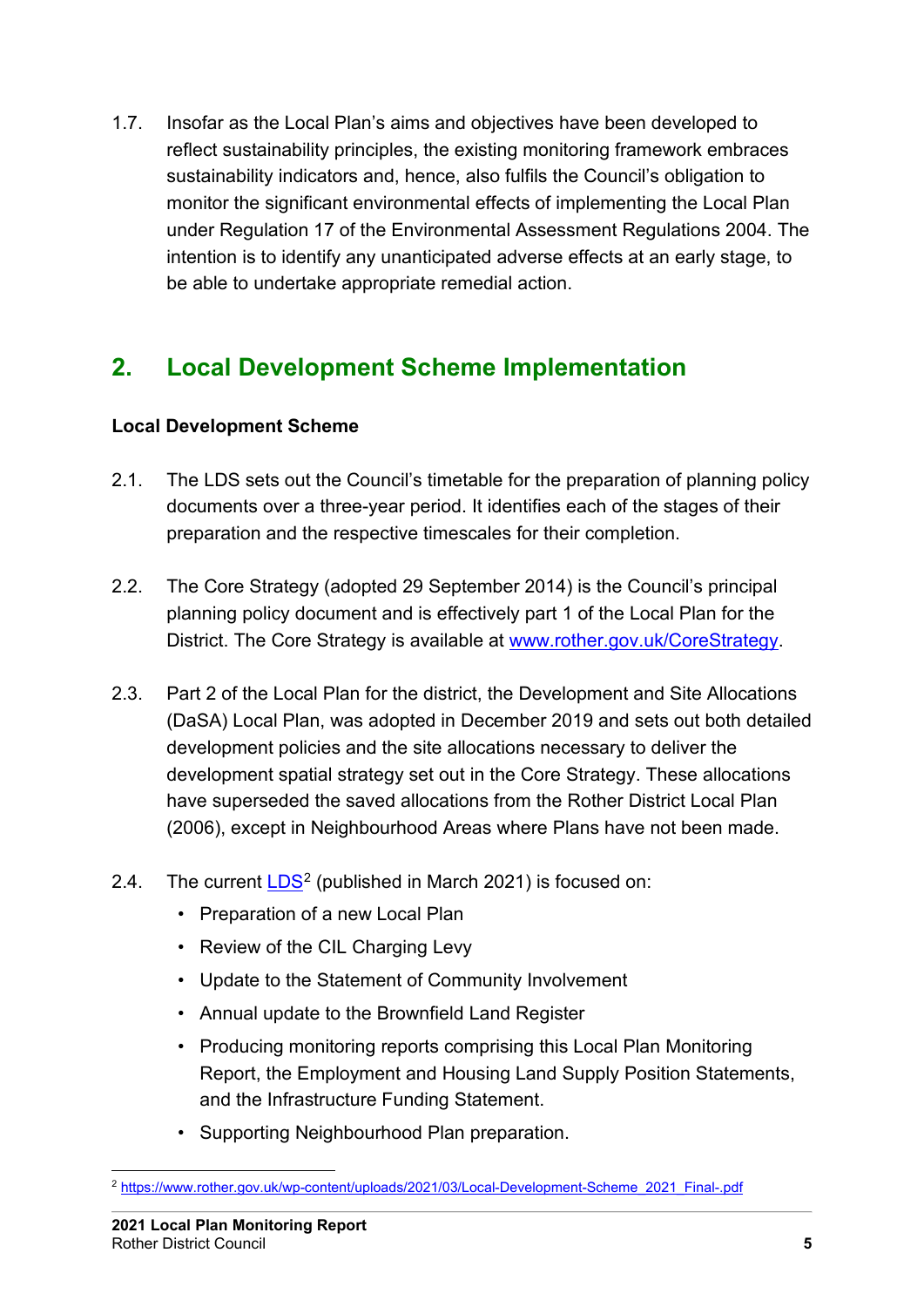1.7. Insofar as the Local Plan's aims and objectives have been developed to reflect sustainability principles, the existing monitoring framework embraces sustainability indicators and, hence, also fulfils the Council's obligation to monitor the significant environmental effects of implementing the Local Plan under Regulation 17 of the Environmental Assessment Regulations 2004. The intention is to identify any unanticipated adverse effects at an early stage, to be able to undertake appropriate remedial action.

## <span id="page-2-0"></span>**2. Local Development Scheme Implementation**

#### <span id="page-2-1"></span>**Local Development Scheme**

- 2.1. The LDS sets out the Council's timetable for the preparation of planning policy documents over a three-year period. It identifies each of the stages of their preparation and the respective timescales for their completion.
- 2.2. The Core Strategy (adopted 29 September 2014) is the Council's principal planning policy document and is effectively part 1 of the Local Plan for the District. The Core Strategy is available at [www.rother.gov.uk/CoreStrategy.](http://www.rother.gov.uk/CoreStrategy)
- 2.3. Part 2 of the Local Plan for the district, the Development and Site Allocations (DaSA) Local Plan, was adopted in December 2019 and sets out both detailed development policies and the site allocations necessary to deliver the development spatial strategy set out in the Core Strategy. These allocations have superseded the saved allocations from the Rother District Local Plan (2006), except in Neighbourhood Areas where Plans have not been made.
- [2](#page-2-2).4. The current  $LDS<sup>2</sup>$  $LDS<sup>2</sup>$  (published in March 2021) is focused on:
	- Preparation of a new Local Plan
	- Review of the CIL Charging Levy
	- Update to the Statement of Community Involvement
	- Annual update to the Brownfield Land Register
	- Producing monitoring reports comprising this Local Plan Monitoring Report, the Employment and Housing Land Supply Position Statements, and the Infrastructure Funding Statement.
	- Supporting Neighbourhood Plan preparation.

<span id="page-2-2"></span><sup>2</sup> [https://www.rother.gov.uk/wp-content/uploads/2021/03/Local-Development-Scheme\\_2021\\_Final-.pdf](https://www.rother.gov.uk/wp-content/uploads/2021/03/Local-Development-Scheme_2021_Final-.pdf)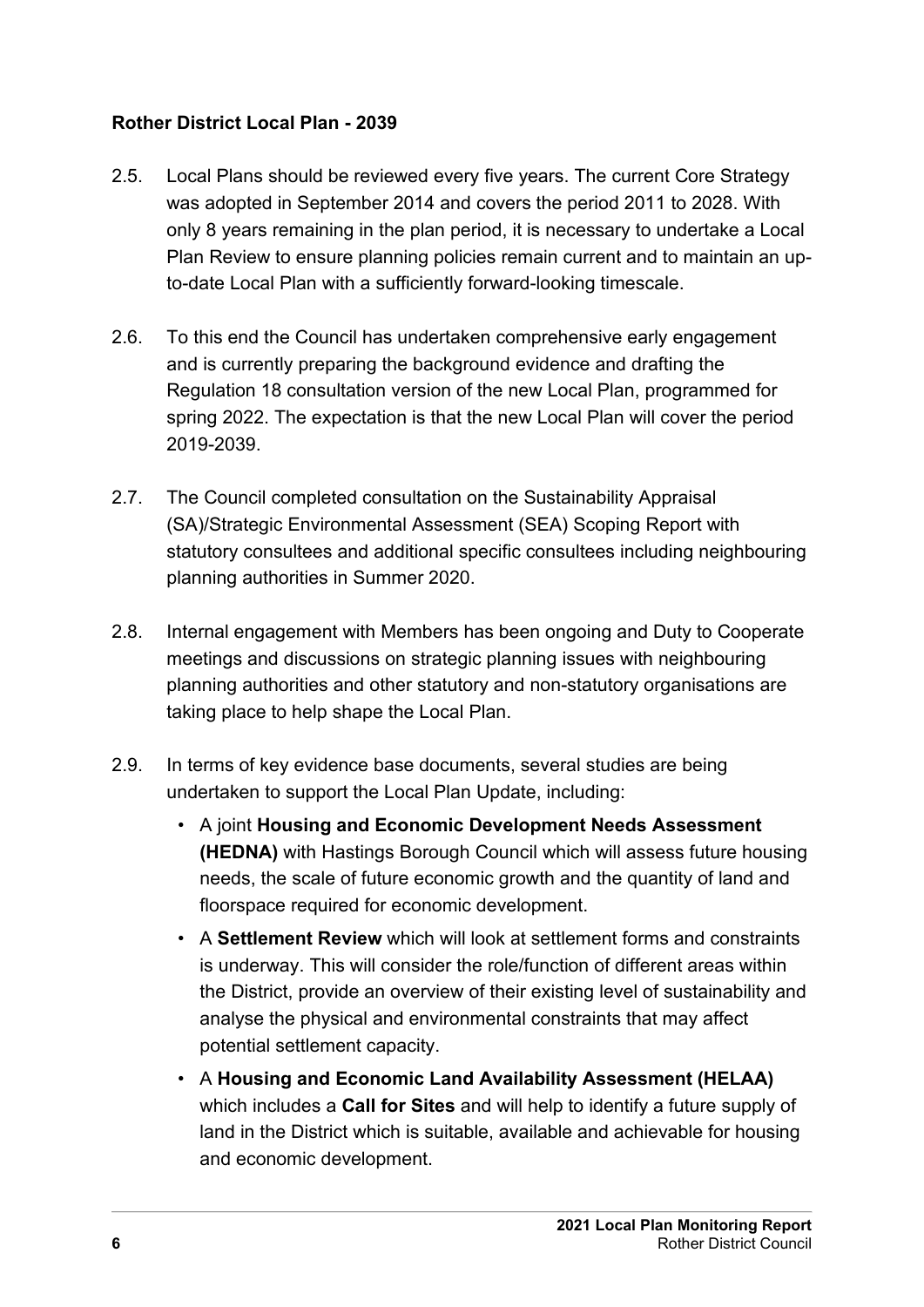#### <span id="page-3-0"></span>**Rother District Local Plan - 2039**

- 2.5. Local Plans should be reviewed every five years. The current Core Strategy was adopted in September 2014 and covers the period 2011 to 2028. With only 8 years remaining in the plan period, it is necessary to undertake a Local Plan Review to ensure planning policies remain current and to maintain an upto-date Local Plan with a sufficiently forward-looking timescale.
- 2.6. To this end the Council has undertaken comprehensive early engagement and is currently preparing the background evidence and drafting the Regulation 18 consultation version of the new Local Plan, programmed for spring 2022. The expectation is that the new Local Plan will cover the period 2019-2039.
- 2.7. The Council completed consultation on the Sustainability Appraisal (SA)/Strategic Environmental Assessment (SEA) Scoping Report with statutory consultees and additional specific consultees including neighbouring planning authorities in Summer 2020.
- 2.8. Internal engagement with Members has been ongoing and Duty to Cooperate meetings and discussions on strategic planning issues with neighbouring planning authorities and other statutory and non-statutory organisations are taking place to help shape the Local Plan.
- 2.9. In terms of key evidence base documents, several studies are being undertaken to support the Local Plan Update, including:
	- A joint **Housing and Economic Development Needs Assessment (HEDNA)** with Hastings Borough Council which will assess future housing needs, the scale of future economic growth and the quantity of land and floorspace required for economic development.
	- A **Settlement Review** which will look at settlement forms and constraints is underway. This will consider the role/function of different areas within the District, provide an overview of their existing level of sustainability and analyse the physical and environmental constraints that may affect potential settlement capacity.
	- A **Housing and Economic Land Availability Assessment (HELAA)** which includes a **Call for Sites** and will help to identify a future supply of land in the District which is suitable, available and achievable for housing and economic development.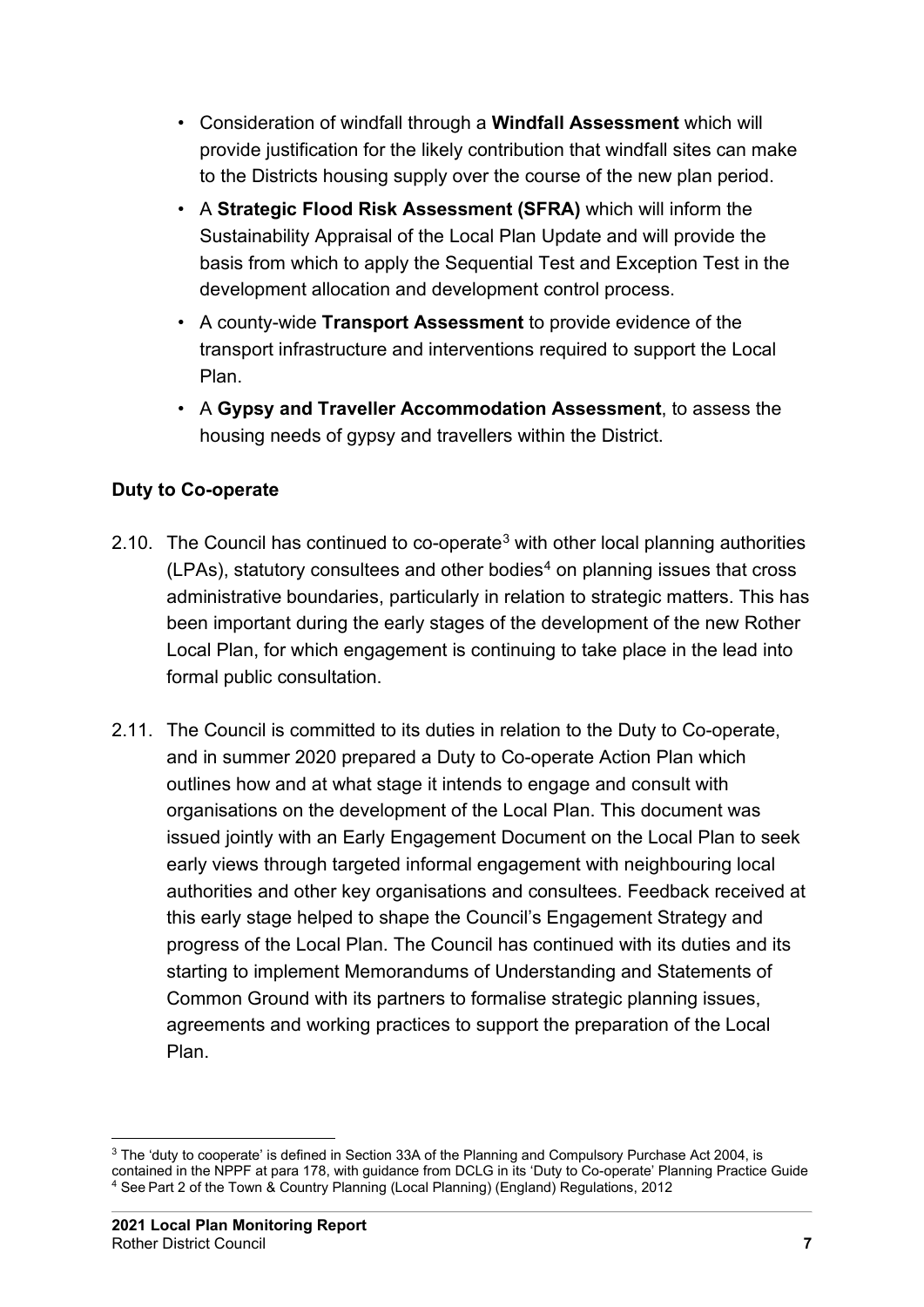- Consideration of windfall through a **Windfall Assessment** which will provide justification for the likely contribution that windfall sites can make to the Districts housing supply over the course of the new plan period.
- A **Strategic Flood Risk Assessment (SFRA)** which will inform the Sustainability Appraisal of the Local Plan Update and will provide the basis from which to apply the Sequential Test and Exception Test in the development allocation and development control process.
- A county-wide **Transport Assessment** to provide evidence of the transport infrastructure and interventions required to support the Local Plan.
- A **Gypsy and Traveller Accommodation Assessment**, to assess the housing needs of gypsy and travellers within the District.

#### <span id="page-4-0"></span>**Duty to Co-operate**

- 2.10. The Council has continued to co-operate<sup>[3](#page-4-1)</sup> with other local planning authorities  $(LPAs)$ , statutory consultees and other bodies<sup>[4](#page-4-2)</sup> on planning issues that cross administrative boundaries, particularly in relation to strategic matters. This has been important during the early stages of the development of the new Rother Local Plan, for which engagement is continuing to take place in the lead into formal public consultation.
- 2.11. The Council is committed to its duties in relation to the Duty to Co-operate, and in summer 2020 prepared a Duty to Co-operate Action Plan which outlines how and at what stage it intends to engage and consult with organisations on the development of the Local Plan. This document was issued jointly with an Early Engagement Document on the Local Plan to seek early views through targeted informal engagement with neighbouring local authorities and other key organisations and consultees. Feedback received at this early stage helped to shape the Council's Engagement Strategy and progress of the Local Plan. The Council has continued with its duties and its starting to implement Memorandums of Understanding and Statements of Common Ground with its partners to formalise strategic planning issues, agreements and working practices to support the preparation of the Local Plan.

<span id="page-4-2"></span><span id="page-4-1"></span><sup>&</sup>lt;sup>3</sup> The 'duty to cooperate' is defined in Section 33A of the Planning and Compulsory Purchase Act 2004, is contained in the NPPF at para 178, with guidance from DCLG in its 'Duty to Co-operate' Planning Practice Guide <sup>4</sup> See Part 2 of the Town & Country Planning (Local Planning) (England) Regulations, 2012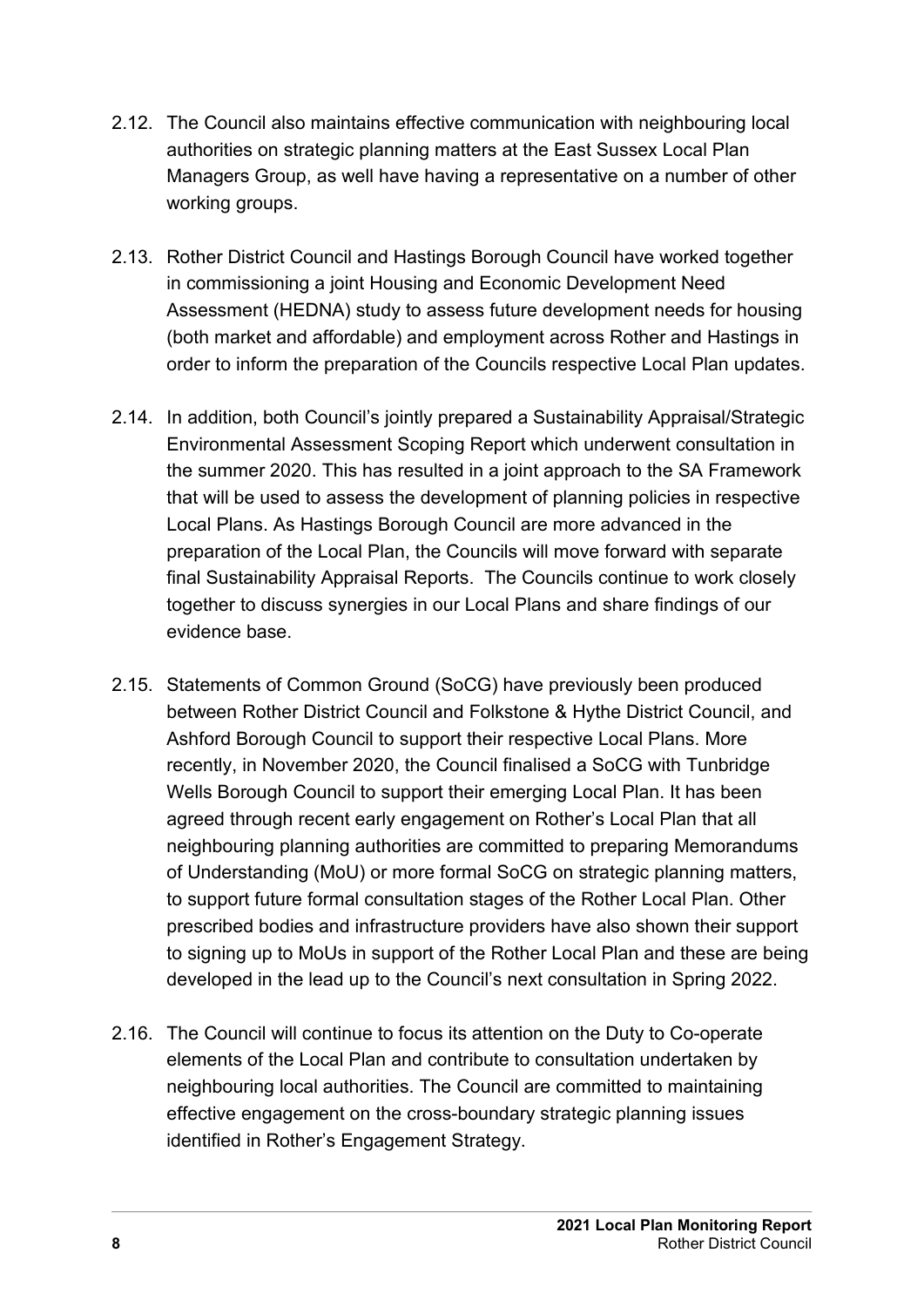- 2.12. The Council also maintains effective communication with neighbouring local authorities on strategic planning matters at the East Sussex Local Plan Managers Group, as well have having a representative on a number of other working groups.
- 2.13. Rother District Council and Hastings Borough Council have worked together in commissioning a joint Housing and Economic Development Need Assessment (HEDNA) study to assess future development needs for housing (both market and affordable) and employment across Rother and Hastings in order to inform the preparation of the Councils respective Local Plan updates.
- 2.14. In addition, both Council's jointly prepared a Sustainability Appraisal/Strategic Environmental Assessment Scoping Report which underwent consultation in the summer 2020. This has resulted in a joint approach to the SA Framework that will be used to assess the development of planning policies in respective Local Plans. As Hastings Borough Council are more advanced in the preparation of the Local Plan, the Councils will move forward with separate final Sustainability Appraisal Reports. The Councils continue to work closely together to discuss synergies in our Local Plans and share findings of our evidence base.
- 2.15. Statements of Common Ground (SoCG) have previously been produced between Rother District Council and Folkstone & Hythe District Council, and Ashford Borough Council to support their respective Local Plans. More recently, in November 2020, the Council finalised a SoCG with Tunbridge Wells Borough Council to support their emerging Local Plan. It has been agreed through recent early engagement on Rother's Local Plan that all neighbouring planning authorities are committed to preparing Memorandums of Understanding (MoU) or more formal SoCG on strategic planning matters, to support future formal consultation stages of the Rother Local Plan. Other prescribed bodies and infrastructure providers have also shown their support to signing up to MoUs in support of the Rother Local Plan and these are being developed in the lead up to the Council's next consultation in Spring 2022.
- 2.16. The Council will continue to focus its attention on the Duty to Co-operate elements of the Local Plan and contribute to consultation undertaken by neighbouring local authorities. The Council are committed to maintaining effective engagement on the cross-boundary strategic planning issues identified in Rother's Engagement Strategy.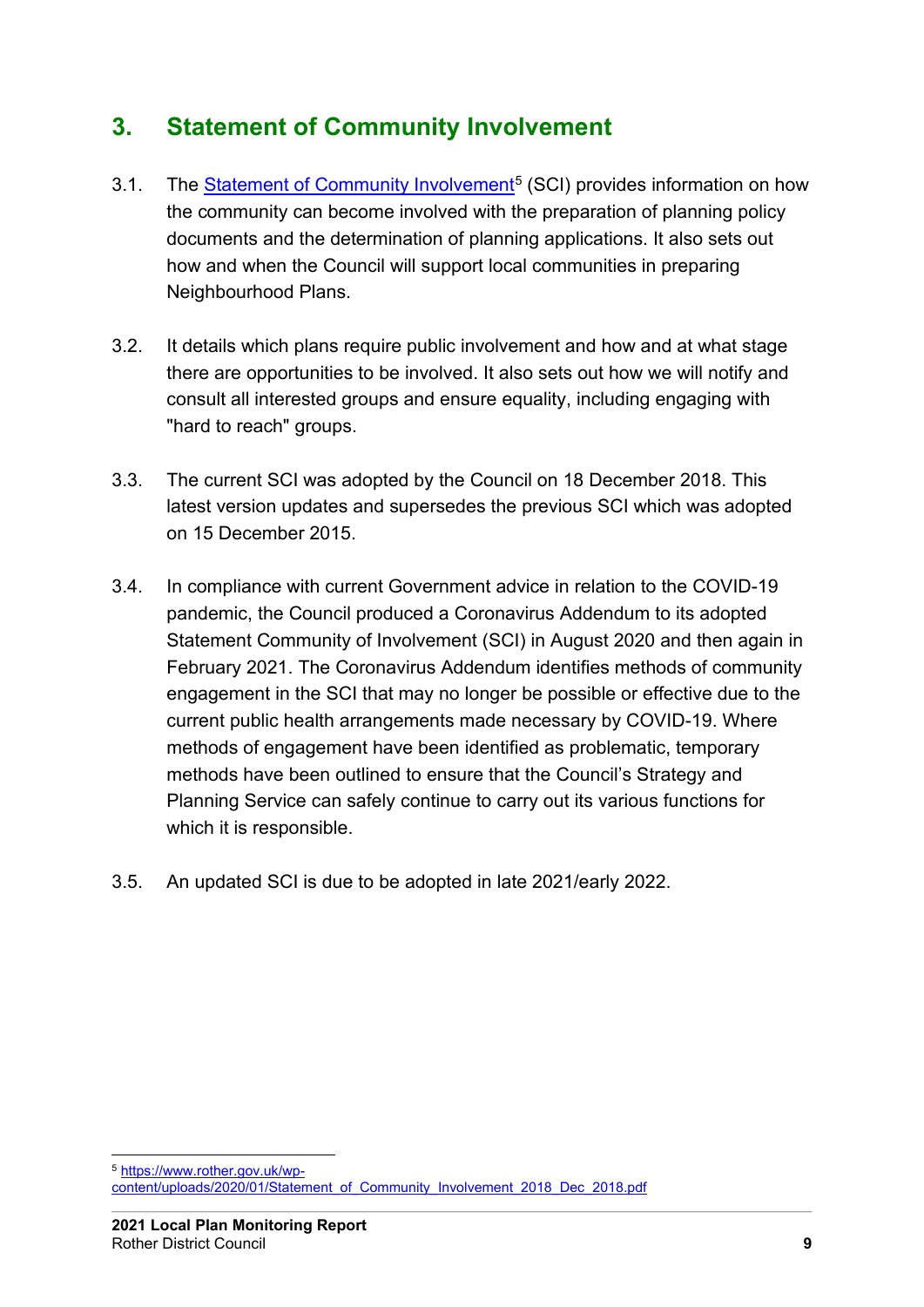## <span id="page-6-0"></span>**3. Statement of Community Involvement**

- 3.1. The [Statement of Community Involvement](https://www.rother.gov.uk/wp-content/uploads/2020/01/Statement_of_Community_Involvement_2018_Dec_2018.pdf)<sup>[5](#page-6-1)</sup> (SCI) provides information on how the community can become involved with the preparation of planning policy documents and the determination of planning applications. It also sets out how and when the Council will support local communities in preparing Neighbourhood Plans.
- 3.2. It details which plans require public involvement and how and at what stage there are opportunities to be involved. It also sets out how we will notify and consult all interested groups and ensure equality, including engaging with "hard to reach" groups.
- 3.3. The current SCI was adopted by the Council on 18 December 2018. This latest version updates and supersedes the previous SCI which was adopted on 15 December 2015.
- 3.4. In compliance with current Government advice in relation to the COVID-19 pandemic, the Council produced a Coronavirus Addendum to its adopted Statement Community of Involvement (SCI) in August 2020 and then again in February 2021. The Coronavirus Addendum identifies methods of community engagement in the SCI that may no longer be possible or effective due to the current public health arrangements made necessary by COVID-19. Where methods of engagement have been identified as problematic, temporary methods have been outlined to ensure that the Council's Strategy and Planning Service can safely continue to carry out its various functions for which it is responsible.
- 3.5. An updated SCI is due to be adopted in late 2021/early 2022.

<span id="page-6-1"></span><sup>5</sup> [https://www.rother.gov.uk/wp](https://www.rother.gov.uk/wp-content/uploads/2020/01/Statement_of_Community_Involvement_2018_Dec_2018.pdf)[content/uploads/2020/01/Statement\\_of\\_Community\\_Involvement\\_2018\\_Dec\\_2018.pdf](https://www.rother.gov.uk/wp-content/uploads/2020/01/Statement_of_Community_Involvement_2018_Dec_2018.pdf)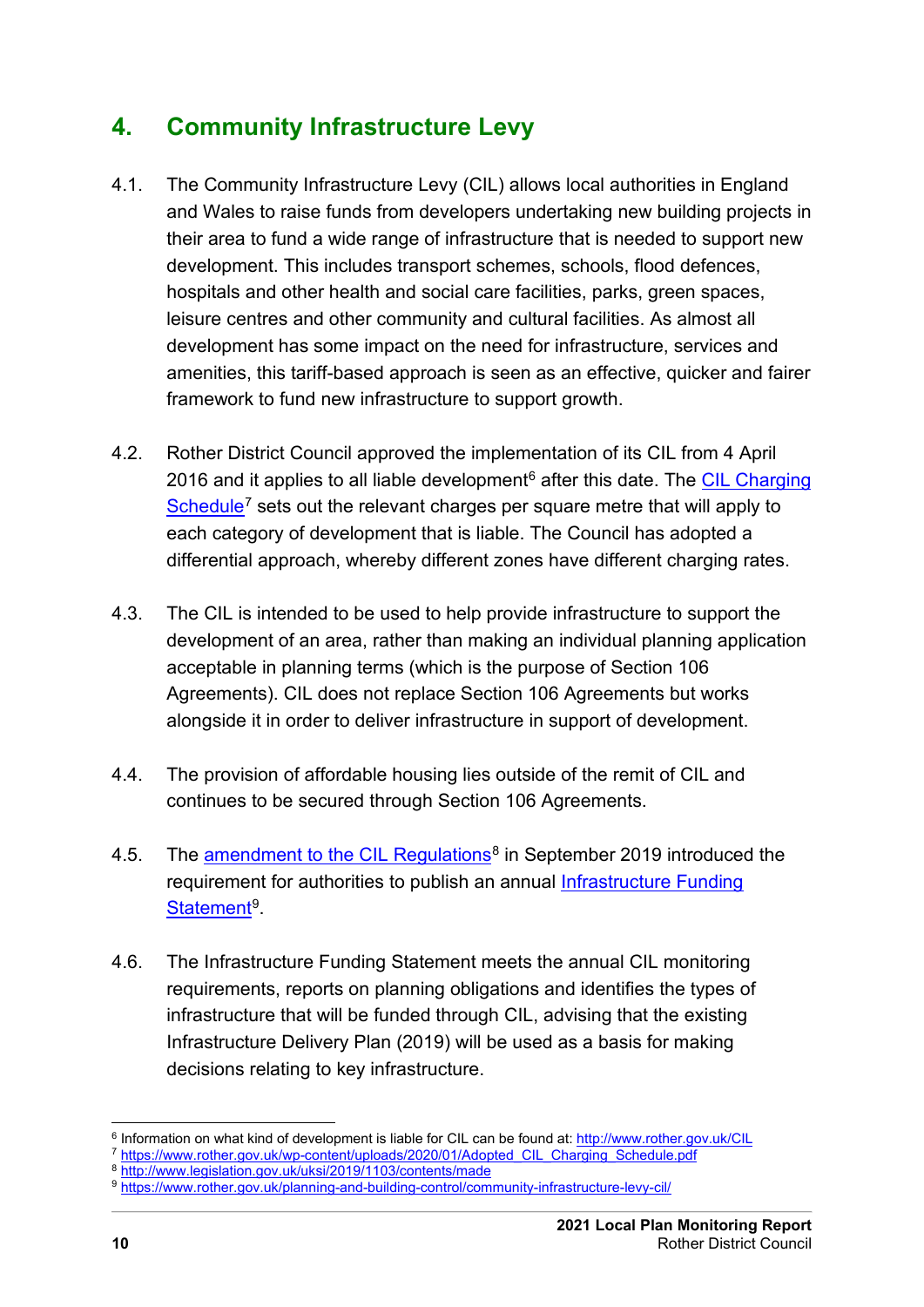## <span id="page-7-0"></span>**4. Community Infrastructure Levy**

- 4.1. The Community Infrastructure Levy (CIL) allows local authorities in England and Wales to raise funds from developers undertaking new building projects in their area to fund a wide range of infrastructure that is needed to support new development. This includes transport schemes, schools, flood defences, hospitals and other health and social care facilities, parks, green spaces, leisure centres and other community and cultural facilities. As almost all development has some impact on the need for infrastructure, services and amenities, this tariff-based approach is seen as an effective, quicker and fairer framework to fund new infrastructure to support growth.
- 4.2. Rother District Council approved the implementation of its CIL from 4 April 201[6](#page-7-1) and it applies to all liable development<sup>6</sup> after this date. The CIL Charging [Schedule](https://www.rother.gov.uk/wp-content/uploads/2020/01/Adopted_CIL_Charging_Schedule.pdf)<sup>[7](#page-7-2)</sup> sets out the relevant charges per square metre that will apply to each category of development that is liable. The Council has adopted a differential approach, whereby different zones have different charging rates.
- 4.3. The CIL is intended to be used to help provide infrastructure to support the development of an area, rather than making an individual planning application acceptable in planning terms (which is the purpose of Section 106 Agreements). CIL does not replace Section 106 Agreements but works alongside it in order to deliver infrastructure in support of development.
- 4.4. The provision of affordable housing lies outside of the remit of CIL and continues to be secured through Section 106 Agreements.
- 4.5. The [amendment to the CIL Regulations](http://www.legislation.gov.uk/uksi/2019/1103/contents/made)<sup>[8](#page-7-3)</sup> in September 2019 introduced the requirement for authorities to publish an annual [Infrastructure Funding](https://www.rother.gov.uk/planning-and-building-control/community-infrastructure-levy-cil/)  [Statement](https://www.rother.gov.uk/planning-and-building-control/community-infrastructure-levy-cil/)<sup>[9](#page-7-4)</sup>.
- 4.6. The Infrastructure Funding Statement meets the annual CIL monitoring requirements, reports on planning obligations and identifies the types of infrastructure that will be funded through CIL, advising that the existing Infrastructure Delivery Plan (2019) will be used as a basis for making decisions relating to key infrastructure.

<span id="page-7-1"></span><sup>6</sup> Information on what kind of development is liable for CIL can be found at[: http://www.rother.gov.uk/CIL](http://www.rother.gov.uk/CIL) <sup>7</sup> [https://www.rother.gov.uk/wp-content/uploads/2020/01/Adopted\\_CIL\\_Charging\\_Schedule.pdf](https://www.rother.gov.uk/wp-content/uploads/2020/01/Adopted_CIL_Charging_Schedule.pdf)

<span id="page-7-2"></span><sup>8</sup> <http://www.legislation.gov.uk/uksi/2019/1103/contents/made>

<span id="page-7-4"></span><span id="page-7-3"></span><sup>9</sup> <https://www.rother.gov.uk/planning-and-building-control/community-infrastructure-levy-cil/>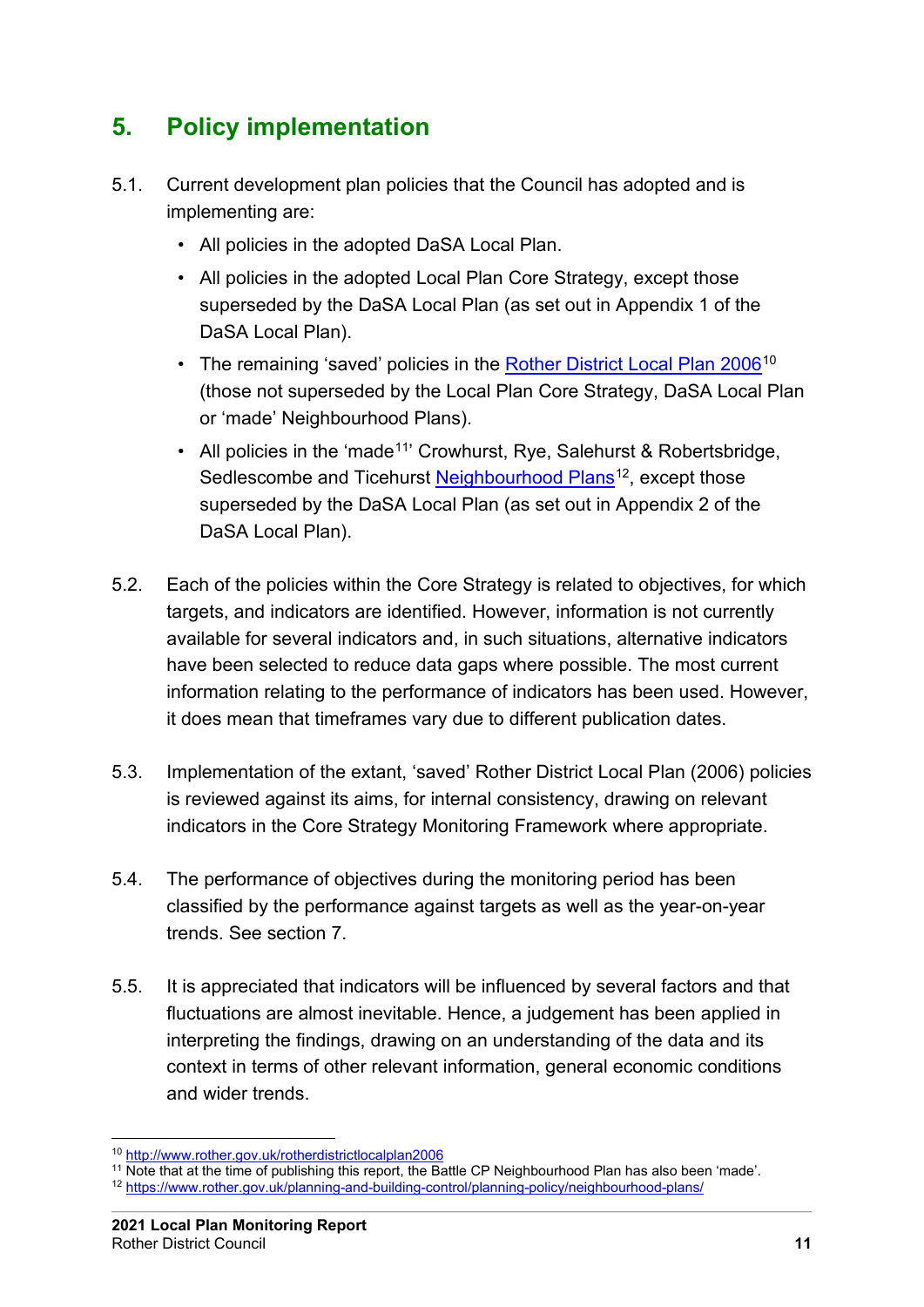## <span id="page-8-0"></span>**5. Policy implementation**

- 5.1. Current development plan policies that the Council has adopted and is implementing are:
	- All policies in the adopted DaSA Local Plan.
	- All policies in the adopted Local Plan Core Strategy, except those superseded by the DaSA Local Plan (as set out in Appendix 1 of the DaSA Local Plan).
	- The remaining 'saved' policies in the [Rother District Local Plan 2006](http://www.rother.gov.uk/rotherdistrictlocalplan2006)<sup>[10](#page-8-1)</sup> (those not superseded by the Local Plan Core Strategy, DaSA Local Plan or 'made' Neighbourhood Plans).
	- All policies in the 'made<sup>11</sup>' Crowhurst, Rye, Salehurst & Robertsbridge, Sedlescombe and Ticehurst [Neighbourhood Plans](https://www.rother.gov.uk/planning-and-building-control/planning-policy/neighbourhood-plans/)<sup>12</sup>, except those superseded by the DaSA Local Plan (as set out in Appendix 2 of the DaSA Local Plan).
- 5.2. Each of the policies within the Core Strategy is related to objectives, for which targets, and indicators are identified. However, information is not currently available for several indicators and, in such situations, alternative indicators have been selected to reduce data gaps where possible. The most current information relating to the performance of indicators has been used. However, it does mean that timeframes vary due to different publication dates.
- 5.3. Implementation of the extant, 'saved' Rother District Local Plan (2006) policies is reviewed against its aims, for internal consistency, drawing on relevant indicators in the Core Strategy Monitoring Framework where appropriate.
- 5.4. The performance of objectives during the monitoring period has been classified by the performance against targets as well as the year-on-year trends. See section 7.
- 5.5. It is appreciated that indicators will be influenced by several factors and that fluctuations are almost inevitable. Hence, a judgement has been applied in interpreting the findings, drawing on an understanding of the data and its context in terms of other relevant information, general economic conditions and wider trends.

<span id="page-8-1"></span><sup>10</sup> <http://www.rother.gov.uk/rotherdistrictlocalplan2006>

<span id="page-8-2"></span><sup>11</sup> Note that at the time of publishing this report, the Battle CP Neighbourhood Plan has also been 'made'.

<span id="page-8-3"></span><sup>12</sup> <https://www.rother.gov.uk/planning-and-building-control/planning-policy/neighbourhood-plans/>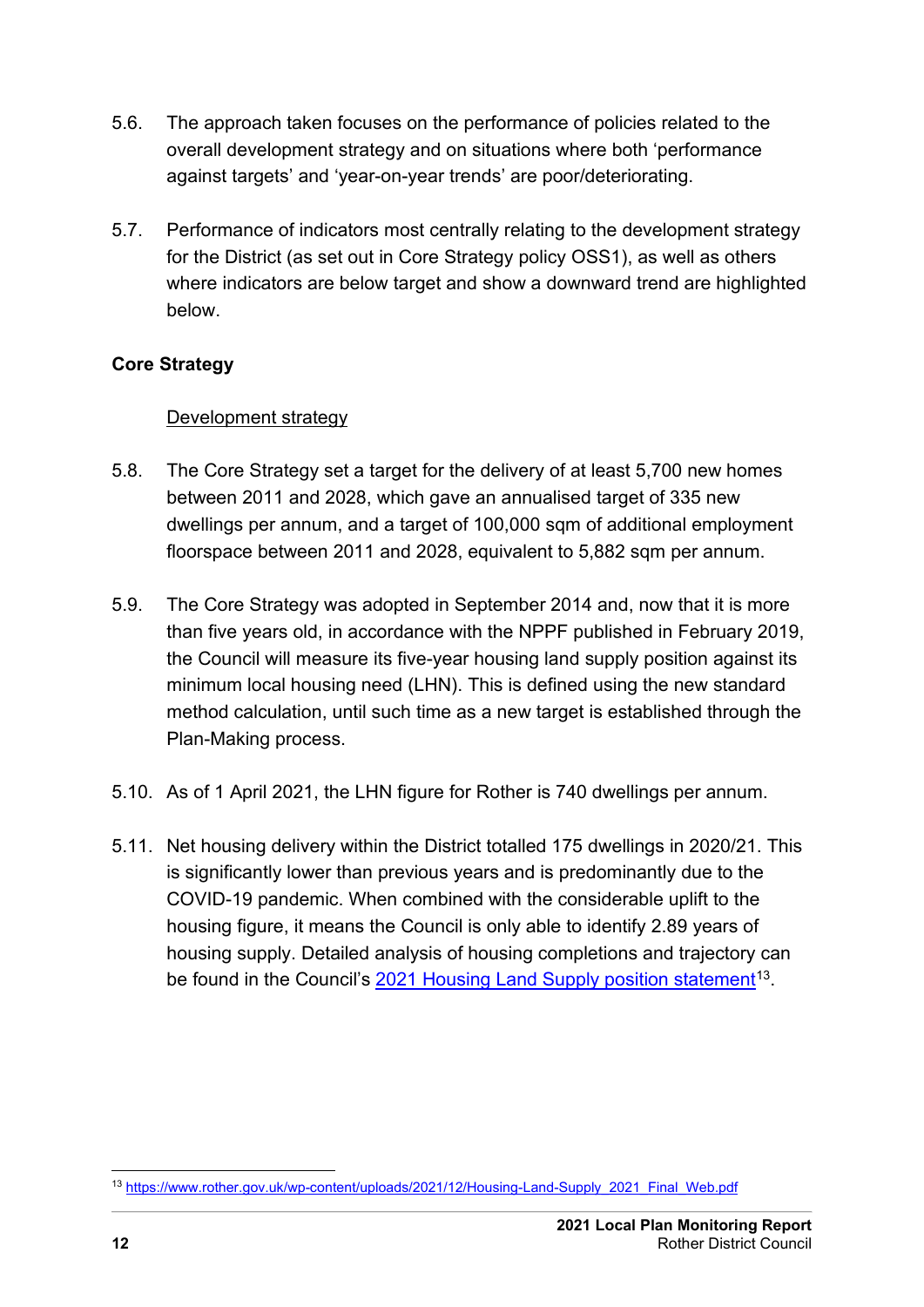- 5.6. The approach taken focuses on the performance of policies related to the overall development strategy and on situations where both 'performance against targets' and 'year-on-year trends' are poor/deteriorating.
- 5.7. Performance of indicators most centrally relating to the development strategy for the District (as set out in Core Strategy policy OSS1), as well as others where indicators are below target and show a downward trend are highlighted below.

#### <span id="page-9-1"></span><span id="page-9-0"></span>**Core Strategy**

#### Development strategy

- 5.8. The Core Strategy set a target for the delivery of at least 5,700 new homes between 2011 and 2028, which gave an annualised target of 335 new dwellings per annum, and a target of 100,000 sqm of additional employment floorspace between 2011 and 2028, equivalent to 5,882 sqm per annum.
- 5.9. The Core Strategy was adopted in September 2014 and, now that it is more than five years old, in accordance with the NPPF published in February 2019, the Council will measure its five-year housing land supply position against its minimum local housing need (LHN). This is defined using the new standard method calculation, until such time as a new target is established through the Plan-Making process.
- 5.10. As of 1 April 2021, the LHN figure for Rother is 740 dwellings per annum.
- 5.11. Net housing delivery within the District totalled 175 dwellings in 2020/21. This is significantly lower than previous years and is predominantly due to the COVID-19 pandemic. When combined with the considerable uplift to the housing figure, it means the Council is only able to identify 2.89 years of housing supply. Detailed analysis of housing completions and trajectory can be found in the Council's 2021 [Housing Land Supply position statement](https://www.rother.gov.uk/wp-content/uploads/2021/12/Housing-Land-Supply_2021_Final_Web.pdf)<sup>[13](#page-9-2)</sup>.

<span id="page-9-2"></span><sup>13</sup> [https://www.rother.gov.uk/wp-content/uploads/2021/12/Housing-Land-Supply\\_2021\\_Final\\_Web.pdf](https://www.rother.gov.uk/wp-content/uploads/2021/12/Housing-Land-Supply_2021_Final_Web.pdf)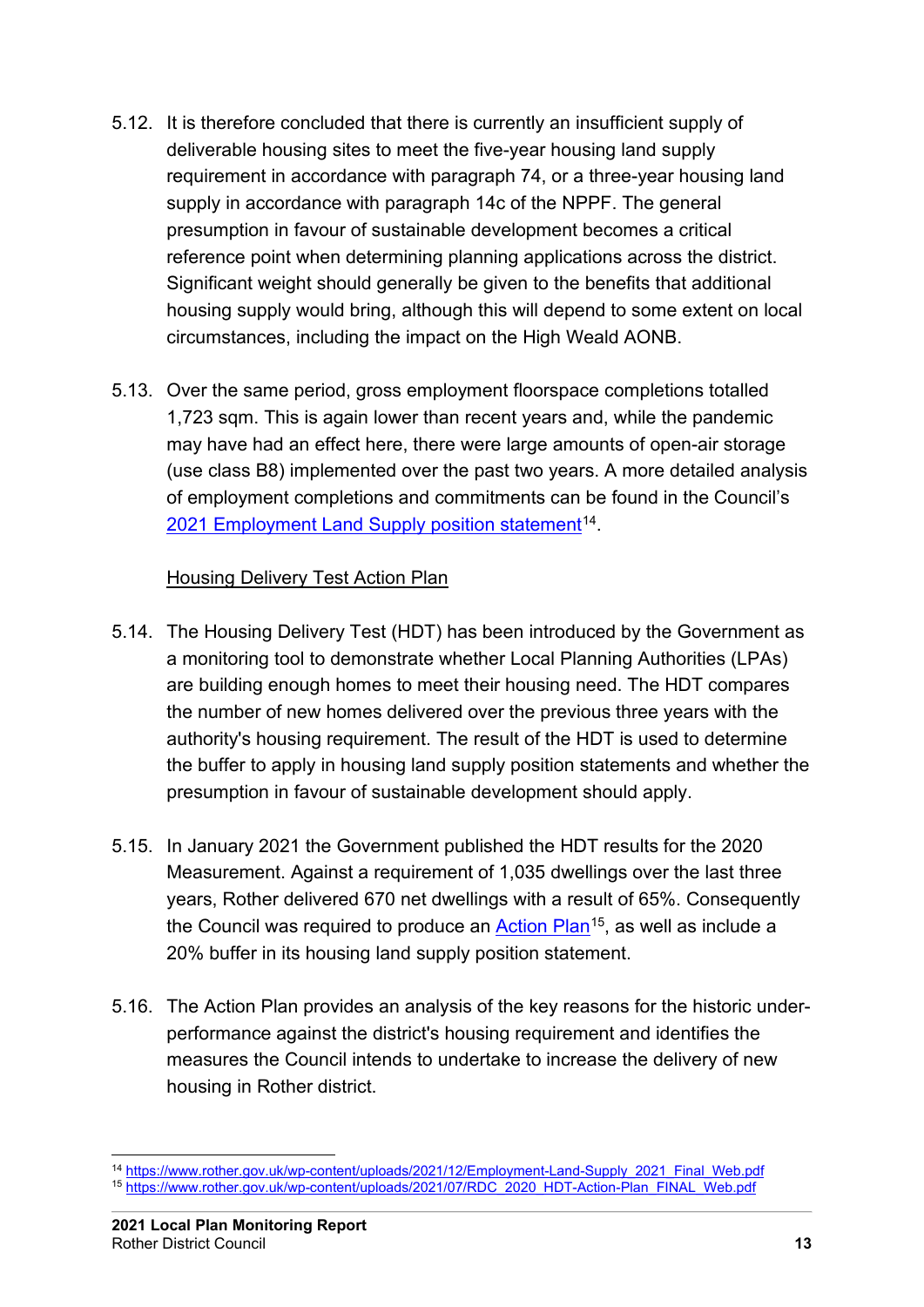- 5.12. It is therefore concluded that there is currently an insufficient supply of deliverable housing sites to meet the five-year housing land supply requirement in accordance with paragraph 74, or a three-year housing land supply in accordance with paragraph 14c of the NPPF. The general presumption in favour of sustainable development becomes a critical reference point when determining planning applications across the district. Significant weight should generally be given to the benefits that additional housing supply would bring, although this will depend to some extent on local circumstances, including the impact on the High Weald AONB.
- 5.13. Over the same period, gross employment floorspace completions totalled 1,723 sqm. This is again lower than recent years and, while the pandemic may have had an effect here, there were large amounts of open-air storage (use class B8) implemented over the past two years. A more detailed analysis of employment completions and commitments can be found in the Council's 2021 [Employment Land Supply position statement](https://www.rother.gov.uk/wp-content/uploads/2021/12/Employment-Land-Supply_2021_Final_Web.pdf)<sup>[14](#page-10-1)</sup>.

#### Housing Delivery Test Action Plan

- <span id="page-10-0"></span>5.14. The Housing Delivery Test (HDT) has been introduced by the Government as a monitoring tool to demonstrate whether Local Planning Authorities (LPAs) are building enough homes to meet their housing need. The HDT compares the number of new homes delivered over the previous three years with the authority's housing requirement. The result of the HDT is used to determine the buffer to apply in housing land supply position statements and whether the presumption in favour of sustainable development should apply.
- 5.15. In January 2021 the Government published the HDT results for the 2020 Measurement. Against a requirement of 1,035 dwellings over the last three years, Rother delivered 670 net dwellings with a result of 65%. Consequently the Council was required to produce an [Action Plan](https://www.rother.gov.uk/wp-content/uploads/2020/08/RDC_2019_HDT-Action-Plan_FINAL.pdf)<sup>15</sup>, as well as include a 20% buffer in its housing land supply position statement.
- 5.16. The Action Plan provides an analysis of the key reasons for the historic underperformance against the district's housing requirement and identifies the measures the Council intends to undertake to increase the delivery of new housing in Rother district.

<span id="page-10-2"></span><span id="page-10-1"></span><sup>14</sup> [https://www.rother.gov.uk/wp-content/uploads/2021/12/Employment-Land-Supply\\_2021\\_Final\\_Web.pdf](https://www.rother.gov.uk/wp-content/uploads/2021/12/Employment-Land-Supply_2021_Final_Web.pdf) <sup>15</sup> [https://www.rother.gov.uk/wp-content/uploads/2021/07/RDC\\_2020\\_HDT-Action-Plan\\_FINAL\\_Web.pdf](https://www.rother.gov.uk/wp-content/uploads/2021/07/RDC_2020_HDT-Action-Plan_FINAL_Web.pdf)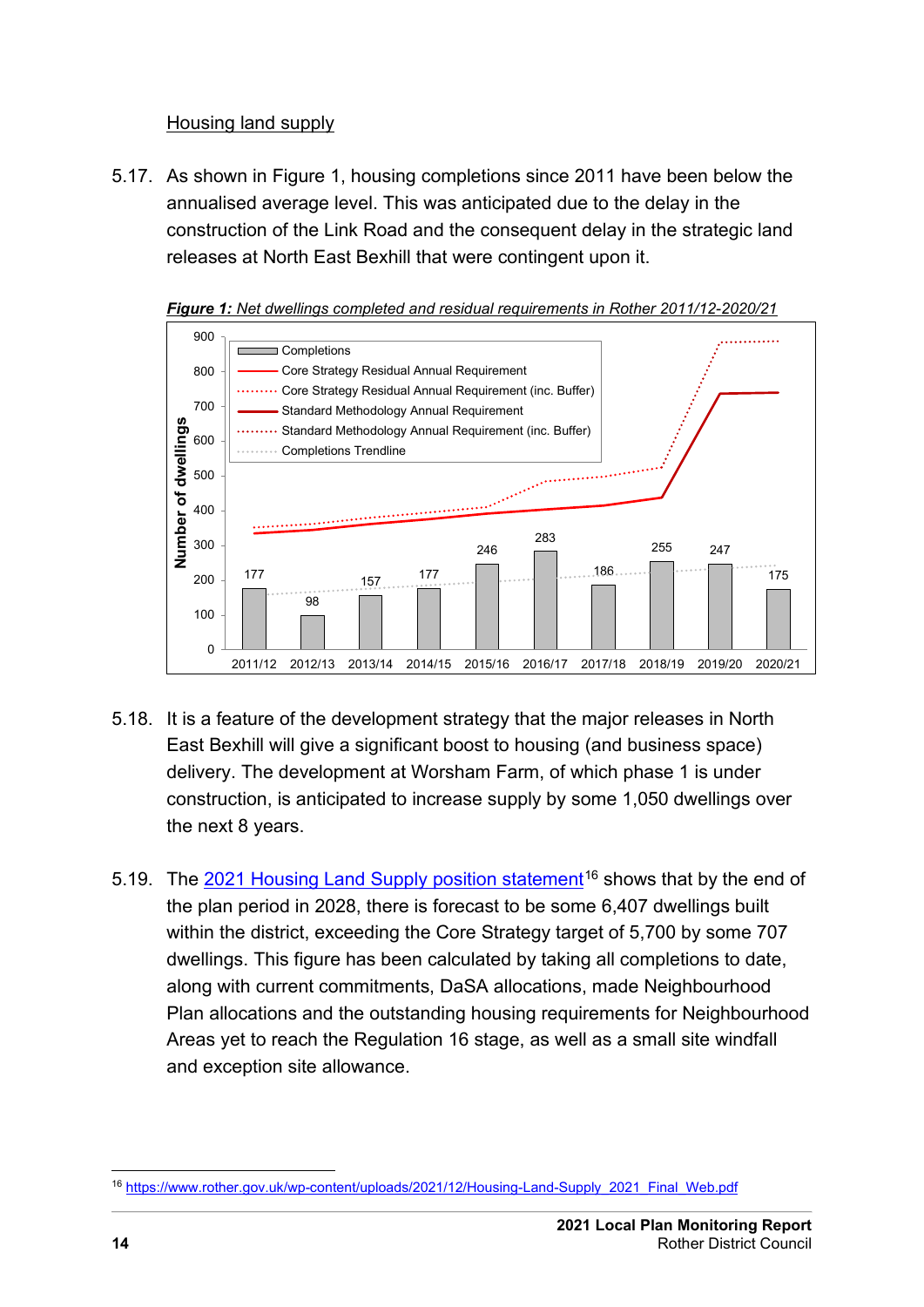#### Housing land supply

<span id="page-11-0"></span>5.17. As shown in Figure 1, housing completions since 2011 have been below the annualised average level. This was anticipated due to the delay in the construction of the Link Road and the consequent delay in the strategic land releases at North East Bexhill that were contingent upon it.





- 5.18. It is a feature of the development strategy that the major releases in North East Bexhill will give a significant boost to housing (and business space) delivery. The development at Worsham Farm, of which phase 1 is under construction, is anticipated to increase supply by some 1,050 dwellings over the next 8 years.
- 5.19. The 2021 [Housing Land Supply position statement](https://www.rother.gov.uk/wp-content/uploads/2021/12/Housing-Land-Supply_2021_Final_Web.pdf)<sup>[16](#page-11-1)</sup> shows that by the end of the plan period in 2028, there is forecast to be some 6,407 dwellings built within the district, exceeding the Core Strategy target of 5,700 by some 707 dwellings. This figure has been calculated by taking all completions to date, along with current commitments, DaSA allocations, made Neighbourhood Plan allocations and the outstanding housing requirements for Neighbourhood Areas yet to reach the Regulation 16 stage, as well as a small site windfall and exception site allowance.

<span id="page-11-1"></span><sup>16</sup> [https://www.rother.gov.uk/wp-content/uploads/2021/12/Housing-Land-Supply\\_2021\\_Final\\_Web.pdf](https://www.rother.gov.uk/wp-content/uploads/2021/12/Housing-Land-Supply_2021_Final_Web.pdf)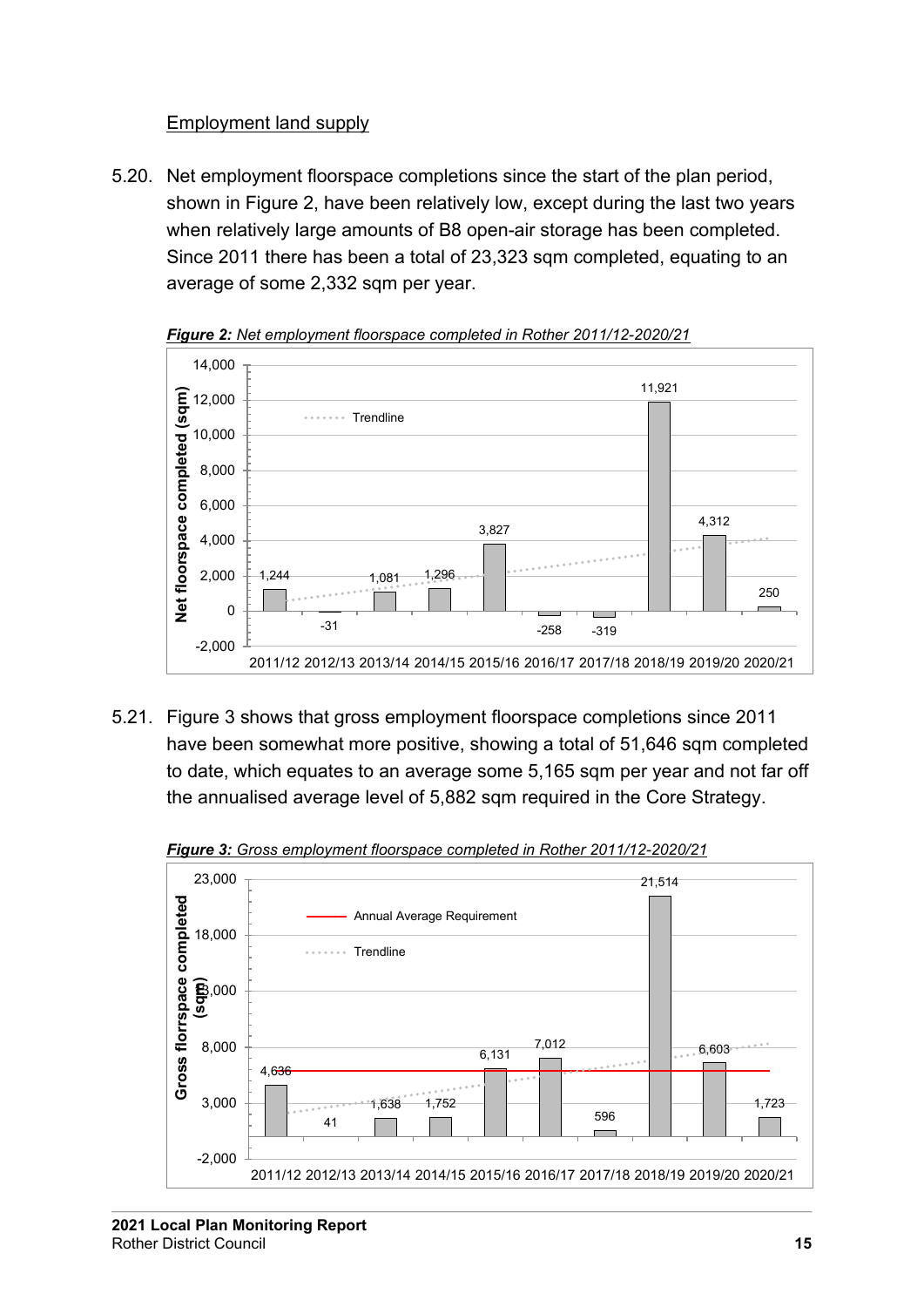#### Employment land supply

<span id="page-12-0"></span>5.20. Net employment floorspace completions since the start of the plan period, shown in Figure 2, have been relatively low, except during the last two years when relatively large amounts of B8 open-air storage has been completed. Since 2011 there has been a total of 23,323 sqm completed, equating to an average of some 2,332 sqm per year.



*Figure 2: Net employment floorspace completed in Rother 2011/12-2020/21*

5.21. Figure 3 shows that gross employment floorspace completions since 2011 have been somewhat more positive, showing a total of 51,646 sqm completed to date, which equates to an average some 5,165 sqm per year and not far off the annualised average level of 5,882 sqm required in the Core Strategy.



*Figure 3: Gross employment floorspace completed in Rother 2011/12-2020/21*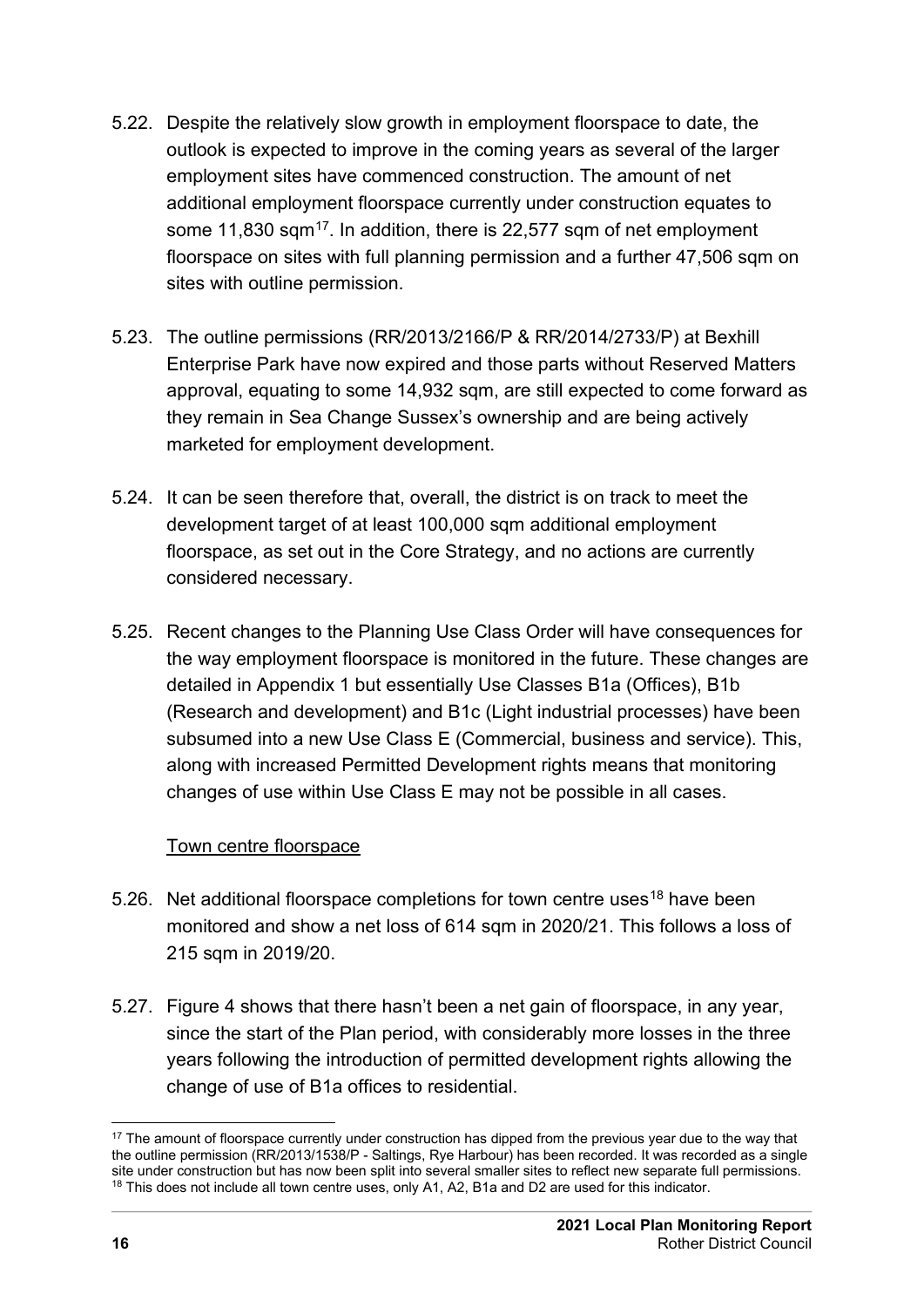- 5.22. Despite the relatively slow growth in employment floorspace to date, the outlook is expected to improve in the coming years as several of the larger employment sites have commenced construction. The amount of net additional employment floorspace currently under construction equates to some 11,830 sqm<sup>[17](#page-13-1)</sup>. In addition, there is 22,577 sqm of net employment floorspace on sites with full planning permission and a further 47,506 sqm on sites with outline permission.
- 5.23. The outline permissions (RR/2013/2166/P & RR/2014/2733/P) at Bexhill Enterprise Park have now expired and those parts without Reserved Matters approval, equating to some 14,932 sqm, are still expected to come forward as they remain in Sea Change Sussex's ownership and are being actively marketed for employment development.
- 5.24. It can be seen therefore that, overall, the district is on track to meet the development target of at least 100,000 sqm additional employment floorspace, as set out in the Core Strategy, and no actions are currently considered necessary.
- 5.25. Recent changes to the Planning Use Class Order will have consequences for the way employment floorspace is monitored in the future. These changes are detailed in Appendix 1 but essentially Use Classes B1a (Offices), B1b (Research and development) and B1c (Light industrial processes) have been subsumed into a new Use Class E (Commercial, business and service). This, along with increased Permitted Development rights means that monitoring changes of use within Use Class E may not be possible in all cases.

#### Town centre floorspace

- <span id="page-13-0"></span>5.26. Net additional floorspace completions for town centre uses<sup>[18](#page-13-2)</sup> have been monitored and show a net loss of 614 sqm in 2020/21. This follows a loss of 215 sqm in 2019/20.
- 5.27. Figure 4 shows that there hasn't been a net gain of floorspace, in any year, since the start of the Plan period, with considerably more losses in the three years following the introduction of permitted development rights allowing the change of use of B1a offices to residential.

<span id="page-13-2"></span><span id="page-13-1"></span><sup>&</sup>lt;sup>17</sup> The amount of floorspace currently under construction has dipped from the previous year due to the way that the outline permission (RR/2013/1538/P - Saltings, Rye Harbour) has been recorded. It was recorded as a single site under construction but has now been split into several smaller sites to reflect new separate full permissions. <sup>18</sup> This does not include all town centre uses, only A1, A2, B1a and D2 are used for this indicator.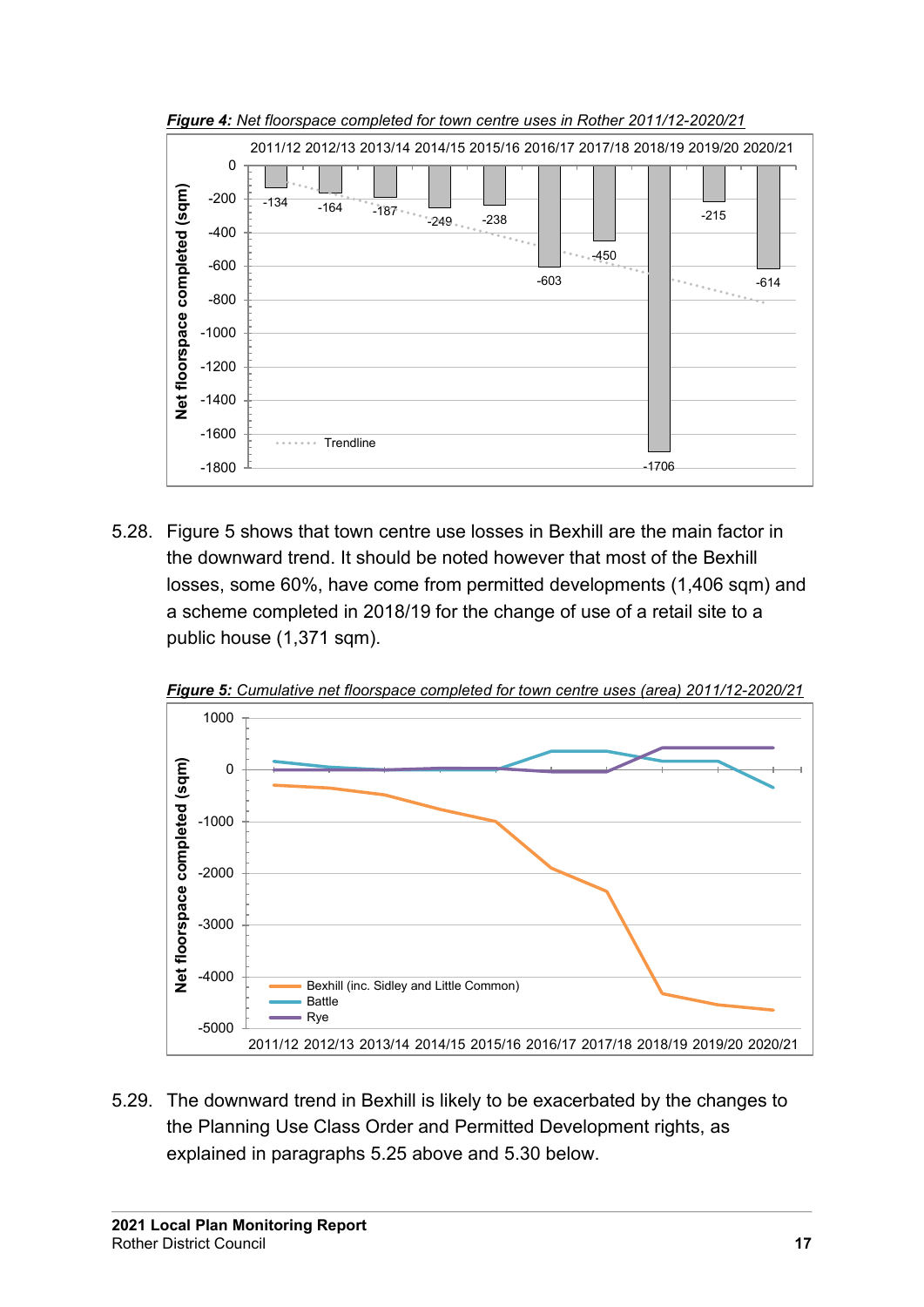

5.28. Figure 5 shows that town centre use losses in Bexhill are the main factor in the downward trend. It should be noted however that most of the Bexhill losses, some 60%, have come from permitted developments (1,406 sqm) and a scheme completed in 2018/19 for the change of use of a retail site to a public house (1,371 sqm).



*Figure 5: Cumulative net floorspace completed for town centre uses (area) 2011/12-2020/21*

5.29. The downward trend in Bexhill is likely to be exacerbated by the changes to the Planning Use Class Order and Permitted Development rights, as explained in paragraphs 5.25 above and 5.30 below.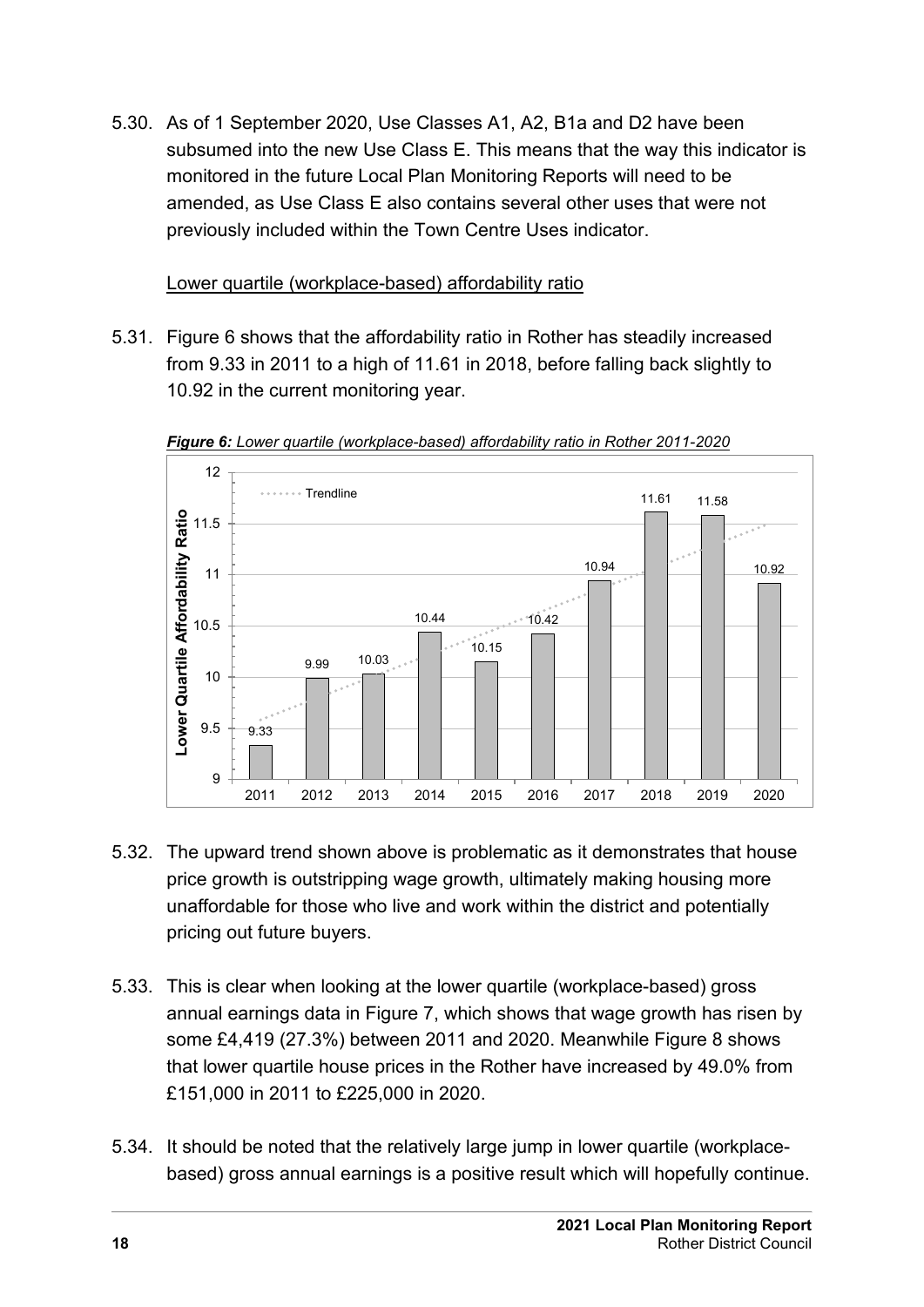5.30. As of 1 September 2020, Use Classes A1, A2, B1a and D2 have been subsumed into the new Use Class E. This means that the way this indicator is monitored in the future Local Plan Monitoring Reports will need to be amended, as Use Class E also contains several other uses that were not previously included within the Town Centre Uses indicator.

#### Lower quartile (workplace-based) affordability ratio

<span id="page-15-0"></span>5.31. Figure 6 shows that the affordability ratio in Rother has steadily increased from 9.33 in 2011 to a high of 11.61 in 2018, before falling back slightly to 10.92 in the current monitoring year.



*Figure 6: Lower quartile (workplace-based) affordability ratio in Rother 2011-2020*

- 5.32. The upward trend shown above is problematic as it demonstrates that house price growth is outstripping wage growth, ultimately making housing more unaffordable for those who live and work within the district and potentially pricing out future buyers.
- 5.33. This is clear when looking at the lower quartile (workplace-based) gross annual earnings data in Figure 7, which shows that wage growth has risen by some £4,419 (27.3%) between 2011 and 2020. Meanwhile Figure 8 shows that lower quartile house prices in the Rother have increased by 49.0% from £151,000 in 2011 to £225,000 in 2020.
- 5.34. It should be noted that the relatively large jump in lower quartile (workplacebased) gross annual earnings is a positive result which will hopefully continue.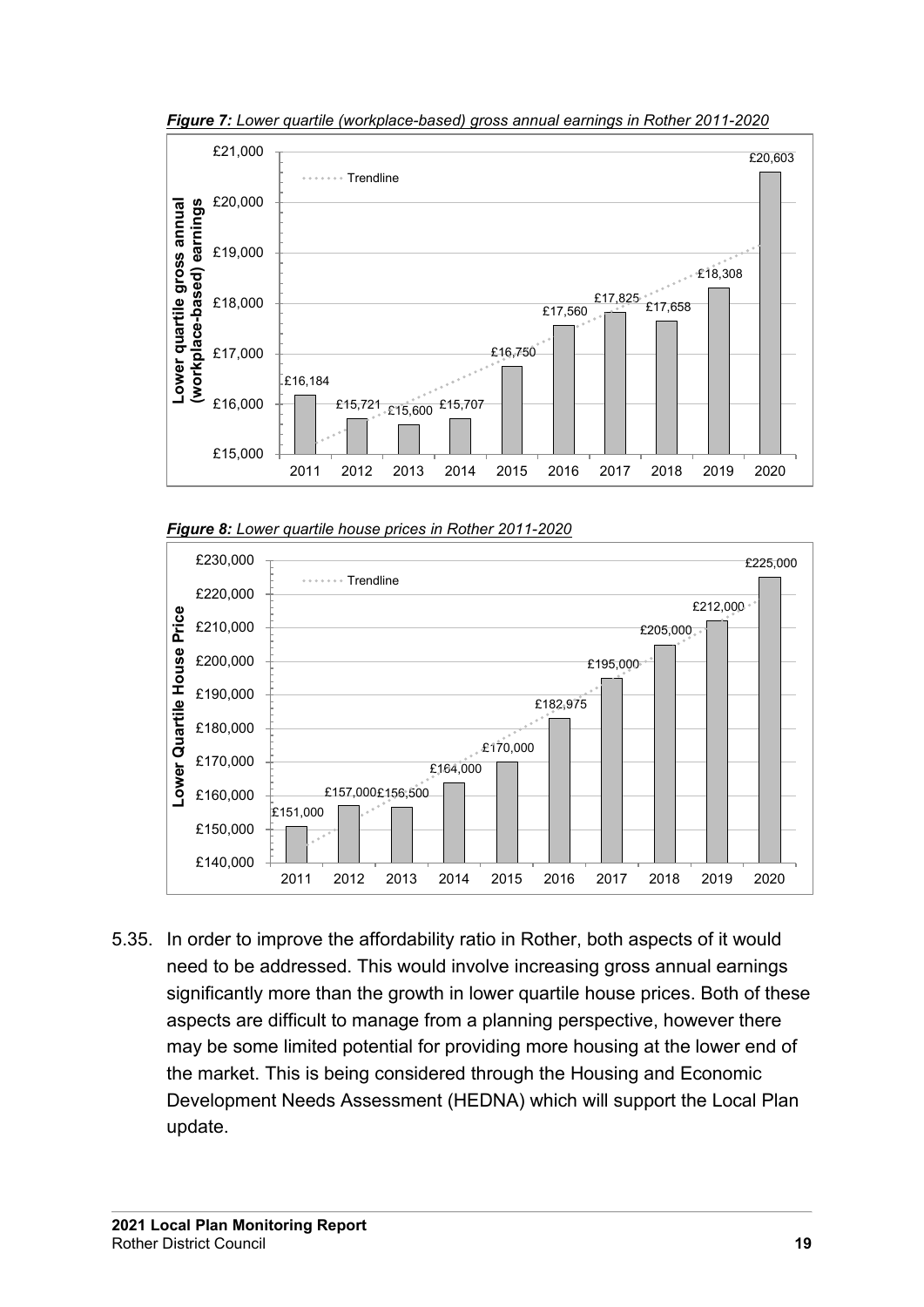

*Figure 7: Lower quartile (workplace-based) gross annual earnings in Rother 2011-2020*





5.35. In order to improve the affordability ratio in Rother, both aspects of it would need to be addressed. This would involve increasing gross annual earnings significantly more than the growth in lower quartile house prices. Both of these aspects are difficult to manage from a planning perspective, however there may be some limited potential for providing more housing at the lower end of the market. This is being considered through the Housing and Economic Development Needs Assessment (HEDNA) which will support the Local Plan update.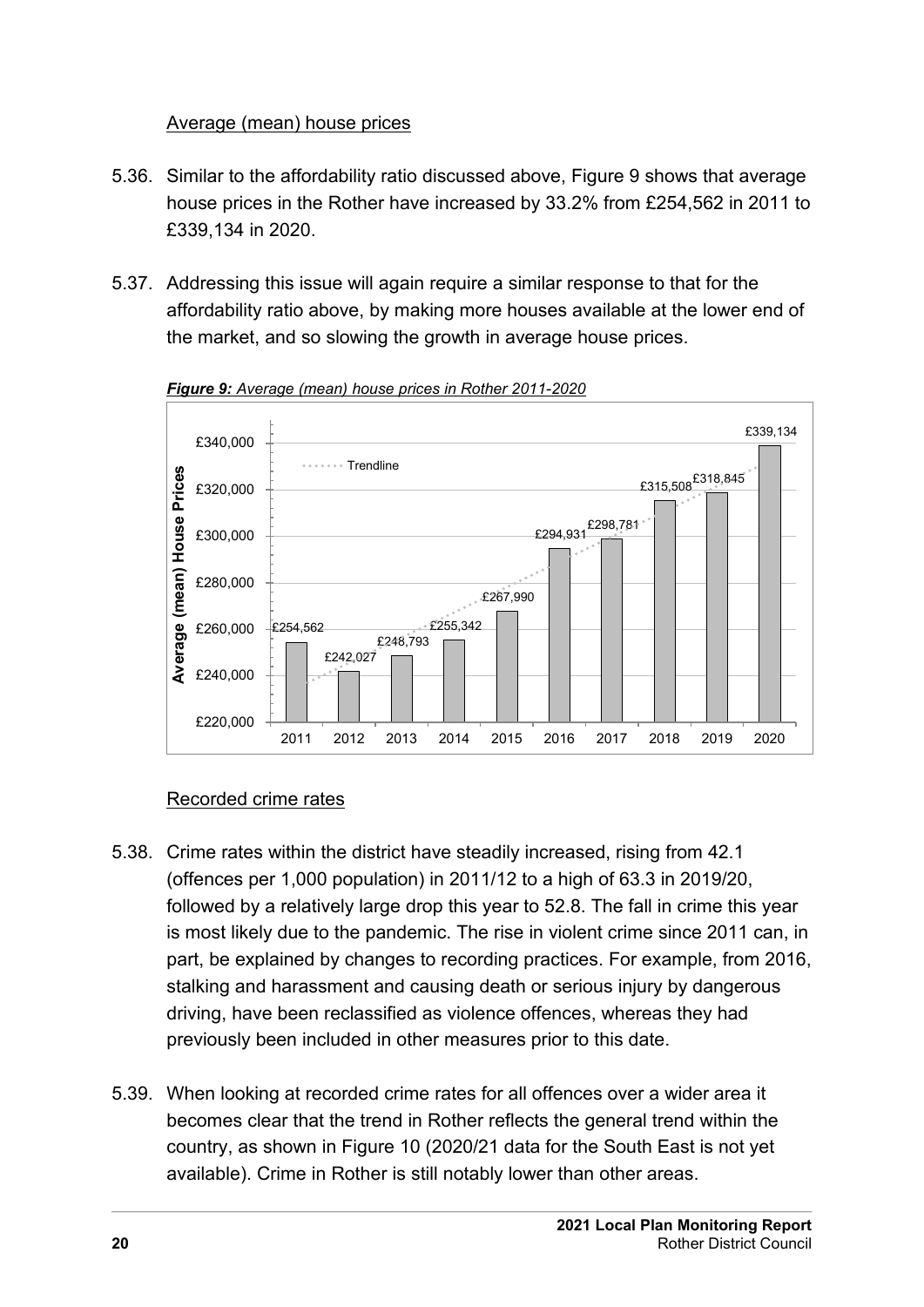#### Average (mean) house prices

- <span id="page-17-0"></span>5.36. Similar to the affordability ratio discussed above, Figure 9 shows that average house prices in the Rother have increased by 33.2% from £254,562 in 2011 to £339,134 in 2020.
- 5.37. Addressing this issue will again require a similar response to that for the affordability ratio above, by making more houses available at the lower end of the market, and so slowing the growth in average house prices.



*Figure 9: Average (mean) house prices in Rother 2011-2020*

#### Recorded crime rates

- <span id="page-17-1"></span>5.38. Crime rates within the district have steadily increased, rising from 42.1 (offences per 1,000 population) in 2011/12 to a high of 63.3 in 2019/20, followed by a relatively large drop this year to 52.8. The fall in crime this year is most likely due to the pandemic. The rise in violent crime since 2011 can, in part, be explained by changes to recording practices. For example, from 2016, stalking and harassment and causing death or serious injury by dangerous driving, have been reclassified as violence offences, whereas they had previously been included in other measures prior to this date.
- 5.39. When looking at recorded crime rates for all offences over a wider area it becomes clear that the trend in Rother reflects the general trend within the country, as shown in Figure 10 (2020/21 data for the South East is not yet available). Crime in Rother is still notably lower than other areas.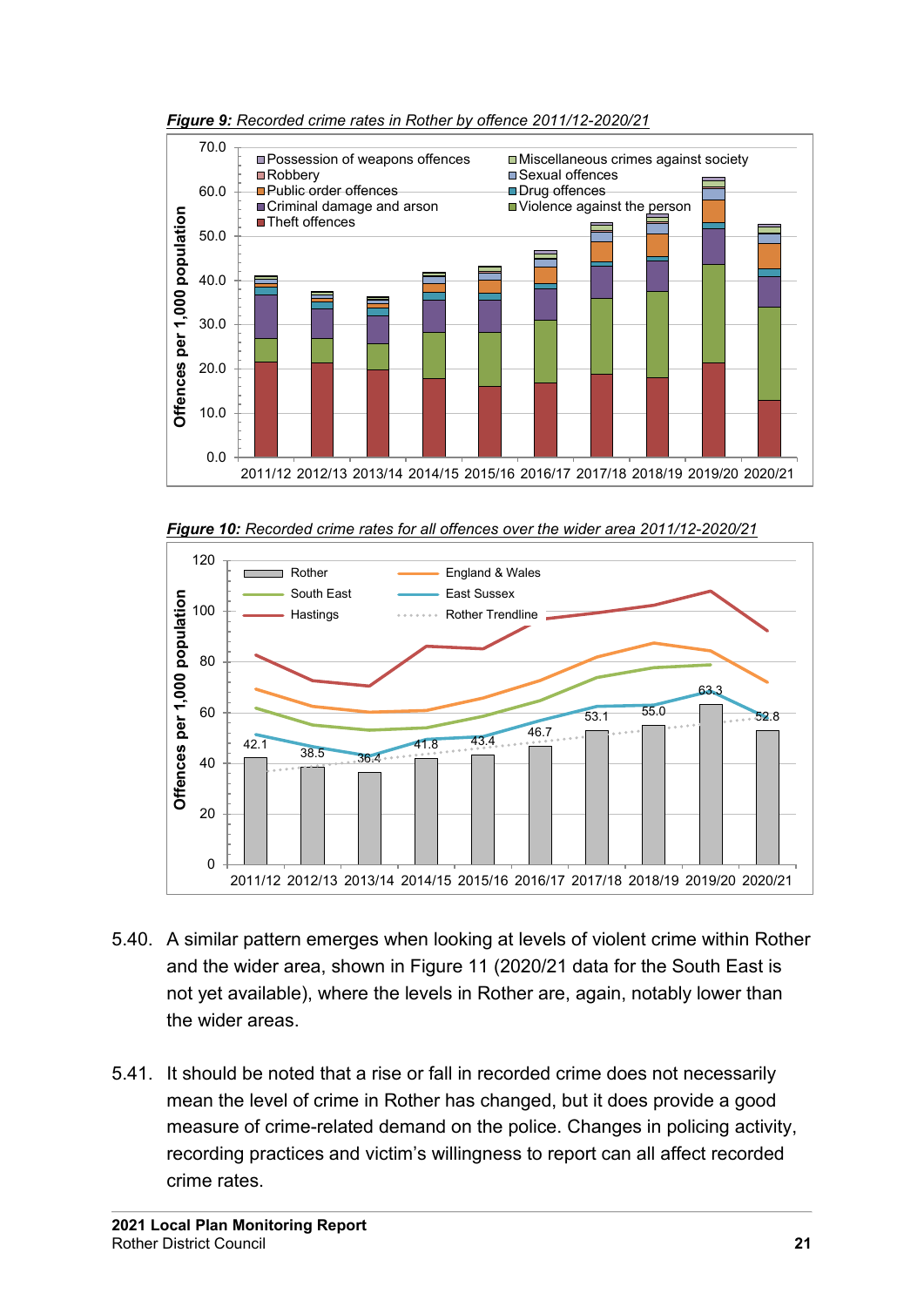

*Figure 9: Recorded crime rates in Rother by offence 2011/12-2020/21*





- 5.40. A similar pattern emerges when looking at levels of violent crime within Rother and the wider area, shown in Figure 11 (2020/21 data for the South East is not yet available), where the levels in Rother are, again, notably lower than the wider areas.
- 5.41. It should be noted that a rise or fall in recorded crime does not necessarily mean the level of crime in Rother has changed, but it does provide a good measure of crime-related demand on the police. Changes in policing activity, recording practices and victim's willingness to report can all affect recorded crime rates.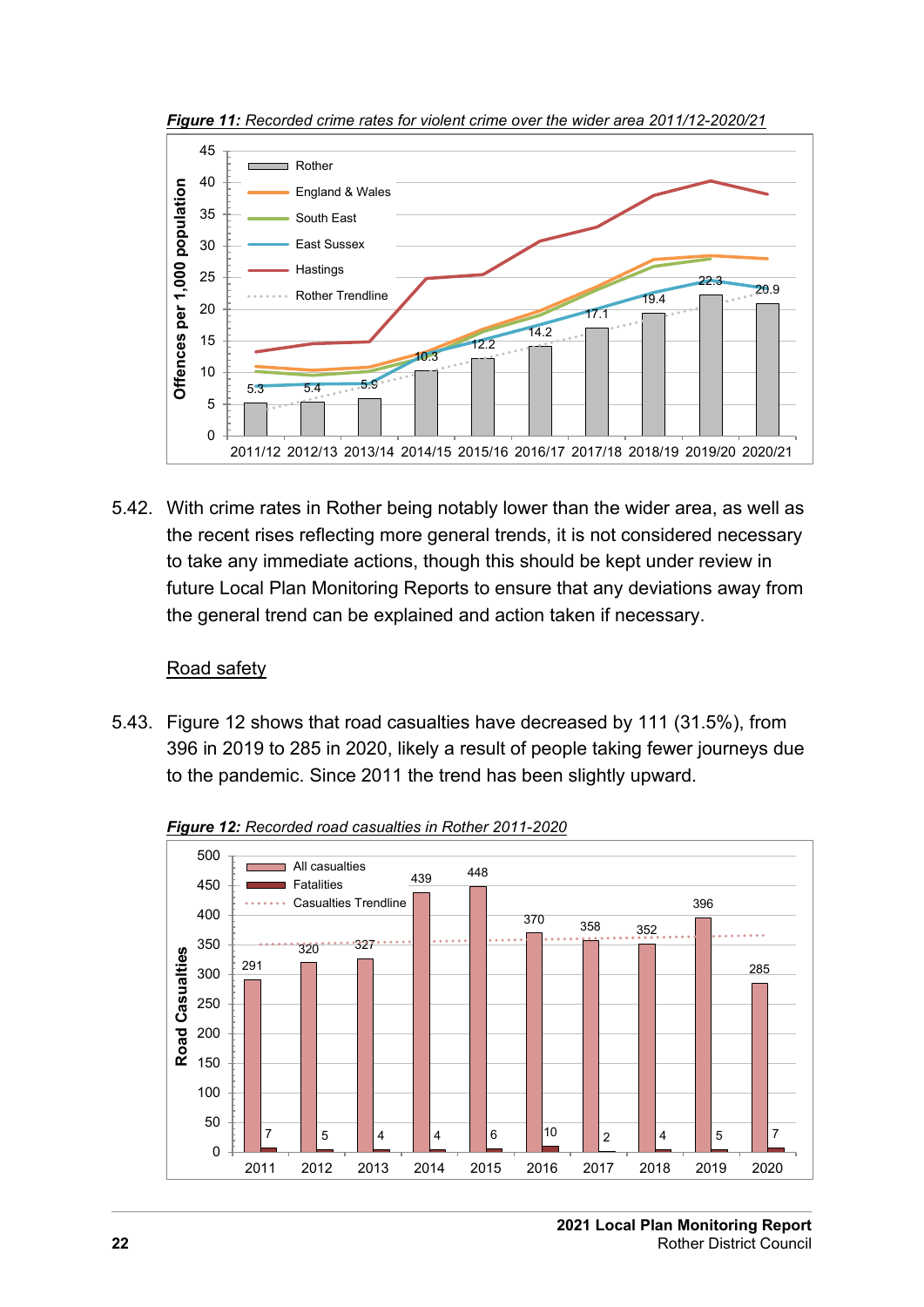

*Figure 11: Recorded crime rates for violent crime over the wider area 2011/12-2020/21*

5.42. With crime rates in Rother being notably lower than the wider area, as well as the recent rises reflecting more general trends, it is not considered necessary to take any immediate actions, though this should be kept under review in future Local Plan Monitoring Reports to ensure that any deviations away from the general trend can be explained and action taken if necessary.

#### Road safety

<span id="page-19-0"></span>5.43. Figure 12 shows that road casualties have decreased by 111 (31.5%), from 396 in 2019 to 285 in 2020, likely a result of people taking fewer journeys due to the pandemic. Since 2011 the trend has been slightly upward.



*Figure 12: Recorded road casualties in Rother 2011-2020*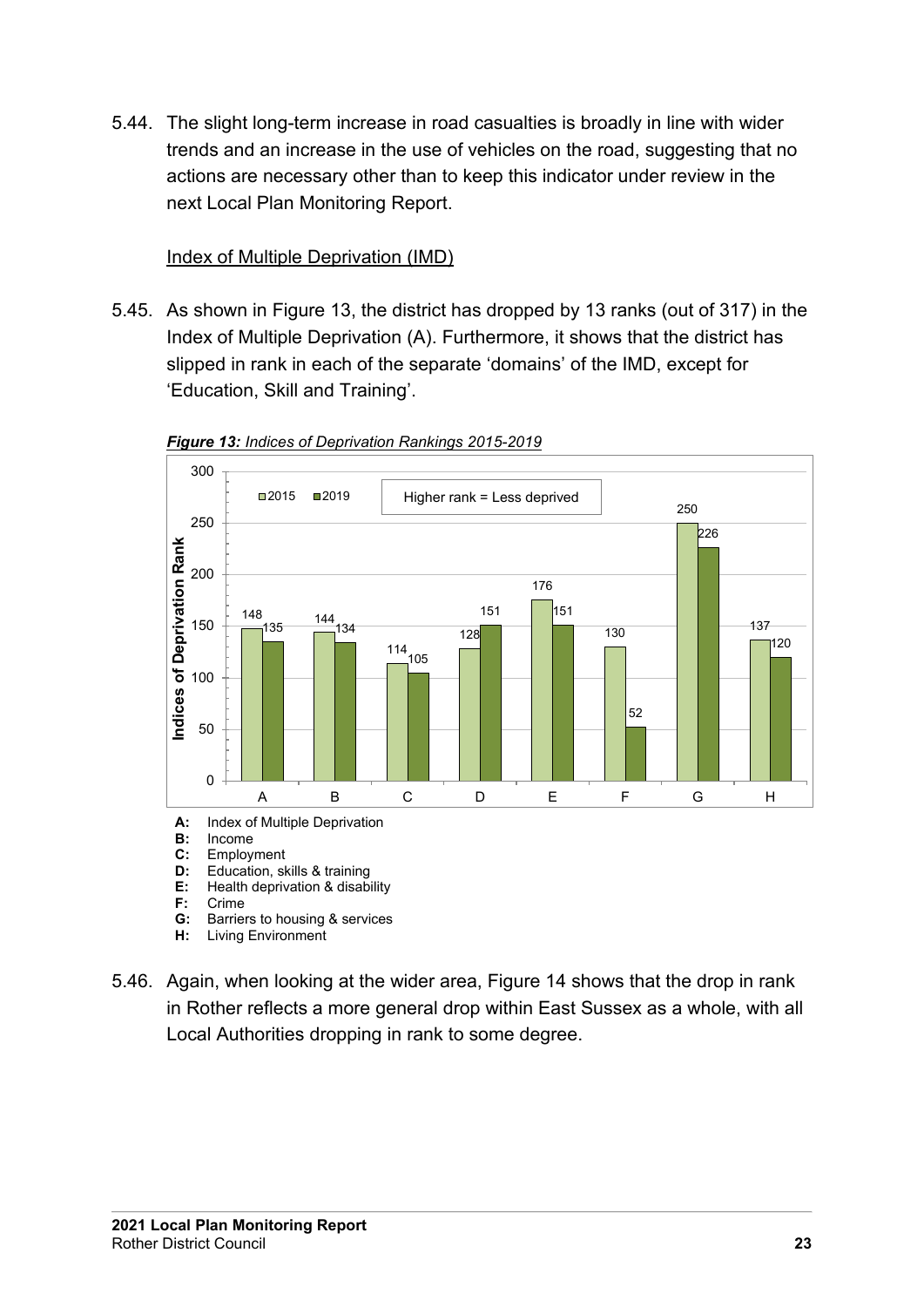5.44. The slight long-term increase in road casualties is broadly in line with wider trends and an increase in the use of vehicles on the road, suggesting that no actions are necessary other than to keep this indicator under review in the next Local Plan Monitoring Report.

#### Index of Multiple Deprivation (IMD)

<span id="page-20-0"></span>5.45. As shown in Figure 13, the district has dropped by 13 ranks (out of 317) in the Index of Multiple Deprivation (A). Furthermore, it shows that the district has slipped in rank in each of the separate 'domains' of the IMD, except for 'Education, Skill and Training'.



*Figure 13: Indices of Deprivation Rankings 2015-2019*

- **B:** Income<br>**C:** Employ
- **C:** Employment<br>**D:** Education, sl
- **D:** Education, skills & training
- **E:** Health deprivation & disability<br>**F**: Crime
- **F:** Crime
- **Barriers to housing & services**
- **H:** Living Environment
- 5.46. Again, when looking at the wider area, Figure 14 shows that the drop in rank in Rother reflects a more general drop within East Sussex as a whole, with all Local Authorities dropping in rank to some degree.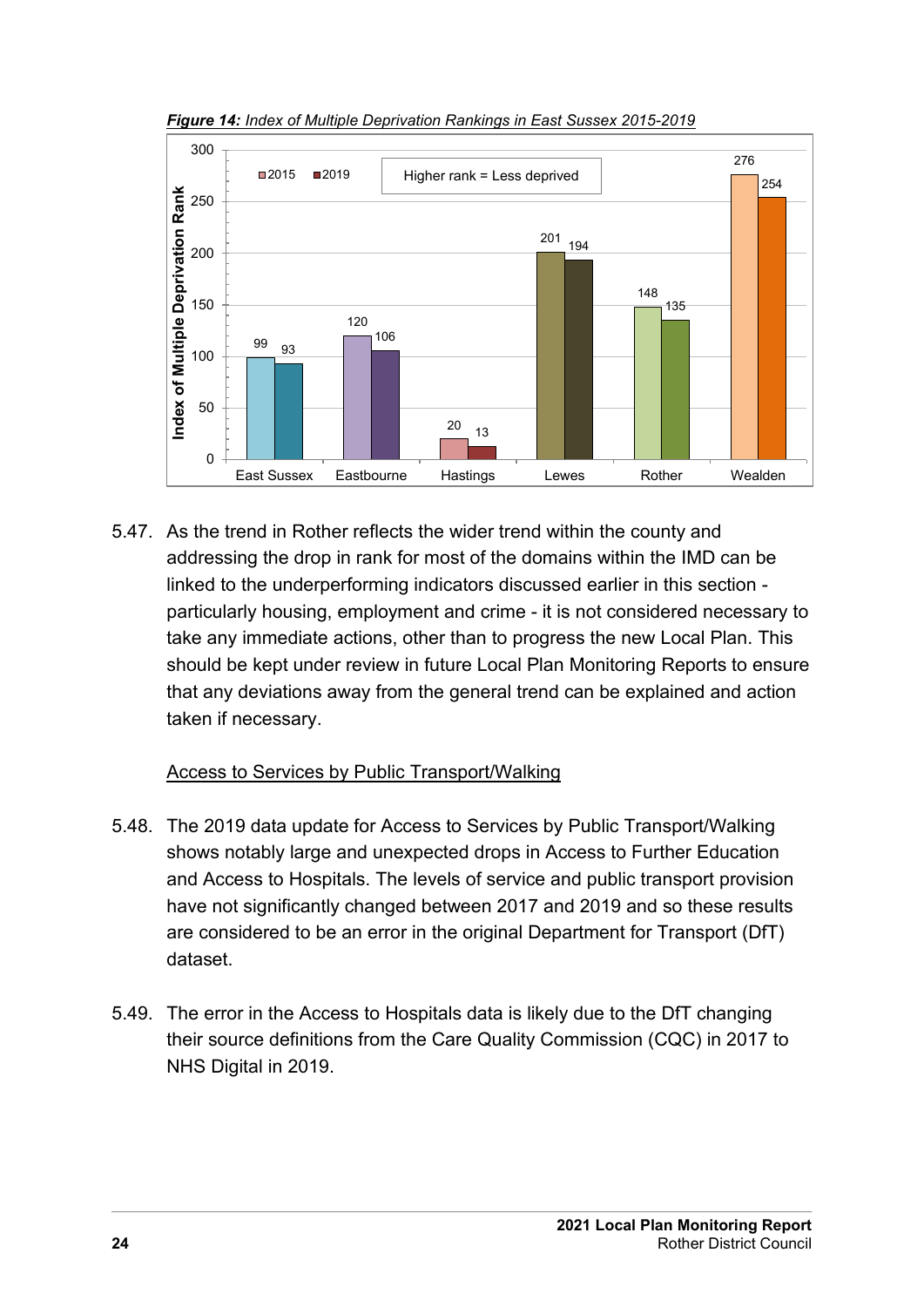

*Figure 14: Index of Multiple Deprivation Rankings in East Sussex 2015-2019*

5.47. As the trend in Rother reflects the wider trend within the county and addressing the drop in rank for most of the domains within the IMD can be linked to the underperforming indicators discussed earlier in this section particularly housing, employment and crime - it is not considered necessary to take any immediate actions, other than to progress the new Local Plan. This should be kept under review in future Local Plan Monitoring Reports to ensure that any deviations away from the general trend can be explained and action taken if necessary.

#### Access to Services by Public Transport/Walking

- <span id="page-21-0"></span>5.48. The 2019 data update for Access to Services by Public Transport/Walking shows notably large and unexpected drops in Access to Further Education and Access to Hospitals. The levels of service and public transport provision have not significantly changed between 2017 and 2019 and so these results are considered to be an error in the original Department for Transport (DfT) dataset.
- 5.49. The error in the Access to Hospitals data is likely due to the DfT changing their source definitions from the Care Quality Commission (CQC) in 2017 to NHS Digital in 2019.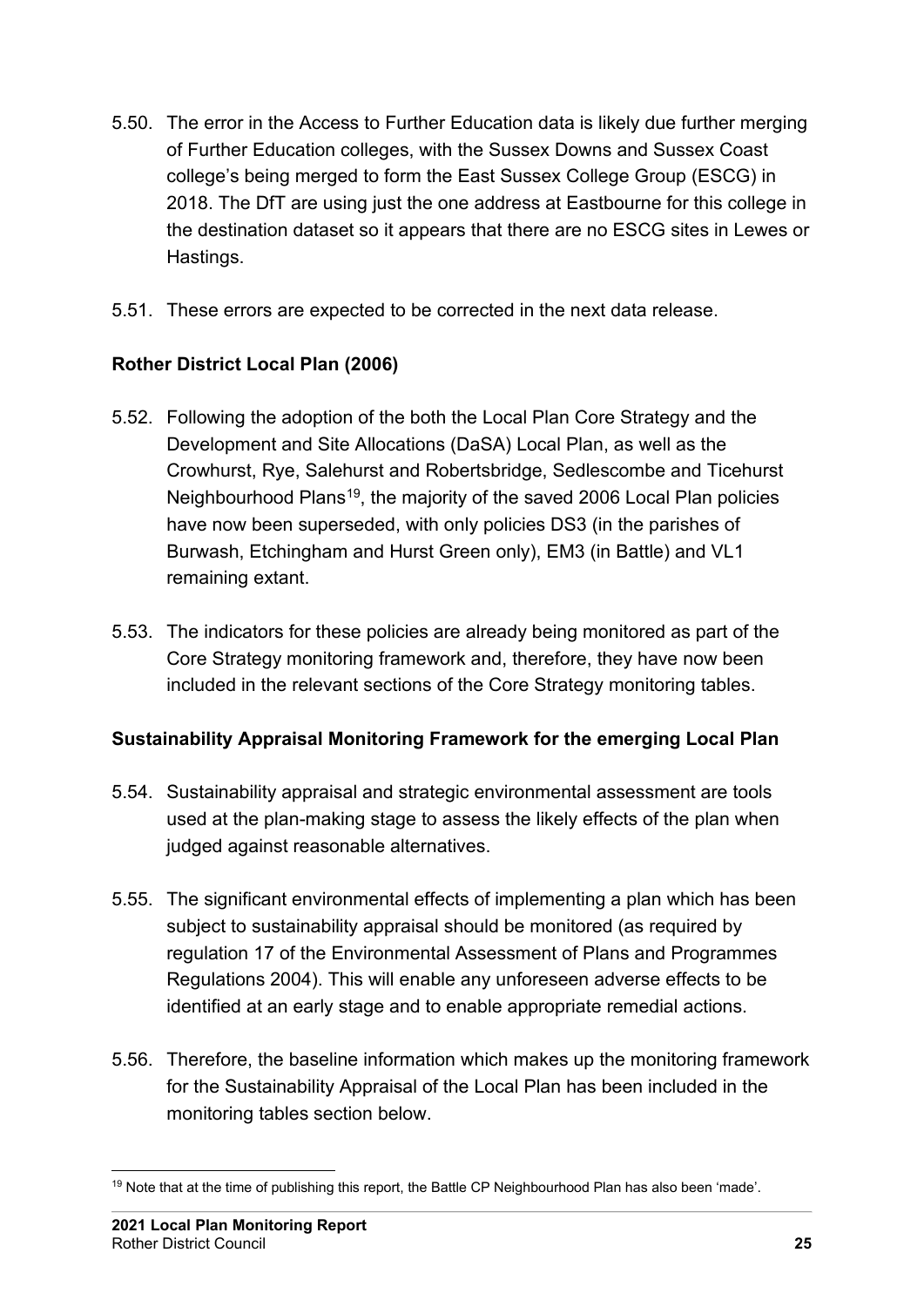- 5.50. The error in the Access to Further Education data is likely due further merging of Further Education colleges, with the Sussex Downs and Sussex Coast college's being merged to form the East Sussex College Group (ESCG) in 2018. The DfT are using just the one address at Eastbourne for this college in the destination dataset so it appears that there are no ESCG sites in Lewes or Hastings.
- 5.51. These errors are expected to be corrected in the next data release.

### <span id="page-22-0"></span>**Rother District Local Plan (2006)**

- 5.52. Following the adoption of the both the Local Plan Core Strategy and the Development and Site Allocations (DaSA) Local Plan, as well as the Crowhurst, Rye, Salehurst and Robertsbridge, Sedlescombe and Ticehurst Neighbourhood Plans<sup>[19](#page-22-2)</sup>, the majority of the saved 2006 Local Plan policies have now been superseded, with only policies DS3 (in the parishes of Burwash, Etchingham and Hurst Green only), EM3 (in Battle) and VL1 remaining extant.
- 5.53. The indicators for these policies are already being monitored as part of the Core Strategy monitoring framework and, therefore, they have now been included in the relevant sections of the Core Strategy monitoring tables.

#### <span id="page-22-1"></span>**Sustainability Appraisal Monitoring Framework for the emerging Local Plan**

- 5.54. Sustainability appraisal and strategic environmental assessment are tools used at the plan-making stage to assess the likely effects of the plan when judged against reasonable alternatives.
- 5.55. The significant environmental effects of implementing a plan which has been subject to sustainability appraisal should be monitored (as required by regulation 17 of the Environmental Assessment of Plans and Programmes Regulations 2004). This will enable any unforeseen adverse effects to be identified at an early stage and to enable appropriate remedial actions.
- 5.56. Therefore, the baseline information which makes up the monitoring framework for the Sustainability Appraisal of the Local Plan has been included in the monitoring tables section below.

<span id="page-22-2"></span><sup>&</sup>lt;sup>19</sup> Note that at the time of publishing this report, the Battle CP Neighbourhood Plan has also been 'made'.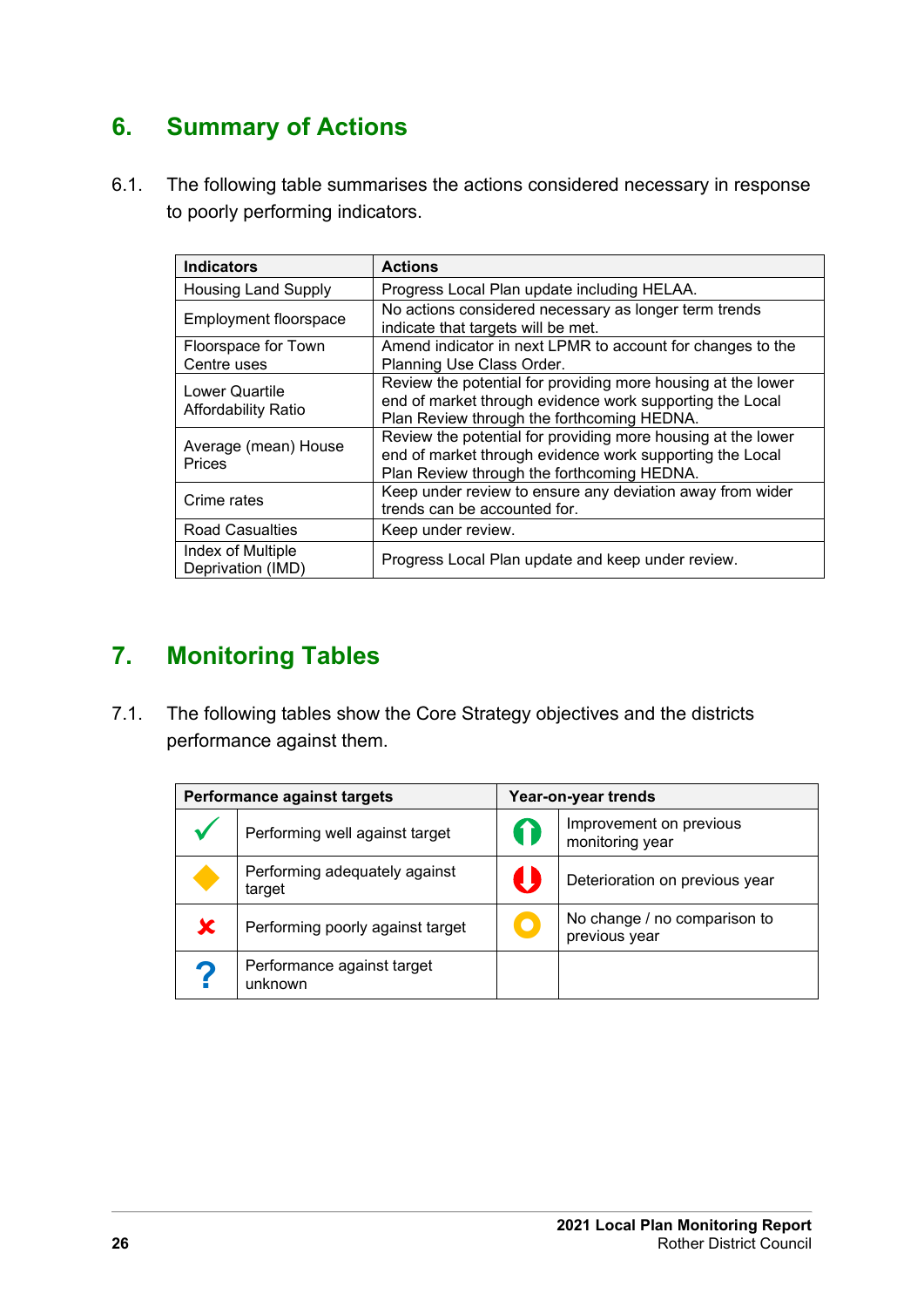## <span id="page-23-0"></span>**6. Summary of Actions**

6.1. The following table summarises the actions considered necessary in response to poorly performing indicators.

| <b>Indicators</b>                            | <b>Actions</b>                                                                                                                                                         |
|----------------------------------------------|------------------------------------------------------------------------------------------------------------------------------------------------------------------------|
| <b>Housing Land Supply</b>                   | Progress Local Plan update including HELAA.                                                                                                                            |
| Employment floorspace                        | No actions considered necessary as longer term trends<br>indicate that targets will be met.                                                                            |
| Floorspace for Town<br>Centre uses           | Amend indicator in next LPMR to account for changes to the<br>Planning Use Class Order.                                                                                |
| Lower Quartile<br><b>Affordability Ratio</b> | Review the potential for providing more housing at the lower<br>end of market through evidence work supporting the Local<br>Plan Review through the forthcoming HEDNA. |
| Average (mean) House<br><b>Prices</b>        | Review the potential for providing more housing at the lower<br>end of market through evidence work supporting the Local<br>Plan Review through the forthcoming HEDNA. |
| Crime rates                                  | Keep under review to ensure any deviation away from wider<br>trends can be accounted for.                                                                              |
| <b>Road Casualties</b>                       | Keep under review.                                                                                                                                                     |
| Index of Multiple<br>Deprivation (IMD)       | Progress Local Plan update and keep under review.                                                                                                                      |

## <span id="page-23-1"></span>**7. Monitoring Tables**

7.1. The following tables show the Core Strategy objectives and the districts performance against them.

| <b>Performance against targets</b>      | Year-on-year trends |                                               |  |  |  |
|-----------------------------------------|---------------------|-----------------------------------------------|--|--|--|
| Performing well against target          |                     | Improvement on previous<br>monitoring year    |  |  |  |
| Performing adequately against<br>target |                     | Deterioration on previous year                |  |  |  |
| Performing poorly against target        |                     | No change / no comparison to<br>previous year |  |  |  |
| Performance against target<br>unknown   |                     |                                               |  |  |  |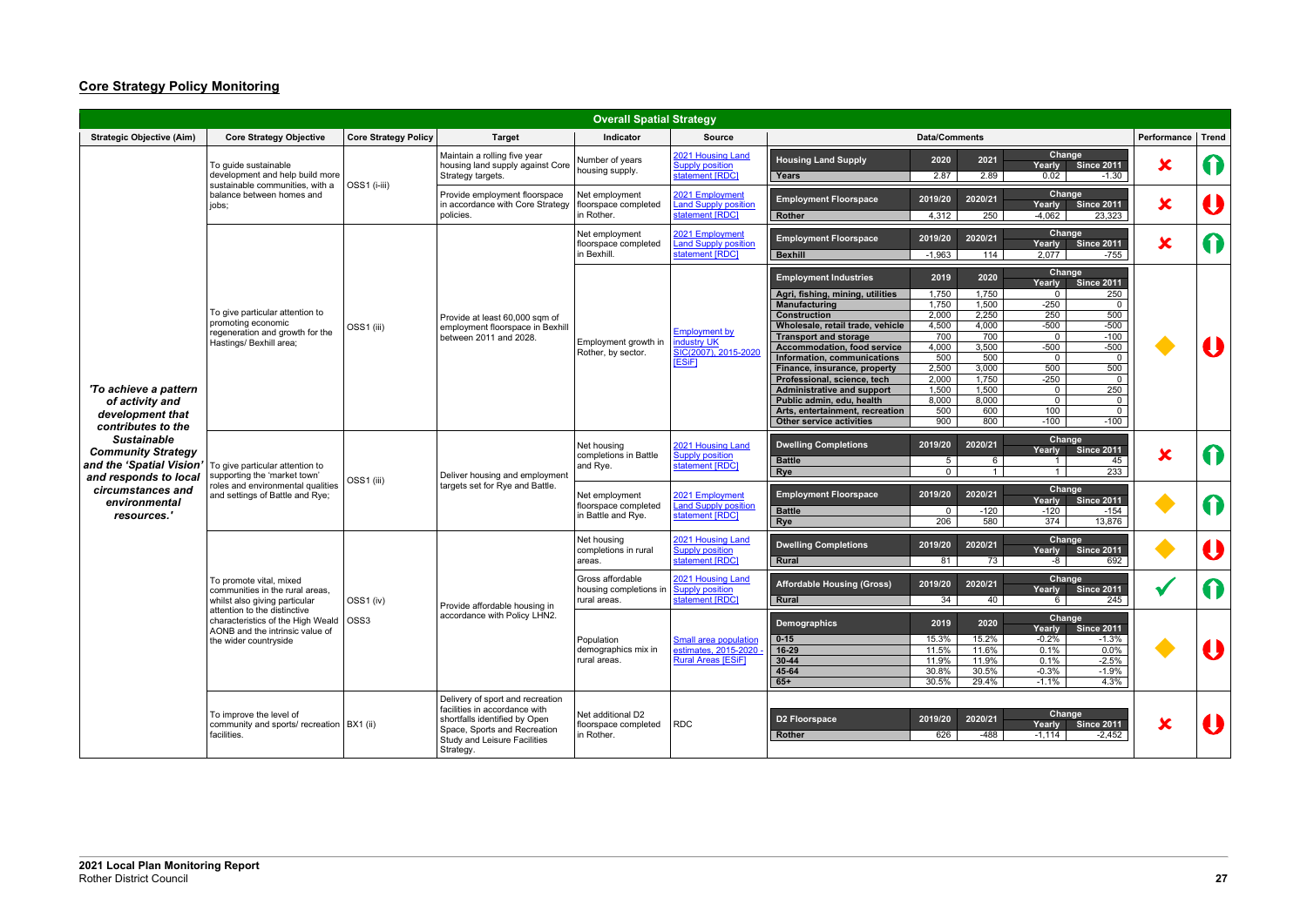## **Core Strategy Policy Monitoring**

|                                                                                                      |                                                                                                                                         |                             |                                                                                                                                                                                 | <b>Overall Spatial Strategy</b>                              |                                                                                   |                                                                                                                                                                                                                                                                                                                                                                                                                                                                 |                                                                                                                                                                                                                                        |                                                                                                                                                                                                                                                                                                                                            |                           |              |
|------------------------------------------------------------------------------------------------------|-----------------------------------------------------------------------------------------------------------------------------------------|-----------------------------|---------------------------------------------------------------------------------------------------------------------------------------------------------------------------------|--------------------------------------------------------------|-----------------------------------------------------------------------------------|-----------------------------------------------------------------------------------------------------------------------------------------------------------------------------------------------------------------------------------------------------------------------------------------------------------------------------------------------------------------------------------------------------------------------------------------------------------------|----------------------------------------------------------------------------------------------------------------------------------------------------------------------------------------------------------------------------------------|--------------------------------------------------------------------------------------------------------------------------------------------------------------------------------------------------------------------------------------------------------------------------------------------------------------------------------------------|---------------------------|--------------|
| <b>Strategic Objective (Aim)</b>                                                                     | <b>Core Strategy Objective</b>                                                                                                          | <b>Core Strategy Policy</b> | <b>Target</b>                                                                                                                                                                   | Indicator                                                    | <b>Source</b>                                                                     |                                                                                                                                                                                                                                                                                                                                                                                                                                                                 | <b>Data/Comments</b>                                                                                                                                                                                                                   |                                                                                                                                                                                                                                                                                                                                            | Performance               | <b>Trend</b> |
|                                                                                                      | To guide sustainable<br>development and help build more<br>sustainable communities, with a                                              | OSS1 (i-iii)                | Maintain a rolling five year<br>housing land supply against Core<br>Strategy targets.                                                                                           | Number of years<br>housing supply.                           | 2021 Housing Land<br><b>Supply position</b><br>statement [RDC]                    | <b>Housing Land Supply</b><br>Years                                                                                                                                                                                                                                                                                                                                                                                                                             | 2020<br>2021<br>2.87<br>2.89                                                                                                                                                                                                           | Change<br><b>Since 2011</b><br><b>Yearly</b><br>0.02<br>$-1.30$                                                                                                                                                                                                                                                                            | $\bm{x}$                  |              |
|                                                                                                      | balance between homes and<br>jobs;                                                                                                      |                             | Provide employment floorspace<br>in accordance with Core Strategy<br>policies.                                                                                                  | Net employment<br>floorspace completed<br>in Rother.         | 2021 Employment<br><b>Land Supply position</b><br>statement [RDC]                 | <b>Employment Floorspace</b><br>Rother                                                                                                                                                                                                                                                                                                                                                                                                                          | 2020/21<br>2019/20<br>4,312<br>250                                                                                                                                                                                                     | Change<br><b>Since 2011</b><br>Yearly<br>$-4,062$<br>23,323                                                                                                                                                                                                                                                                                | $\bm{x}$                  |              |
|                                                                                                      |                                                                                                                                         |                             |                                                                                                                                                                                 | Net employment<br>floorspace completed<br>in Bexhill.        | 2021 Employment<br><b>Land Supply position</b><br>statement [RDC]                 | <b>Employment Floorspace</b><br><b>Bexhill</b>                                                                                                                                                                                                                                                                                                                                                                                                                  | 2020/21<br>2019/20<br>$-1,963$<br>114                                                                                                                                                                                                  | Change<br>Yearly<br><b>Since 2011</b><br>2,077<br>$-755$                                                                                                                                                                                                                                                                                   | $\overline{\textbf{x}}$   |              |
| 'To achieve a pattern<br>of activity and<br>development that<br>contributes to the                   | To give particular attention to<br>promoting economic<br>regeneration and growth for the<br>Hastings/ Bexhill area;                     | OSS1 (iii)                  | Provide at least 60,000 sqm of<br>employment floorspace in Bexhill<br>between 2011 and 2028.                                                                                    | Employment growth in<br>Rother, by sector.                   | <b>Employment by</b><br><b>Industry UK</b><br>SIC(2007), 2015-202<br><b>ESiF1</b> | <b>Employment Industries</b><br>Agri, fishing, mining, utilities<br><b>Manufacturing</b><br><b>Construction</b><br>Wholesale, retail trade, vehicle<br><b>Transport and storage</b><br><b>Accommodation, food service</b><br>Information, communications<br>Finance, insurance, property<br>Professional, science, tech<br><b>Administrative and support</b><br>Public admin, edu, health<br>Arts, entertainment, recreation<br><b>Other service activities</b> | 2019<br>2020<br>1,750<br>1,750<br>1,750<br>1,500<br>2,000<br>2,250<br>4,500<br>4,000<br>700<br>700<br>4,000<br>3,500<br>500<br>500<br>2,500<br>3,000<br>2,000<br>1,750<br>1,500<br>1,500<br>8,000<br>8,000<br>500<br>600<br>900<br>800 | Change<br>Yearly<br><b>Since 2011</b><br>250<br>$\mathbf{0}$<br>$-250$<br>$\mathbf 0$<br>250<br>500<br>$-500$<br>$-500$<br>$-100$<br>$\mathbf{0}$<br>$-500$<br>$-500$<br>$\mathbf 0$<br>$\mathbf 0$<br>500<br>500<br>$-250$<br>$\mathbf 0$<br>250<br>$\mathbf 0$<br>$\mathbf{0}$<br>$\mathbf{0}$<br>100<br>$\mathbf 0$<br>$-100$<br>$-100$ |                           |              |
| <b>Sustainable</b><br><b>Community Strategy</b><br>and the 'Spatial Vision'<br>and responds to local | To give particular attention to<br>supporting the 'market town'<br>roles and environmental qualities<br>and settings of Battle and Rye; | OSS1 (iii)                  | Deliver housing and employment                                                                                                                                                  | Net housing<br>completions in Battle<br>and Rye.             | 2021 Housing Land<br><b>Supply position</b><br>statement [RDC]                    | <b>Dwelling Completions</b><br><b>Battle</b><br>Rye                                                                                                                                                                                                                                                                                                                                                                                                             | 2019/20<br>2020/21<br>5<br>6<br>$\overline{0}$<br>$\mathbf{1}$                                                                                                                                                                         | Change<br><b>Since 2011</b><br>Yearly<br>45<br>$\overline{1}$<br>233<br>$\mathbf{1}$                                                                                                                                                                                                                                                       | $\bm{x}$                  |              |
| circumstances and<br>environmental<br>resources.'                                                    |                                                                                                                                         |                             | targets set for Rye and Battle.                                                                                                                                                 | Net employment<br>floorspace completed<br>in Battle and Rye. | 2021 Employment<br><b>Land Supply position</b><br>statement [RDC]                 | <b>Employment Floorspace</b><br><b>Battle</b><br>Rye                                                                                                                                                                                                                                                                                                                                                                                                            | 2020/21<br>2019/20<br>$-120$<br>$\mathbf 0$<br>206<br>580                                                                                                                                                                              | Change<br>Yearly<br><b>Since 2011</b><br>$-154$<br>$-120$<br>374<br>13,876                                                                                                                                                                                                                                                                 |                           |              |
|                                                                                                      |                                                                                                                                         |                             |                                                                                                                                                                                 | Net housing<br>completions in rural<br>areas.                | 2021 Housing Land<br><b>Supply position</b><br>statement [RDC]                    | <b>Dwelling Completions</b><br>Rural                                                                                                                                                                                                                                                                                                                                                                                                                            | 2019/20<br>2020/21<br>81<br>73                                                                                                                                                                                                         | Change<br><b>Since 2011</b><br>Yearly<br>692<br>-8                                                                                                                                                                                                                                                                                         |                           |              |
|                                                                                                      | To promote vital. mixed<br>communities in the rural areas,<br>whilst also giving particular<br>attention to the distinctive             | OSS1 (iv)                   | Provide affordable housing in                                                                                                                                                   | Gross affordable<br>housing completions in<br>rural areas.   | 2021 Housing Land<br><b>Supply position</b><br>statement [RDC]                    | <b>Affordable Housing (Gross)</b><br>Rural                                                                                                                                                                                                                                                                                                                                                                                                                      | 2020/21<br>2019/20<br>34<br>40                                                                                                                                                                                                         | Change<br>Yearly<br><b>Since 2011</b><br>245<br>$6 \quad$                                                                                                                                                                                                                                                                                  |                           |              |
|                                                                                                      | characteristics of the High Weald<br>AONB and the intrinsic value of<br>the wider countryside                                           | OSS <sub>3</sub>            | accordance with Policy LHN2.                                                                                                                                                    | Population<br>demographics mix in<br>rural areas.            | Small area population<br>estimates, 2015-2020<br>Rural Areas [ESiF]               | <b>Demographics</b><br>$0 - 15$<br>$16-29$<br>$30 - 44$<br>$45 - 64$<br>$65+$                                                                                                                                                                                                                                                                                                                                                                                   | 2019<br>2020<br>15.3%<br>15.2%<br>11.5%<br>11.6%<br>11.9%<br>11.9%<br>30.8%<br>30.5%<br>30.5%<br>29.4%                                                                                                                                 | Change<br>Yearly<br><b>Since 2011</b><br>$-0.2%$<br>$-1.3%$<br>0.1%<br>$0.0\%$<br>0.1%<br>$-2.5%$<br>$-0.3%$<br>$-1.9%$<br>4.3%<br>$-1.1%$                                                                                                                                                                                                 |                           |              |
|                                                                                                      | To improve the level of<br>community and sports/ recreation   BX1 (ii)<br>facilities.                                                   |                             | Delivery of sport and recreation<br>facilities in accordance with<br>shortfalls identified by Open<br>Space, Sports and Recreation<br>Study and Leisure Facilities<br>Strategy. | Net additional D2<br>floorspace completed<br>in Rother.      | RDC                                                                               | <b>D2 Floorspace</b><br>Rother                                                                                                                                                                                                                                                                                                                                                                                                                                  | 2019/20<br>2020/21<br>626<br>-488                                                                                                                                                                                                      | Change<br>Yearly Since 2011<br>$-1,114$<br>$-2,452$                                                                                                                                                                                                                                                                                        | $\boldsymbol{\mathsf{x}}$ |              |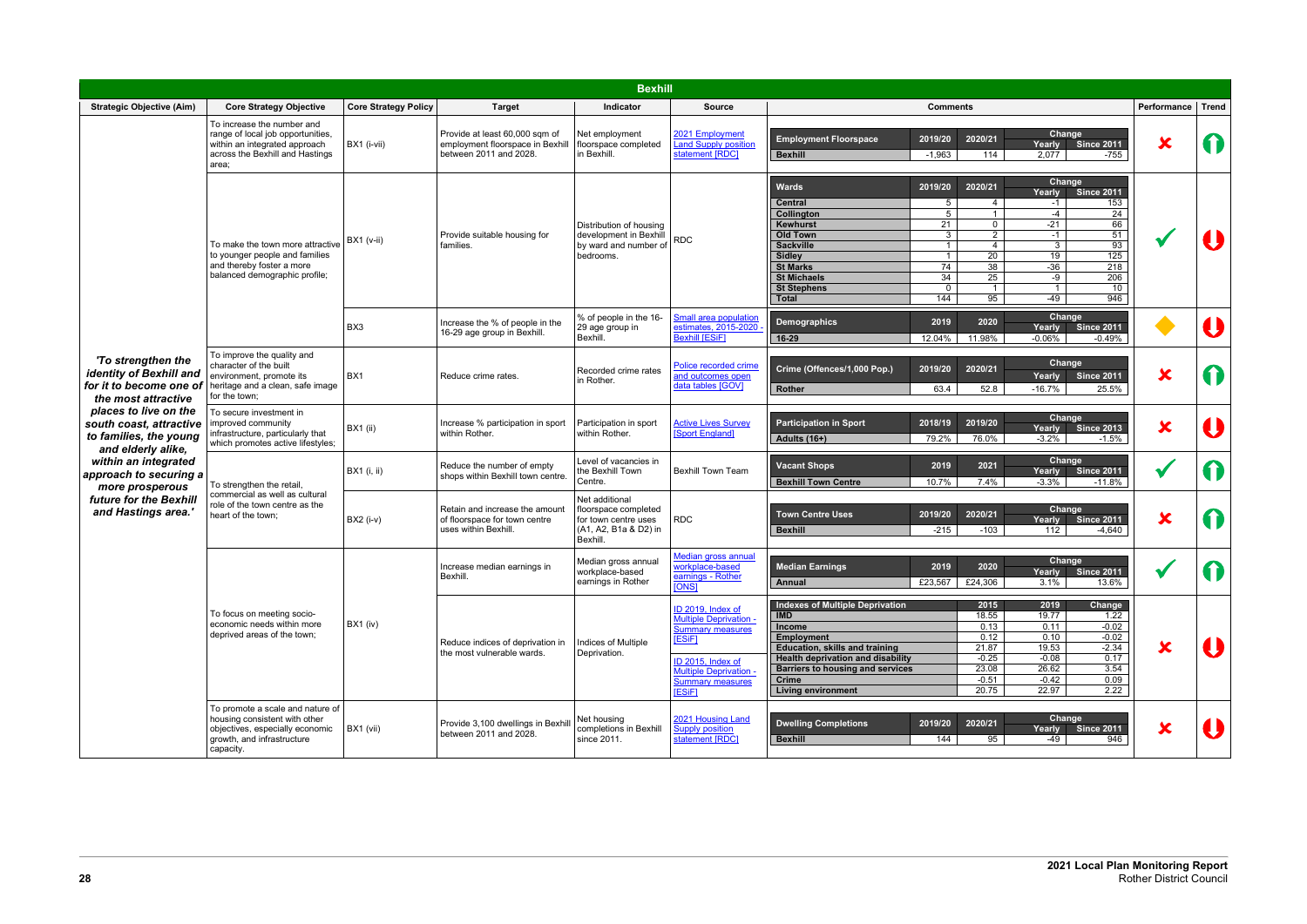|                                                                                                  |                                                                                                                                                 |                             |                                                                                              | <b>Bexhill</b>                                                                                      |                                                                                                                                                                                 |                                                                                                                                                                                                                                                                                                                                                                                                                                                                                                                                                                                                                                                             |                           |                  |
|--------------------------------------------------------------------------------------------------|-------------------------------------------------------------------------------------------------------------------------------------------------|-----------------------------|----------------------------------------------------------------------------------------------|-----------------------------------------------------------------------------------------------------|---------------------------------------------------------------------------------------------------------------------------------------------------------------------------------|-------------------------------------------------------------------------------------------------------------------------------------------------------------------------------------------------------------------------------------------------------------------------------------------------------------------------------------------------------------------------------------------------------------------------------------------------------------------------------------------------------------------------------------------------------------------------------------------------------------------------------------------------------------|---------------------------|------------------|
| <b>Strategic Objective (Aim)</b>                                                                 | <b>Core Strategy Objective</b>                                                                                                                  | <b>Core Strategy Policy</b> | <b>Target</b>                                                                                | Indicator                                                                                           | <b>Source</b>                                                                                                                                                                   | <b>Comments</b>                                                                                                                                                                                                                                                                                                                                                                                                                                                                                                                                                                                                                                             | Performance               | Trend            |
|                                                                                                  | To increase the number and<br>range of local job opportunities,<br>within an integrated approach<br>across the Bexhill and Hastings<br>area;    | BX1 (i-vii)                 | Provide at least 60,000 sqm of<br>employment floorspace in Bexhill<br>between 2011 and 2028. | Net employment<br>floorspace completed<br>in Bexhill.                                               | 2021 Employment<br><b>Land Supply position</b><br>statement [RDC]                                                                                                               | Change<br>2020/21<br><b>Employment Floorspace</b><br>2019/20<br><b>Since 2011</b><br>Yearly<br><b>Bexhill</b><br>$-1,963$<br>114<br>2,077<br>-755                                                                                                                                                                                                                                                                                                                                                                                                                                                                                                           | X                         |                  |
|                                                                                                  | To make the town more attractive<br>to younger people and families<br>and thereby foster a more<br>balanced demographic profile;                | $BX1$ ( $v$ -ii)            | Provide suitable housing for<br>families.                                                    | Distribution of housing<br>development in Bexhill<br>by ward and number of<br>bedrooms.             | <b>RDC</b>                                                                                                                                                                      | Change<br>2019/20<br>2020/21<br><b>Wards</b><br><b>Since 2011</b><br>Yearly<br>5<br>153<br><b>Central</b><br>4<br>$-1$<br>$5\phantom{.0}$<br>$-4$<br>24<br>Collington<br>$\overline{1}$<br>66<br>Kewhurst<br>21<br>$-21$<br>$\mathbf 0$<br>$\overline{2}$<br>51<br>$\mathbf{3}$<br><b>Old Town</b><br>$-1$<br>93<br><b>Sackville</b><br>$\mathbf{1}$<br>$\overline{4}$<br>3<br>20<br>125<br>$\overline{1}$<br>19<br><b>Sidley</b><br>74<br><b>St Marks</b><br>38<br>$-36$<br>218<br>34<br><b>St Michaels</b><br>25<br>-9<br>206<br>$\overline{1}$<br><b>St Stephens</b><br>$\mathbf 0$<br>$\overline{1}$<br>10<br>144<br>95<br>$-49$<br>946<br><b>Total</b> |                           |                  |
|                                                                                                  |                                                                                                                                                 | BX <sub>3</sub>             | Increase the % of people in the<br>16-29 age group in Bexhill.                               | % of people in the 16-<br>29 age group in<br>Bexhill.                                               | <b>Small area population</b><br>estimates, 2015-2020<br><b>Bexhill [ESiF]</b>                                                                                                   | Change<br>2020<br>2019<br><b>Demographics</b><br><b>Since 2011</b><br>Yearly<br>11.98%<br>$-0.06%$<br>$-0.49%$<br>16-29<br>12.04%                                                                                                                                                                                                                                                                                                                                                                                                                                                                                                                           |                           |                  |
| 'To strengthen the<br>identity of Bexhill and<br>for it to become one of<br>the most attractive  | To improve the quality and<br>character of the built<br>environment, promote its<br>heritage and a clean, safe image<br>for the town;           | BX1                         | Reduce crime rates.                                                                          | Recorded crime rates<br>in Rother.                                                                  | Police recorded crime<br>and outcomes open<br>data tables [GOV]                                                                                                                 | Change<br>2020/21<br>Crime (Offences/1,000 Pop.)<br>2019/20<br><b>Since 2011</b><br>Yearly<br>$-16.7%$<br>63.4<br>52.8<br>25.5%<br><b>Rother</b>                                                                                                                                                                                                                                                                                                                                                                                                                                                                                                            | $\overline{\textbf{x}}$   |                  |
| places to live on the<br>south coast, attractive<br>to families, the young<br>and elderly alike, | To secure investment in<br>improved community<br>infrastructure, particularly that<br>which promotes active lifestyles;                         | <b>BX1</b> (ii)             | Increase % participation in sport<br>within Rother.                                          | Participation in sport<br>within Rother.                                                            | <b>Active Lives Survey</b><br>[Sport England]                                                                                                                                   | Change<br><b>Participation in Sport</b><br>2018/19<br>2019/20<br><b>Since 2013</b><br>Yearly<br>Adults $(16+)$<br>79.2%<br>76.0%<br>$-3.2%$<br>$-1.5%$                                                                                                                                                                                                                                                                                                                                                                                                                                                                                                      | $\overline{\textbf{x}}$   |                  |
| within an integrated<br>approach to securing a<br>more prosperous                                | To strengthen the retail,<br>commercial as well as cultural<br>role of the town centre as the<br>heart of the town;                             | <b>BX1</b> (i, ii)          | Reduce the number of empty<br>shops within Bexhill town centre.                              | Level of vacancies in<br>the Bexhill Town<br>Centre.                                                | <b>Bexhill Town Team</b>                                                                                                                                                        | Change<br><b>Vacant Shops</b><br>2019<br>2021<br>Since 2011<br>Yearly<br><b>Bexhill Town Centre</b><br>10.7%<br>7.4%<br>$-3.3%$<br>$-11.8%$                                                                                                                                                                                                                                                                                                                                                                                                                                                                                                                 |                           |                  |
| future for the Bexhill<br>and Hastings area.'                                                    |                                                                                                                                                 | <b>BX2</b> (i-v)            | Retain and increase the amount<br>of floorspace for town centre<br>uses within Bexhill.      | Net additional<br>floorspace completed<br>for town centre uses<br>(A1, A2, B1a & D2) in<br>Bexhill. | <b>RDC</b>                                                                                                                                                                      | <b>Change</b><br>2020/21<br>2019/20<br><b>Town Centre Uses</b><br><b>Since 2011</b><br>Yearly<br>$-215$<br>$-103$<br><b>Bexhill</b><br>112<br>$-4,640$                                                                                                                                                                                                                                                                                                                                                                                                                                                                                                      | $\overline{\textbf{x}}$   |                  |
|                                                                                                  |                                                                                                                                                 |                             | Increase median earnings in<br>Bexhill.                                                      | Median gross annual<br>workplace-based<br>earnings in Rother                                        | Median gross annual<br>workplace-based<br>earnings - Rother<br><b>TONST</b>                                                                                                     | Change<br><b>Median Earnings</b><br>2019<br>2020<br>Yearly Since 2011<br>£23,567<br>£24,306<br>3.1%<br>13.6%<br>Annual                                                                                                                                                                                                                                                                                                                                                                                                                                                                                                                                      |                           | $\mathbf \Omega$ |
|                                                                                                  | To focus on meeting socio-<br>economic needs within more<br>deprived areas of the town;                                                         | $BX1$ (iv)                  | Reduce indices of deprivation in<br>the most vulnerable wards.                               | Indices of Multiple<br>Deprivation.                                                                 | ID 2019, Index of<br>Multiple Deprivation -<br>Summary measures<br><b>[ESiF]</b><br>ID 2015, Index of<br><b>Multiple Deprivation</b><br><b>Summary measures</b><br><b>ESiF1</b> | <b>Indexes of Multiple Deprivation</b><br>2019<br>2015<br>Change<br><b>IMD</b><br>18.55<br>19.77<br>1.22<br>$-0.02$<br>Income<br>0.13<br>0.11<br>$-0.02$<br>0.12<br>0.10<br><b>Employment</b><br>$-2.34$<br>21.87<br>19.53<br><b>Education, skills and training</b><br>$-0.25$<br>$-0.08$<br>0.17<br><b>Health deprivation and disability</b><br>23.08<br>26.62<br>3.54<br><b>Barriers to housing and services</b><br><b>Crime</b><br>$-0.51$<br>$-0.42$<br>0.09<br>20.75<br>2.22<br>22.97<br><b>Living environment</b>                                                                                                                                     | ×                         |                  |
|                                                                                                  | To promote a scale and nature of<br>housing consistent with other<br>objectives, especially economic<br>growth, and infrastructure<br>capacity. | BX1 (vii)                   | Provide 3,100 dwellings in Bexhil<br>between 2011 and 2028.                                  | Net housing<br>completions in Bexhill<br>since 2011.                                                | 2021 Housing Land<br><b>Supply position</b><br>statement [RDC]                                                                                                                  | Change<br><b>Dwelling Completions</b><br>2019/20<br>2020/21<br>Yearly Since 2011<br>144<br>95<br><b>Bexhill</b><br>$-49$<br>946                                                                                                                                                                                                                                                                                                                                                                                                                                                                                                                             | $\boldsymbol{\mathsf{x}}$ |                  |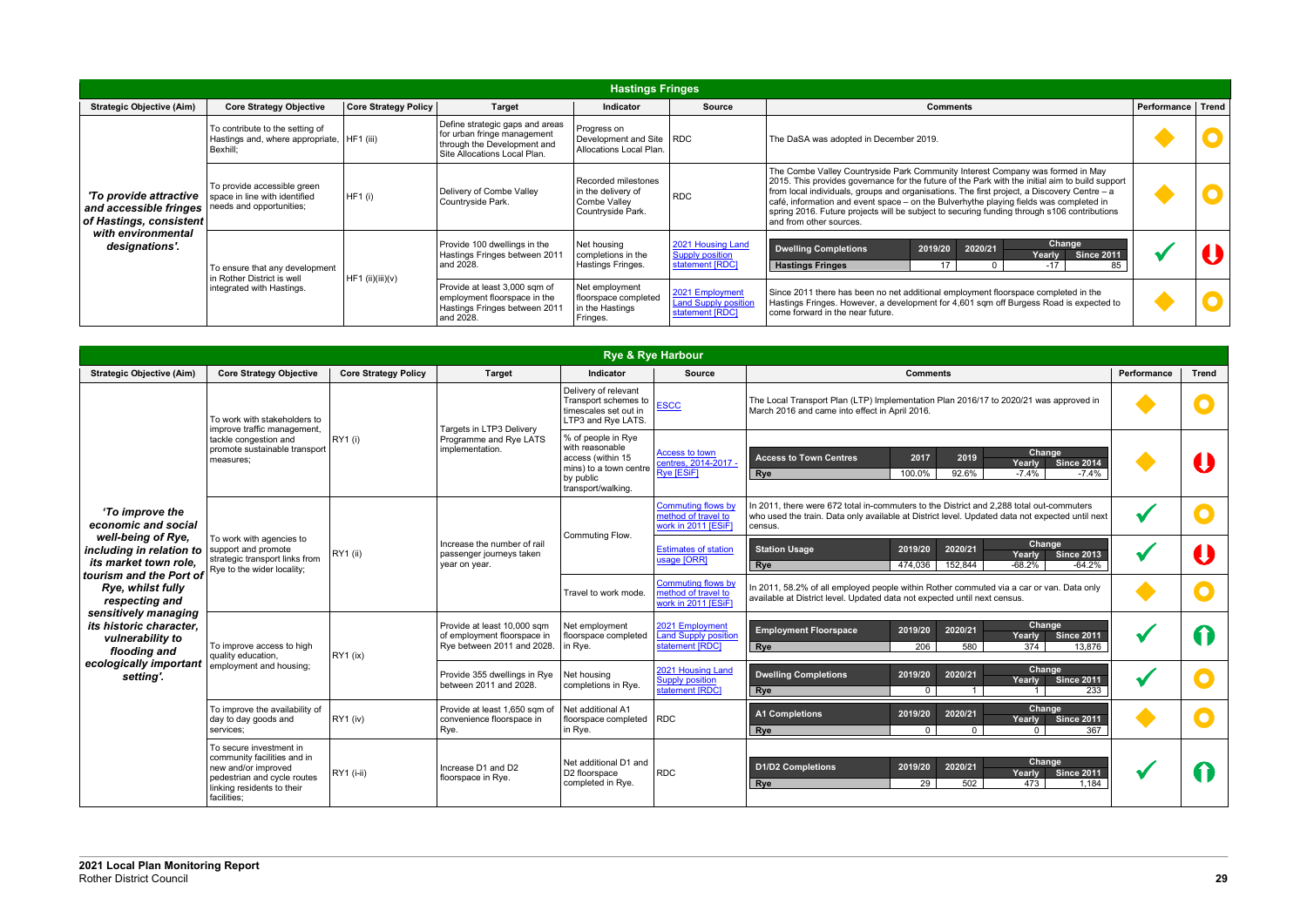|                                                                             |                                                                                             |                             |                                                                                                                               | <b>Hastings Fringes</b>                                                        |                                                                   |                                                                                                                                                                                                                                                                                                                                                                                                                                                                                                        |                   |  |
|-----------------------------------------------------------------------------|---------------------------------------------------------------------------------------------|-----------------------------|-------------------------------------------------------------------------------------------------------------------------------|--------------------------------------------------------------------------------|-------------------------------------------------------------------|--------------------------------------------------------------------------------------------------------------------------------------------------------------------------------------------------------------------------------------------------------------------------------------------------------------------------------------------------------------------------------------------------------------------------------------------------------------------------------------------------------|-------------------|--|
| <b>Strategic Objective (Aim)</b>                                            | <b>Core Strategy Objective</b>                                                              | <b>Core Strategy Policy</b> | <b>Target</b>                                                                                                                 | <b>Indicator</b>                                                               | <b>Source</b>                                                     | <b>Comments</b>                                                                                                                                                                                                                                                                                                                                                                                                                                                                                        | Performance Trend |  |
|                                                                             | To contribute to the setting of<br>Hastings and, where appropriate,   HF1 (iii)<br>Bexhill: |                             | Define strategic gaps and areas<br>for urban fringe management<br>through the Development and<br>Site Allocations Local Plan. | Progress on<br>Development and Site RDC<br>Allocations Local Plan.             |                                                                   | The DaSA was adopted in December 2019.                                                                                                                                                                                                                                                                                                                                                                                                                                                                 |                   |  |
| 'To provide attractive<br>and accessible fringes<br>of Hastings, consistent | To provide accessible green<br>space in line with identified<br>needs and opportunities;    | HF1 (i)                     | Delivery of Combe Valley<br>Countryside Park.                                                                                 | Recorded milestones<br>in the delivery of<br>Combe Valley<br>Countryside Park. | <b>RDC</b>                                                        | The Combe Valley Countryside Park Community Interest Company was formed in May<br>2015. This provides governance for the future of the Park with the initial aim to build support<br>from local individuals, groups and organisations. The first project, a Discovery Centre $-$ a<br>café, information and event space - on the Bulverhythe playing fields was completed in<br>spring 2016. Future projects will be subject to securing funding through s106 contributions<br>and from other sources. |                   |  |
| with environmental<br>designations'.                                        | To ensure that any development<br>in Rother District is well                                | HF1 (ii)(iii)(v)            | Provide 100 dwellings in the<br>Hastings Fringes between 2011<br>and 2028.                                                    | Net housing<br>completions in the<br>Hastings Fringes.                         | 2021 Housing Land<br>Supply position<br>statement [RDC]           | Change<br><b>Dwelling Completions</b><br>2020/21<br>2019/20<br><b>Since 2011</b><br>Yearly<br>17<br>$-17$<br>85<br><b>Hastings Fringes</b>                                                                                                                                                                                                                                                                                                                                                             |                   |  |
|                                                                             | integrated with Hastings.                                                                   |                             | Provide at least 3,000 sqm of<br>employment floorspace in the<br>Hastings Fringes between 2011<br>and 2028.                   | Net employment<br>floorspace completed<br>in the Hastings<br>Fringes.          | 2021 Employment<br><b>Land Supply position</b><br>statement [RDC] | Since 2011 there has been no net additional employment floorspace completed in the<br>Hastings Fringes. However, a development for 4,601 sqm off Burgess Road is expected to<br>come forward in the near future.                                                                                                                                                                                                                                                                                       |                   |  |

|                                                                                                    |                                                                                                                                                           |                             |                                                                                          |                                                                                                                         | <b>Rye &amp; Rye Harbour</b>                                            |                                                                                                                                                                                                        |             |              |
|----------------------------------------------------------------------------------------------------|-----------------------------------------------------------------------------------------------------------------------------------------------------------|-----------------------------|------------------------------------------------------------------------------------------|-------------------------------------------------------------------------------------------------------------------------|-------------------------------------------------------------------------|--------------------------------------------------------------------------------------------------------------------------------------------------------------------------------------------------------|-------------|--------------|
| <b>Strategic Objective (Aim)</b>                                                                   | <b>Core Strategy Objective</b>                                                                                                                            | <b>Core Strategy Policy</b> | <b>Target</b>                                                                            | <b>Indicator</b>                                                                                                        | <b>Source</b>                                                           | <b>Comments</b>                                                                                                                                                                                        | Performance | <b>Trend</b> |
|                                                                                                    | To work with stakeholders to<br>improve traffic management,                                                                                               |                             | Targets in LTP3 Delivery                                                                 | Delivery of relevant<br>Transport schemes to<br>timescales set out in<br>LTP3 and Rye LATS.                             | <b>ESCC</b>                                                             | The Local Transport Plan (LTP) Implementation Plan 2016/17 to 2020/21 was approved in<br>March 2016 and came into effect in April 2016.                                                                |             |              |
|                                                                                                    | tackle congestion and<br>promote sustainable transport<br>measures:                                                                                       | <b>RY1</b> (i)              | Programme and Rye LATS<br>implementation.                                                | % of people in Rye<br>with reasonable<br>access (within 15<br>mins) to a town centre<br>by public<br>transport/walking. | <b>Access to town</b><br>centres, 2014-2017 -<br><b>Rye [ESiF]</b>      | Change<br><b>Access to Town Centres</b><br>2017<br>2019<br><b>Since 2014</b><br>Yearly<br>92.6%<br>$-7.4%$<br>100.0%<br>$-7.4%$<br>Rye                                                                 |             |              |
| 'To improve the<br>economic and social                                                             | To work with agencies to<br>support and promote<br>strategic transport links from<br>Rye to the wider locality;                                           |                             |                                                                                          | Commuting Flow.                                                                                                         | Commuting flows by<br>method of travel to<br>work in 2011 [ESiF]        | In 2011, there were 672 total in-commuters to the District and 2,288 total out-commuters<br>who used the train. Data only available at District level. Updated data not expected until next<br>census. |             |              |
| well-being of Rye,<br>including in relation to<br>its market town role,<br>tourism and the Port of |                                                                                                                                                           | <b>RY1</b> (ii)             | Increase the number of rail<br>passenger journeys taken<br>year on year.                 |                                                                                                                         | <b>Estimates of station</b><br>usage [ORR]                              | Change<br>2020/21<br><b>Station Usage</b><br>2019/20<br><b>Since 2013</b><br>Yearly<br>152,844<br>$-68.2%$<br>$-64.2%$<br>474,036<br>Rye                                                               |             |              |
| Rye, whilst fully<br>respecting and<br>sensitively managing                                        |                                                                                                                                                           |                             |                                                                                          | Travel to work mode.                                                                                                    | <b>Commuting flows by</b><br>method of travel to<br>work in 2011 [ESiF] | In 2011, 58.2% of all employed people within Rother commuted via a car or van. Data only<br>available at District level. Updated data not expected until next census.                                  |             |              |
| its historic character,<br>vulnerability to<br>flooding and                                        | To improve access to high<br>quality education,                                                                                                           | RY1 (ix)                    | Provide at least 10,000 sqm<br>of employment floorspace in<br>Rye between 2011 and 2028. | Net employment<br>floorspace completed<br>in Rye.                                                                       | 2021 Employment<br><b>Land Supply position</b><br>statement [RDC]       | Change<br><b>Employment Floorspace</b><br>2020/21<br>2019/20<br><b>Since 2011</b><br>Yearly<br>206<br>580<br>374<br>13,876<br><b>Rye</b>                                                               |             |              |
| ecologically important<br>setting'.                                                                | employment and housing;                                                                                                                                   |                             | Provide 355 dwellings in Rye<br>between 2011 and 2028.                                   | Net housing<br>completions in Rye.                                                                                      | 2021 Housing Land<br><b>Supply position</b><br>statement [RDC]          | Change<br><b>Dwelling Completions</b><br>2020/21<br>2019/20<br><b>Since 2011</b><br>Yearly<br>233<br>Rye<br>$\mathbf{0}$                                                                               |             |              |
|                                                                                                    | To improve the availability of<br>day to day goods and<br>services:                                                                                       | RY1 (iv)                    | Provide at least 1,650 sqm of<br>convenience floorspace in<br>Rye.                       | Net additional A1<br>floorspace completed   RDC<br>in Rye.                                                              |                                                                         | Change<br><b>A1 Completions</b><br>2020/21<br>2019/20<br><b>Since 2011</b><br>Yearly<br>367<br>Rye<br>$\mathbf{0}$<br>$\Omega$<br>$\Omega$                                                             |             |              |
|                                                                                                    | To secure investment in<br>community facilities and in<br>new and/or improved<br>pedestrian and cycle routes<br>linking residents to their<br>facilities; | RY1 (i-ii)                  | Increase D1 and D2<br>floorspace in Rye.                                                 | Net additional D1 and<br>D <sub>2</sub> floorspace<br>completed in Rye.                                                 | <b>RDC</b>                                                              | Change<br><b>D1/D2 Completions</b><br>2019/20<br>2020/21<br><b>Since 2011</b><br>Yearly<br>502<br>29<br>473<br>1.184<br>Rye                                                                            |             |              |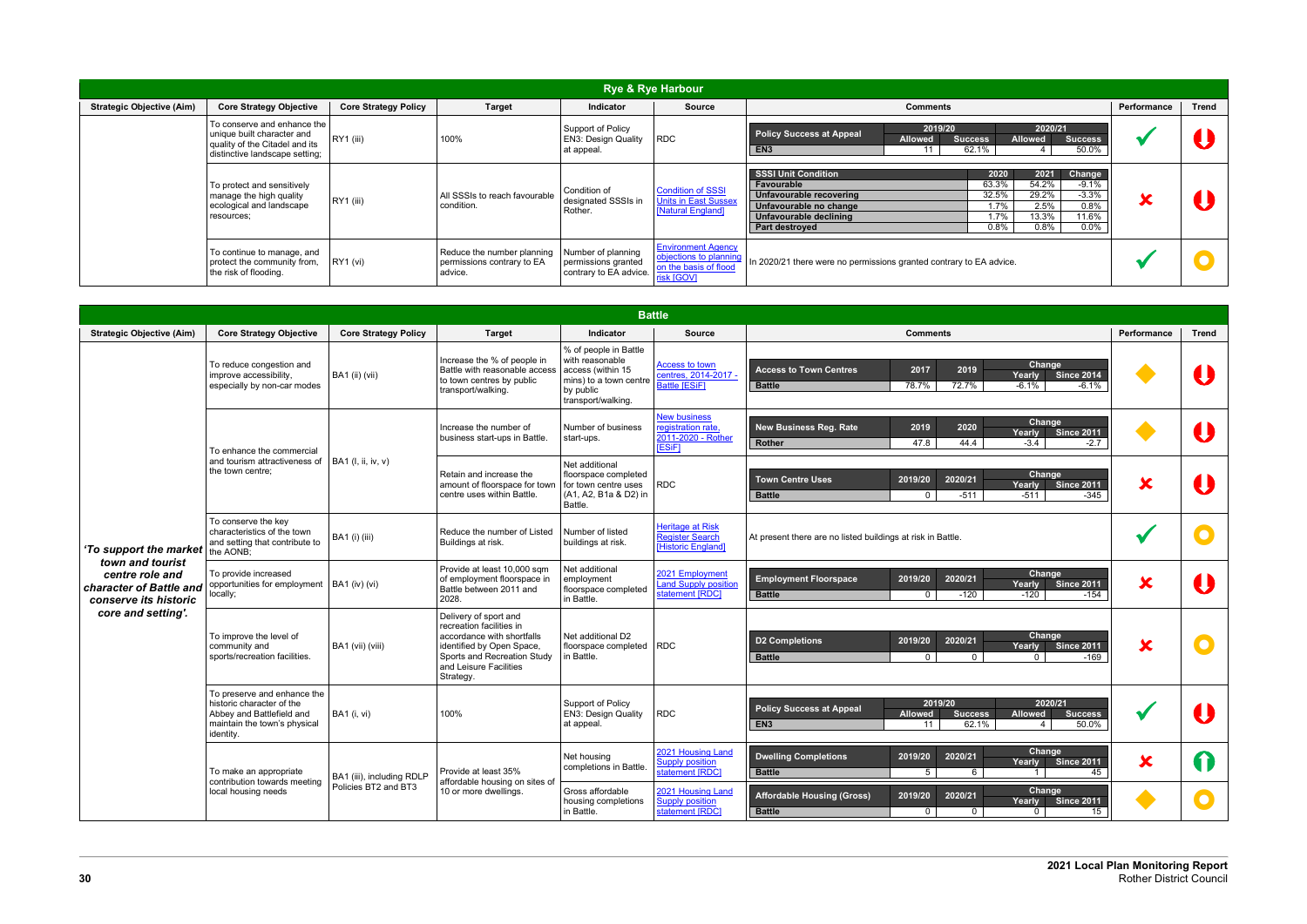|                                  |                                                                                                                               |                             |                                                                     |                                                                     | <b>Rye &amp; Rye Harbour</b>                                                               |                                                                                                                                                                                                                                                                                                                     |             |       |
|----------------------------------|-------------------------------------------------------------------------------------------------------------------------------|-----------------------------|---------------------------------------------------------------------|---------------------------------------------------------------------|--------------------------------------------------------------------------------------------|---------------------------------------------------------------------------------------------------------------------------------------------------------------------------------------------------------------------------------------------------------------------------------------------------------------------|-------------|-------|
| <b>Strategic Objective (Aim)</b> | <b>Core Strategy Objective</b>                                                                                                | <b>Core Strategy Policy</b> | <b>Target</b>                                                       | <b>Indicator</b>                                                    | <b>Source</b>                                                                              | <b>Comments</b>                                                                                                                                                                                                                                                                                                     | Performance | Trend |
|                                  | To conserve and enhance the<br>unique built character and<br>quality of the Citadel and its<br>distinctive landscape setting; | RY1 (iii)                   | 100%                                                                | Support of Policy<br><b>EN3: Design Quality</b><br>at appeal.       | <b>RDC</b>                                                                                 | 2019/20<br>2020/21<br><b>Policy Success at Appeal</b><br><b>Allowed</b><br><b>Allowed</b><br><b>Success</b><br><b>Success</b><br>50.0%<br>62.1%<br>EN <sub>3</sub><br>11                                                                                                                                            |             |       |
|                                  | To protect and sensitively<br>manage the high quality<br>ecological and landscape<br>resources;                               | RY1 (iii)                   | All SSSIs to reach favourable<br>condition.                         | Condition of<br>designated SSSIs in<br>Rother.                      | <b>Condition of SSSI</b><br><b>Units in East Sussex</b><br>[Natural England]               | <b>SSSI Unit Condition</b><br>2021<br>Change<br>2020<br>54.2%<br>63.3%<br>$-9.1\%$<br>Favourable<br>29.2%<br>$-3.3\%$<br>32.5%<br>Unfavourable recovering<br>0.8%<br>2.5%<br>1.7%<br>Unfavourable no change<br>13.3%<br>11.6%<br>1.7%<br>Unfavourable declining<br>$0.0\%$<br>0.8%<br>0.8%<br><b>Part destroved</b> | ▰           |       |
|                                  | To continue to manage, and<br>protect the community from,<br>the risk of flooding.                                            | RY1 (vi)                    | Reduce the number planning<br>permissions contrary to EA<br>advice. | Number of planning<br>permissions granted<br>contrary to EA advice. | <b>Environment Agency</b><br>objections to planning<br>on the basis of flood<br>risk [GOV] | In 2020/21 there were no permissions granted contrary to EA advice.                                                                                                                                                                                                                                                 |             |       |

|                                                                                         |                                                                                                                                    |                             |                                                                                                                                                                                    |                                                                                                                            | <b>Battle</b>                                                                   |                                                                                                                                                                                            |                         |              |
|-----------------------------------------------------------------------------------------|------------------------------------------------------------------------------------------------------------------------------------|-----------------------------|------------------------------------------------------------------------------------------------------------------------------------------------------------------------------------|----------------------------------------------------------------------------------------------------------------------------|---------------------------------------------------------------------------------|--------------------------------------------------------------------------------------------------------------------------------------------------------------------------------------------|-------------------------|--------------|
| <b>Strategic Objective (Aim)</b>                                                        | <b>Core Strategy Objective</b>                                                                                                     | <b>Core Strategy Policy</b> | <b>Target</b>                                                                                                                                                                      | <b>Indicator</b>                                                                                                           | <b>Source</b>                                                                   | <b>Comments</b>                                                                                                                                                                            | Performance             | <b>Trend</b> |
|                                                                                         | To reduce congestion and<br>improve accessibility,<br>especially by non-car modes                                                  | BA1 (ii) (vii)              | Increase the % of people in<br>Battle with reasonable access<br>to town centres by public<br>transport/walking.                                                                    | % of people in Battle<br>with reasonable<br>access (within 15<br>mins) to a town centre<br>by public<br>transport/walking. | <b>Access to town</b><br>centres, 2014-2017 -<br><b>Battle [ESiF]</b>           | <b>Change</b><br>2019<br><b>Access to Town Centres</b><br>2017<br>Yearly<br><b>Since 2014</b><br>72.7%<br>$-6.1%$<br>$-6.1%$<br><b>Battle</b><br>78.7%                                     |                         |              |
|                                                                                         | To enhance the commercial                                                                                                          |                             | Increase the number of<br>business start-ups in Battle.                                                                                                                            | Number of business<br>start-ups.                                                                                           | <b>New business</b><br>registration rate,<br>2011-2020 - Rother<br><b>ESiF1</b> | Change<br><b>New Business Reg. Rate</b><br>2020<br>2019<br><b>Since 2011</b><br>Yearly<br>44.4<br><b>Rother</b><br>47.8<br>$-3.4$<br>$-2.7$                                                |                         |              |
|                                                                                         | and tourism attractiveness of<br>the town centre;                                                                                  | BA1 (I, ii, iv, v)          | Retain and increase the<br>amount of floorspace for town<br>centre uses within Battle.                                                                                             | Net additional<br>floorspace completed<br>for town centre uses<br>(A1, A2, B1a & D2) in<br>Battle.                         | <b>RDC</b>                                                                      | <b>Change</b><br>2020/21<br><b>Town Centre Uses</b><br>2019/20<br>Yearly<br><b>Since 2011</b><br><b>Battle</b><br>-511<br>-511<br>$-345$<br>0 <sup>1</sup>                                 | $\overline{\textbf{x}}$ |              |
| 'To support the market  the AONB;                                                       | To conserve the key<br>characteristics of the town<br>and setting that contribute to                                               | <b>BA1</b> (i) (iii)        | Reduce the number of Listed<br>Buildings at risk.                                                                                                                                  | Number of listed<br>buildings at risk.                                                                                     | Heritage at Risk<br><b>Register Search</b><br>Historic England]                 | At present there are no listed buildings at risk in Battle.                                                                                                                                |                         |              |
| town and tourist<br>centre role and<br>character of Battle and<br>conserve its historic | To provide increased<br>opportunities for employment<br>ocally;                                                                    | BA1 (iv) (vi)               | Provide at least 10,000 sqm<br>of employment floorspace in<br>Battle between 2011 and<br>2028.                                                                                     | Net additional<br>employment<br>floorspace completed<br>in Battle.                                                         | 2021 Employment<br><b>Land Supply position</b><br>statement [RDC]               | Change<br>2020/21<br>2019/20<br><b>Employment Floorspace</b><br><b>Since 2011</b><br>Yearly<br>$-120$<br>$-120$<br><b>Battle</b><br>$\mathbf{0}$<br>-154                                   | $\overline{\textbf{x}}$ |              |
| core and setting'.                                                                      | To improve the level of<br>community and<br>sports/recreation facilities.                                                          | BA1 (vii) (viii)            | Delivery of sport and<br>recreation facilities in<br>accordance with shortfalls<br>identified by Open Space,<br>Sports and Recreation Study<br>and Leisure Facilities<br>Strategy. | Net additional D2<br>floorspace completed RDC<br>in Battle.                                                                |                                                                                 | Change<br>2019/20<br>2020/21<br><b>D2 Completions</b><br>Yearly<br><b>Since 2011</b><br><b>Battle</b><br>$-169$<br>$\Omega$<br>$\Omega$                                                    | $\overline{\textbf{x}}$ |              |
|                                                                                         | To preserve and enhance the<br>historic character of the<br>Abbey and Battlefield and<br>maintain the town's physical<br>identity. | BA1 (i, vi)                 | 100%                                                                                                                                                                               | Support of Policy<br><b>EN3: Design Quality</b><br>at appeal.                                                              | <b>RDC</b>                                                                      | 2019/20<br>2020/21<br><b>Policy Success at Appeal</b><br><b>Success</b><br><b>Success</b><br><b>Allowed</b><br><b>Allowed</b><br>62.1%<br>50.0%<br>EN <sub>3</sub><br>11<br>$\overline{4}$ |                         |              |
|                                                                                         | To make an appropriate<br>contribution towards meeting                                                                             | BA1 (iii), including RDLP   | Provide at least 35%<br>affordable housing on sites of                                                                                                                             | Net housing<br>completions in Battle.                                                                                      | 2021 Housing Land<br><b>Supply position</b><br>statement [RDC]                  | Change<br><b>Dwelling Completions</b><br>2019/20<br>2020/21<br><b>Since 2011</b><br>Yearly<br><b>Battle</b><br>45<br>5 <sub>1</sub><br>6                                                   | $\overline{\textbf{x}}$ |              |
|                                                                                         | local housing needs                                                                                                                | Policies BT2 and BT3        | 10 or more dwellings.                                                                                                                                                              | Gross affordable<br>housing completions<br>in Battle.                                                                      | 2021 Housing Land<br><b>Supply position</b><br>statement <b>IRDC1</b>           | Change<br>2020/21<br><b>Affordable Housing (Gross)</b><br>2019/20<br><b>Since 2011</b><br>Yearly<br>15<br><b>Battle</b><br>$\Omega$<br>$\overline{0}$<br>$\Omega$                          |                         |              |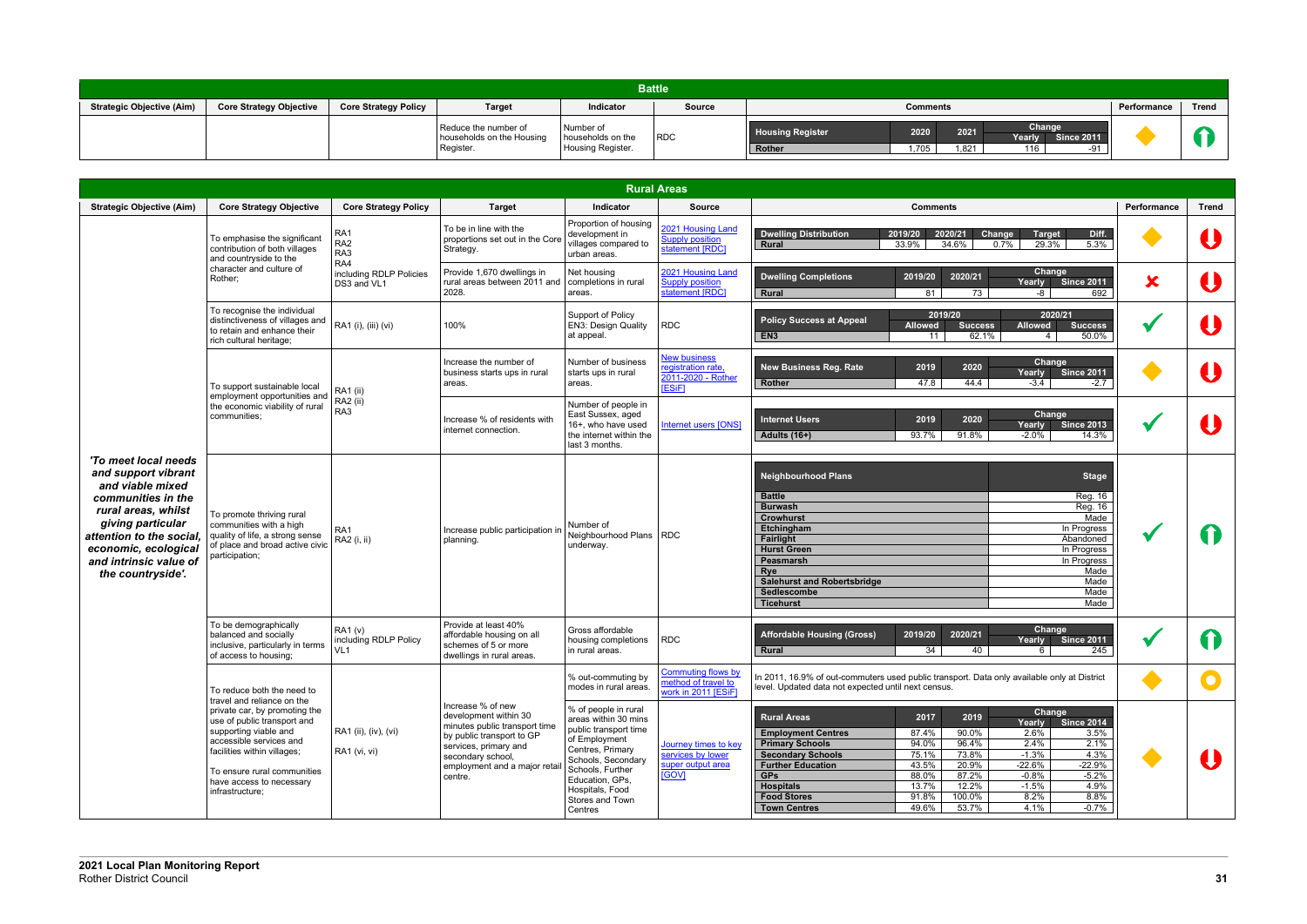| Battle <sup>।</sup>              |                                |                             |                                                                |                                                     |               |                                   |                 |                           |               |                          |             |       |
|----------------------------------|--------------------------------|-----------------------------|----------------------------------------------------------------|-----------------------------------------------------|---------------|-----------------------------------|-----------------|---------------------------|---------------|--------------------------|-------------|-------|
| <b>Strategic Objective (Aim)</b> | <b>Core Strategy Objective</b> | <b>Core Strategy Policy</b> | Target                                                         | Indicator                                           | <b>Source</b> |                                   | <b>Comments</b> |                           |               |                          | Performance | Trend |
|                                  |                                |                             | Reduce the number of<br>households on the Housing<br>Register. | Number of<br>households on the<br>Housing Register. | RDC           | <b>Housing Register</b><br>Rother | 2020<br>1,705   | 2021<br>1,82 <sup>-</sup> | Change<br>116 | Yearly Since 2011<br>-91 |             |       |

|                                                                                                                                                                                                                                      |                                                                                                                                                                                                                                                            |                                                                    |                                                                                                                                                                                                   | <b>Rural Areas</b>                                                                                                                                                                                                       |                                                                                |                                                                                                                                                                                                                                                                                                                                                                                                                                                                                                                                                                                   |                           |             |
|--------------------------------------------------------------------------------------------------------------------------------------------------------------------------------------------------------------------------------------|------------------------------------------------------------------------------------------------------------------------------------------------------------------------------------------------------------------------------------------------------------|--------------------------------------------------------------------|---------------------------------------------------------------------------------------------------------------------------------------------------------------------------------------------------|--------------------------------------------------------------------------------------------------------------------------------------------------------------------------------------------------------------------------|--------------------------------------------------------------------------------|-----------------------------------------------------------------------------------------------------------------------------------------------------------------------------------------------------------------------------------------------------------------------------------------------------------------------------------------------------------------------------------------------------------------------------------------------------------------------------------------------------------------------------------------------------------------------------------|---------------------------|-------------|
| <b>Strategic Objective (Aim)</b>                                                                                                                                                                                                     | <b>Core Strategy Objective</b>                                                                                                                                                                                                                             | <b>Core Strategy Policy</b>                                        | <b>Target</b>                                                                                                                                                                                     | Indicator                                                                                                                                                                                                                | <b>Source</b>                                                                  | <b>Comments</b>                                                                                                                                                                                                                                                                                                                                                                                                                                                                                                                                                                   | Performance               | Trend       |
|                                                                                                                                                                                                                                      | To emphasise the significant<br>contribution of both villages<br>and countryside to the<br>character and culture of<br>Rother:<br>To recognise the individual<br>distinctiveness of villages and<br>to retain and enhance their<br>rich cultural heritage; | RA1<br>RA <sub>2</sub><br>RA3<br>RA4                               | To be in line with the<br>proportions set out in the Core<br>Strategy.                                                                                                                            | Proportion of housing<br>development in<br>villages compared to<br>urban areas.                                                                                                                                          | 2021 Housing Land<br><b>Supply position</b><br>statement [RDC]                 | <b>Dwelling Distribution</b><br>2019/20<br>2020/21<br>Change<br><b>Target</b><br>Diff.<br>29.3%<br>5.3%<br>33.9%<br>34.6%<br>0.7%<br><b>Rural</b>                                                                                                                                                                                                                                                                                                                                                                                                                                 |                           |             |
|                                                                                                                                                                                                                                      |                                                                                                                                                                                                                                                            | including RDLP Policies<br>DS3 and VL1                             | Provide 1,670 dwellings in<br>rural areas between 2011 and<br>2028.                                                                                                                               | Net housing<br>completions in rural<br>areas.                                                                                                                                                                            | 2021 Housing Land<br><b>Supply position</b><br>statement [RDC]                 | Change<br>2020/21<br><b>Dwelling Completions</b><br>2019/20<br><b>Since 2011</b><br>Yearly<br>692<br>81<br>73<br><b>Rural</b><br>-8                                                                                                                                                                                                                                                                                                                                                                                                                                               | $\boldsymbol{\mathsf{x}}$ |             |
|                                                                                                                                                                                                                                      |                                                                                                                                                                                                                                                            | RA1 (i), (iii) (vi)                                                | 100%                                                                                                                                                                                              | Support of Policy<br>EN3: Design Quality<br>at appeal.                                                                                                                                                                   | <b>RDC</b>                                                                     | 2019/20<br>2020/21<br><b>Policy Success at Appeal</b><br><b>Success</b><br><b>Allowed</b><br><b>Success</b><br><b>Allowed</b><br>62.1%<br>EN <sub>3</sub><br>11<br>50.0%<br>$4 \mid$                                                                                                                                                                                                                                                                                                                                                                                              |                           |             |
|                                                                                                                                                                                                                                      | To support sustainable local                                                                                                                                                                                                                               | <b>RA1</b> (ii)                                                    | Increase the number of<br>business starts ups in rural<br>areas.                                                                                                                                  | Number of business<br>starts ups in rural<br>areas.                                                                                                                                                                      | <b>New business</b><br>registration rate,<br>2011-2020 - Rother<br>[ESiF]      | Change<br>2020<br><b>New Business Reg. Rate</b><br>2019<br>Yearly<br><b>Since 2011</b><br>47.8<br>44.4<br>$-3.4$<br>Rother<br>$-2.7$                                                                                                                                                                                                                                                                                                                                                                                                                                              |                           |             |
|                                                                                                                                                                                                                                      | employment opportunities and<br>the economic viability of rural<br>communities:                                                                                                                                                                            | RA <sub>2</sub> (ii)<br>RA3                                        | Increase % of residents with<br>internet connection.                                                                                                                                              | Number of people in<br>East Sussex, aged<br>16+, who have used<br>the internet within the<br>last 3 months.                                                                                                              | <b>Internet users [ONS]</b>                                                    | Change<br>2020<br>2019<br><b>Internet Users</b><br>Yearly<br><b>Since 2013</b><br><b>Adults (16+)</b><br>93.7%<br>91.8%<br>$-2.0%$<br>14.3%                                                                                                                                                                                                                                                                                                                                                                                                                                       |                           |             |
| 'To meet local needs<br>and support vibrant<br>and viable mixed<br>communities in the<br>rural areas, whilst<br>giving particular<br>attention to the social,<br>economic, ecological<br>and intrinsic value of<br>the countryside'. | To promote thriving rural<br>communities with a high<br>quality of life, a strong sense<br>of place and broad active civic<br>participation;                                                                                                               | RA1<br>RA2 (i, ii)                                                 | Increase public participation in<br>planning.                                                                                                                                                     | Number of<br>Neighbourhood Plans<br>underway.                                                                                                                                                                            | <b>RDC</b>                                                                     | <b>Neighbourhood Plans</b><br><b>Stage</b><br><b>Battle</b><br>Reg. 16<br><b>Reg. 16</b><br><b>Burwash</b><br><b>Crowhurst</b><br>Made<br>Etchingham<br>In Progress<br>Fairlight<br>Abandoned<br><b>Hurst Green</b><br>In Progress<br>Peasmarsh<br>In Progress<br>Rye<br>Made<br><b>Salehurst and Robertsbridge</b><br>Made<br>Sedlescombe<br>Made<br>Made<br><b>Ticehurst</b>                                                                                                                                                                                                    |                           | $\mathbf T$ |
|                                                                                                                                                                                                                                      | To be demographically<br>balanced and socially<br>inclusive, particularly in terms<br>of access to housing:                                                                                                                                                | <b>RA1 (v)</b><br>including RDLP Policy<br>VL1                     | Provide at least 40%<br>affordable housing on all<br>schemes of 5 or more<br>dwellings in rural areas.                                                                                            | Gross affordable<br>housing completions<br>in rural areas.                                                                                                                                                               | <b>RDC</b>                                                                     | Change<br>2020/21<br><b>Affordable Housing (Gross)</b><br>2019/20<br><b>Since 2011</b><br>Yearly<br>Rural<br>34<br>40<br>245<br>6                                                                                                                                                                                                                                                                                                                                                                                                                                                 |                           | 1)          |
|                                                                                                                                                                                                                                      | To reduce both the need to                                                                                                                                                                                                                                 |                                                                    |                                                                                                                                                                                                   | % out-commuting by<br>modes in rural areas.                                                                                                                                                                              | <b>Commuting flows by</b><br>method of travel to<br>work in 2011 <b>IESiF1</b> | In 2011, 16.9% of out-commuters used public transport. Data only available only at District<br>level. Updated data not expected until next census.                                                                                                                                                                                                                                                                                                                                                                                                                                |                           |             |
|                                                                                                                                                                                                                                      | private car, by promoting the<br>use of public transport and<br>supporting viable and<br>accessible services and<br>facilities within villages;<br>To ensure rural communities<br>have access to necessary<br>infrastructure;                              | travel and reliance on the<br>RA1 (ii), (iv), (vi)<br>RA1 (vi, vi) | Increase % of new<br>development within 30<br>minutes public transport time<br>by public transport to GP<br>services, primary and<br>secondary school,<br>employment and a major retai<br>centre. | % of people in rural<br>areas within 30 mins<br>public transport time<br>of Employment<br>Centres, Primary<br>Schools, Secondary<br>Schools, Further<br>Education, GPs,<br>Hospitals, Food<br>Stores and Town<br>Centres | Journey times to key<br>services by lower<br>super output area<br><b>IGOVI</b> | Change<br>2017<br>2019<br><b>Rural Areas</b><br><b>Since 2014</b><br>Yearly<br>90.0%<br>3.5%<br><b>Employment Centres</b><br>87.4%<br>2.6%<br>94.0%<br>96.4%<br>2.1%<br><b>Primary Schools</b><br>2.4%<br>$-1.3%$<br>4.3%<br><b>Secondary Schools</b><br>75.1%<br>73.8%<br>43.5%<br>20.9%<br>$-22.6%$<br>$-22.9%$<br><b>Further Education</b><br>88.0%<br>87.2%<br>$-0.8%$<br><b>GPs</b><br>$-5.2%$<br>13.7%<br>12.2%<br>$-1.5%$<br>4.9%<br><b>Hospitals</b><br>8.8%<br><b>Food Stores</b><br>91.8%<br>100.0%<br>8.2%<br>49.6%<br>53.7%<br>4.1%<br>$-0.7%$<br><b>Town Centres</b> |                           |             |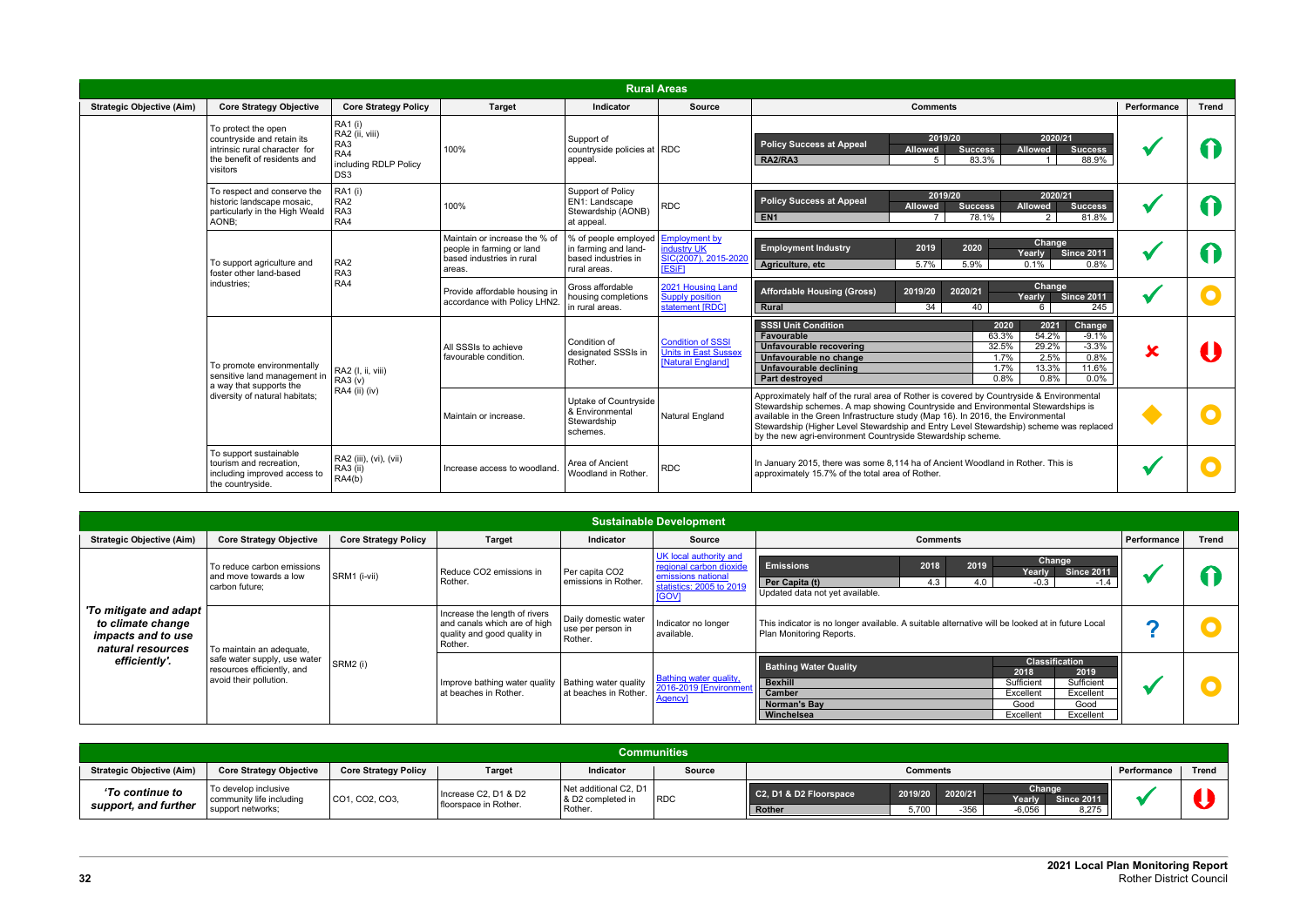|                                  |                                                                                                                                |                                                                                            |                                                                                                   | <b>Rural Areas</b>                                                                  |                                                                              |                                                                                                                                                                                                                                                                                                                                                                                                                           |                         |              |
|----------------------------------|--------------------------------------------------------------------------------------------------------------------------------|--------------------------------------------------------------------------------------------|---------------------------------------------------------------------------------------------------|-------------------------------------------------------------------------------------|------------------------------------------------------------------------------|---------------------------------------------------------------------------------------------------------------------------------------------------------------------------------------------------------------------------------------------------------------------------------------------------------------------------------------------------------------------------------------------------------------------------|-------------------------|--------------|
| <b>Strategic Objective (Aim)</b> | <b>Core Strategy Objective</b>                                                                                                 | <b>Core Strategy Policy</b>                                                                | <b>Target</b>                                                                                     | <b>Indicator</b>                                                                    | <b>Source</b>                                                                | <b>Comments</b>                                                                                                                                                                                                                                                                                                                                                                                                           | Performance             | <b>Trend</b> |
|                                  | To protect the open<br>countryside and retain its<br>intrinsic rural character for<br>the benefit of residents and<br>visitors | <b>RA1</b> (i)<br>RA2 (ii, viii)<br>RA3<br>RA4<br>including RDLP Policy<br>DS <sub>3</sub> | 100%                                                                                              | Support of<br>countryside policies at RDC<br>appeal.                                |                                                                              | 2020/21<br>2019/20<br><b>Policy Success at Appeal</b><br><b>Allowed</b><br><b>Allowed</b><br><b>Success</b><br><b>Success</b><br>RA2/RA3<br>83.3%<br>88.9%<br>$5^{\circ}$<br>1                                                                                                                                                                                                                                            |                         |              |
|                                  | To respect and conserve the<br>historic landscape mosaic,<br>particularly in the High Weald<br>AONB:                           | <b>RA1</b> (i)<br>RA <sub>2</sub><br>RA3<br>RA4                                            | 100%                                                                                              | Support of Policy<br>EN1: Landscape<br>Stewardship (AONB)<br>at appeal.             | <b>RDC</b>                                                                   | 2019/20<br>2020/21<br><b>Policy Success at Appeal</b><br><b>Success</b><br><b>Success</b><br><b>Allowed</b><br><b>Allowed</b><br>EN <sub>1</sub><br>$\overline{7}$<br>78.1%<br>2<br>81.8%                                                                                                                                                                                                                                 |                         |              |
|                                  | To support agriculture and<br>foster other land-based                                                                          | RA <sub>2</sub><br>RA3                                                                     | Maintain or increase the % of<br>people in farming or land<br>based industries in rural<br>areas. | % of people employed<br>in farming and land-<br>based industries in<br>rural areas. | <b>Employment by</b><br>industry UK<br>SIC(2007), 2015-2020<br><b>IESIF1</b> | Change<br>2020<br><b>Employment Industry</b><br>2019<br><b>Since 2011</b><br>Yearly<br>5.7%<br>5.9%<br>Agriculture, etc<br>0.8%<br>$0.1\%$                                                                                                                                                                                                                                                                                |                         |              |
|                                  | industries:                                                                                                                    | RA4                                                                                        | Provide affordable housing in<br>accordance with Policy LHN2.                                     | Gross affordable<br>housing completions<br>in rural areas.                          | 2021 Housing Land<br><b>Supply position</b><br>statement [RDC]               | Change<br><b>Affordable Housing (Gross)</b><br>2019/20<br>2020/21<br><b>Since 2011</b><br>Yearly<br>34<br>Rural<br>40<br>245<br>6                                                                                                                                                                                                                                                                                         |                         |              |
|                                  | To promote environmentally<br>sensitive land management in<br>a way that supports the                                          | RA2 (I, ii, viii)<br>RA3 (v)<br>RA4 (ii) (iv)                                              | All SSSIs to achieve<br>favourable condition.                                                     | Condition of<br>designated SSSIs in<br>Rother.                                      | <b>Condition of SSSI</b><br>Units in East Sussex<br><b>Natural Englandl</b>  | <b>SSSI Unit Condition</b><br>2021<br>Change<br>2020<br>63.3%<br>54.2%<br>$-9.1%$<br>Favourable<br>29.2%<br>$-3.3%$<br>32.5%<br>Unfavourable recovering<br>0.8%<br>2.5%<br>1.7%<br>Unfavourable no change<br>13.3%<br>11.6%<br>1.7%<br>Unfavourable declining<br>0.8%<br>0.8%<br>$0.0\%$<br><b>Part destroyed</b>                                                                                                         | $\overline{\textbf{x}}$ |              |
|                                  | diversity of natural habitats;                                                                                                 |                                                                                            | Maintain or increase.                                                                             | Uptake of Countryside<br>& Environmental<br>Stewardship<br>schemes.                 | <b>Natural England</b>                                                       | Approximately half of the rural area of Rother is covered by Countryside & Environmental<br>Stewardship schemes. A map showing Countryside and Environmental Stewardships is<br>available in the Green Infrastructure study (Map 16). In 2016, the Environmental<br>Stewardship (Higher Level Stewardship and Entry Level Stewardship) scheme was replaced<br>by the new agri-environment Countryside Stewardship scheme. |                         |              |
|                                  | To support sustainable<br>tourism and recreation.<br>including improved access to<br>the countryside.                          | RA2 (iii), (vi), (vii)<br>RA3 (ii)<br>RA4(b)                                               | Increase access to woodland.                                                                      | Area of Ancient<br>Woodland in Rother.                                              | <b>RDC</b>                                                                   | In January 2015, there was some 8,114 ha of Ancient Woodland in Rother. This is<br>approximately 15.7% of the total area of Rother.                                                                                                                                                                                                                                                                                       |                         |              |

| <b>Sustainable Development</b>                                                                            |                                                                                                                  |                             |                                                                                                         |                                                       |                                                                                                                     |                                                                                                                                                                                                                                 |             |       |  |
|-----------------------------------------------------------------------------------------------------------|------------------------------------------------------------------------------------------------------------------|-----------------------------|---------------------------------------------------------------------------------------------------------|-------------------------------------------------------|---------------------------------------------------------------------------------------------------------------------|---------------------------------------------------------------------------------------------------------------------------------------------------------------------------------------------------------------------------------|-------------|-------|--|
| <b>Strategic Objective (Aim)</b>                                                                          | <b>Core Strategy Objective</b>                                                                                   | <b>Core Strategy Policy</b> | <b>Target</b>                                                                                           | Indicator                                             | <b>Source</b>                                                                                                       | <b>Comments</b>                                                                                                                                                                                                                 | Performance | Trend |  |
| 'To mitigate and adapt  <br>to climate change<br>impacts and to use<br>natural resources<br>efficiently'. | To reduce carbon emissions<br>and move towards a low<br>carbon future;                                           | SRM1 (i-vii)                | Reduce CO2 emissions in<br>Rother.                                                                      | Per capita CO2<br>emissions in Rother.                | UK local authority and<br>regional carbon dioxide<br>emissions national<br>statistics: 2005 to 2019<br><b>IGOVI</b> | Change<br>2018<br>2019<br><b>Emissions</b><br><b>Since 2011</b><br>Yearly<br>Per Capita (t)<br>4.3<br>4.0<br>$-0.3$<br>$-1.4$<br>Updated data not yet available.                                                                |             |       |  |
|                                                                                                           |                                                                                                                  | SRM2 (i)                    | Increase the length of rivers<br>and canals which are of high<br>quality and good quality in<br>Rother. | Daily domestic water<br>use per person in<br>Rother.  | Indicator no longer<br>available.                                                                                   | This indicator is no longer available. A suitable alternative will be looked at in future Local<br>Plan Monitoring Reports.                                                                                                     |             |       |  |
|                                                                                                           | To maintain an adequate,<br>safe water supply, use water<br>resources efficiently, and<br>avoid their pollution. |                             | Improve bathing water quality<br>at beaches in Rother.                                                  | <b>Bathing water quality</b><br>at beaches in Rother. | <b>Bathing water quality,</b><br>2016-2019 [Environmer<br>Agency]                                                   | <b>Classification</b><br><b>Bathing Water Quality</b><br>2019<br>2018<br><b>Bexhill</b><br>Sufficient<br>Sufficient<br>Camber<br>Excellent<br>Excellent<br>Good<br>Norman's Bay<br>Good<br>Winchelsea<br>Excellent<br>Excellent |             |       |  |

| <b>Communities</b>                      |                                                                       |                             |                                               |                                                       |               |                                                             |                                                                               |             |       |
|-----------------------------------------|-----------------------------------------------------------------------|-----------------------------|-----------------------------------------------|-------------------------------------------------------|---------------|-------------------------------------------------------------|-------------------------------------------------------------------------------|-------------|-------|
| <b>Strategic Objective (Aim)</b>        | <b>Core Strategy Objective</b>                                        | <b>Core Strategy Policy</b> | Target                                        | Indicator                                             | <b>Source</b> | <b>Comments</b>                                             |                                                                               | Performance | Trend |
| 'To continue to<br>support, and further | To develop inclusive<br>community life including<br>support networks; | CO1, CO2, CO3,              | Increase C2, D1 & D2<br>floorspace in Rother. | Net additional C2, D1<br>8 D2 completed ir<br>Rother. | RDC           | C2, D1 & D2 Floorspace<br>2019/20<br>5,700<br><b>Rother</b> | Change<br>2020/21<br>Yearly<br><b>Since 2011</b><br>8,275<br>$-6,056$<br>-356 |             |       |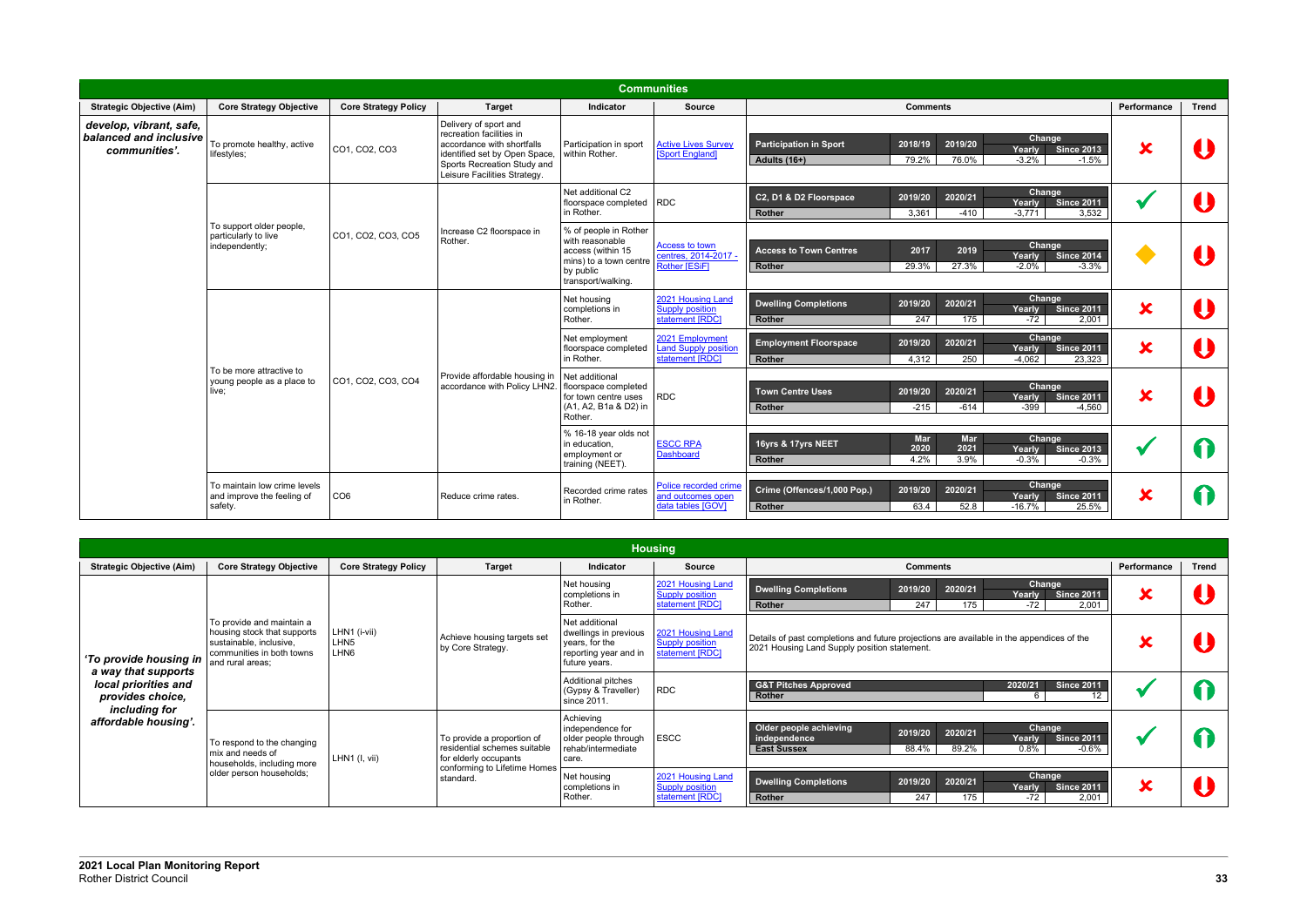|                                                                    |                                                                       |                             |                                                                                                                                                                                 |                                                                                                                            | <b>Communities</b>                                                |                                                                                                                         |                               |                         |              |
|--------------------------------------------------------------------|-----------------------------------------------------------------------|-----------------------------|---------------------------------------------------------------------------------------------------------------------------------------------------------------------------------|----------------------------------------------------------------------------------------------------------------------------|-------------------------------------------------------------------|-------------------------------------------------------------------------------------------------------------------------|-------------------------------|-------------------------|--------------|
| <b>Strategic Objective (Aim)</b>                                   | <b>Core Strategy Objective</b>                                        | <b>Core Strategy Policy</b> | <b>Target</b>                                                                                                                                                                   | Indicator                                                                                                                  | <b>Source</b>                                                     | <b>Comments</b>                                                                                                         |                               | Performance             | <b>Trend</b> |
| develop, vibrant, safe,<br>balanced and inclusive<br>communities'. | To promote healthy, active<br>lifestyles;                             | CO1, CO2, CO3               | Delivery of sport and<br>recreation facilities in<br>accordance with shortfalls<br>identified set by Open Space,<br>Sports Recreation Study and<br>Leisure Facilities Strategy. | Participation in sport<br>within Rother.                                                                                   | <b>Active Lives Survey</b><br>[Sport England]                     | Change<br>2019/20<br><b>Participation in Sport</b><br>2018/19<br>Yearly<br>$-3.2%$<br>Adults (16+)<br>79.2%<br>76.0%    | <b>Since 2013</b><br>$-1.5%$  | X                       |              |
|                                                                    |                                                                       |                             |                                                                                                                                                                                 | Net additional C2<br>floorspace completed RDC<br>in Rother.                                                                |                                                                   | Change<br>C2, D1 & D2 Floorspace<br>2020/21<br>2019/20<br>Yearly<br>$-3.771$<br>3,361<br>$-410$<br><b>Rother</b>        | <b>Since 2011</b><br>3,532    |                         |              |
|                                                                    | To support older people,<br>particularly to live<br>independently;    | CO1, CO2, CO3, CO5          | Increase C2 floorspace in<br>Rother.                                                                                                                                            | % of people in Rother<br>with reasonable<br>access (within 15<br>mins) to a town centre<br>by public<br>transport/walking. | Access to town<br>centres, 2014-2017 -<br>Rother [ESiF]           | Change<br>2019<br>2017<br><b>Access to Town Centres</b><br>Yearly<br>$-2.0%$<br>29.3%<br>27.3%<br>Rother                | <b>Since 2014</b><br>$-3.3%$  |                         |              |
|                                                                    |                                                                       |                             |                                                                                                                                                                                 | Net housing<br>completions in<br>Rother.                                                                                   | 2021 Housing Land<br><b>Supply position</b><br>statement [RDC]    | Change<br><b>Dwelling Completions</b><br>2019/20<br>2020/21<br>Yearly<br>247<br>175<br>$-72$<br><b>Rother</b>           | <b>Since 2011</b><br>2,001    | $\overline{\textbf{x}}$ |              |
|                                                                    |                                                                       |                             |                                                                                                                                                                                 | Net employment<br>floorspace completed<br>in Rother.                                                                       | 2021 Employment<br><b>Land Supply position</b><br>statement [RDC] | Change<br>2019/20<br>2020/21<br><b>Employment Floorspace</b><br>Yearly<br>4,312<br>250<br>$-4.062$<br>Rother            | <b>Since 2011</b><br>23,323   | $\overline{\textbf{x}}$ |              |
|                                                                    | To be more attractive to<br>young people as a place to<br>live:       | CO1, CO2, CO3, CO4          | Provide affordable housing in<br>accordance with Policy LHN2.                                                                                                                   | Net additional<br>floorspace completed<br>for town centre uses<br>(A1, A2, B1a & D2) in<br>Rother.                         | <b>RDC</b>                                                        | Change<br>2020/21<br><b>Town Centre Uses</b><br>2019/20<br>Yearly<br>$-215$<br>-614<br>-399<br><b>Rother</b>            | <b>Since 2011</b><br>$-4,560$ | X                       |              |
|                                                                    |                                                                       |                             |                                                                                                                                                                                 | % 16-18 year olds not<br>in education,<br>employment or<br>training (NEET).                                                | <b>ESCC RPA</b><br><b>Dashboard</b>                               | Change<br><b>Mar</b><br><b>Mar</b><br>16yrs & 17yrs NEET<br>2020<br>2021<br>Yearly<br>3.9%<br>Rother<br>4.2%<br>$-0.3%$ | <b>Since 2013</b><br>$-0.3%$  |                         | 6            |
|                                                                    | To maintain low crime levels<br>and improve the feeling of<br>safety. | CO <sub>6</sub>             | Reduce crime rates.                                                                                                                                                             | Recorded crime rates<br>in Rother.                                                                                         | Police recorded crime<br>and outcomes open<br>data tables [GOV]   | Change<br>Crime (Offences/1,000 Pop.)<br>2019/20<br>2020/21<br>Yearly<br>Rother<br>63.4<br>52.8<br>$-16.7%$             | <b>Since 2011</b><br>25.5%    | X                       | 11           |

|                                               |                                                                                                                                      |                                                      |                                                                                       |                                                                                                     | <b>Housing</b>                                                 |                                                                                                                                                                         |             |              |
|-----------------------------------------------|--------------------------------------------------------------------------------------------------------------------------------------|------------------------------------------------------|---------------------------------------------------------------------------------------|-----------------------------------------------------------------------------------------------------|----------------------------------------------------------------|-------------------------------------------------------------------------------------------------------------------------------------------------------------------------|-------------|--------------|
| <b>Strategic Objective (Aim)</b>              | <b>Core Strategy Objective</b>                                                                                                       | <b>Core Strategy Policy</b>                          | <b>Target</b>                                                                         | <b>Indicator</b>                                                                                    | <b>Source</b>                                                  | <b>Comments</b>                                                                                                                                                         | Performance | <b>Trend</b> |
|                                               | To provide and maintain a<br>housing stock that supports<br>sustainable, inclusive,<br>communities in both towns<br>and rural areas: | LHN1 (i-vii)<br>LHN <sub>5</sub><br>LHN <sub>6</sub> | Achieve housing targets set<br>by Core Strategy.                                      | Net housing<br>completions in<br>Rother.                                                            | 2021 Housing Land<br><b>Supply position</b><br>statement [RDC] | Change<br><b>Dwelling Completions</b><br>2020/21<br>2019/20<br><b>Since 2011</b><br>Yearly<br>247<br>175<br>2,001<br>Rother<br>$-72$                                    | X           |              |
| 'To provide housing in<br>a way that supports |                                                                                                                                      |                                                      |                                                                                       | Net additional<br>dwellings in previous<br>years, for the<br>reporting year and in<br>future years. | 2021 Housing Land<br><b>Supply position</b><br>statement [RDC] | Details of past completions and future projections are available in the appendices of the<br>2021 Housing Land Supply position statement.                               | æ           |              |
| local priorities and<br>provides choice,      |                                                                                                                                      |                                                      |                                                                                       | Additional pitches<br>(Gypsy & Traveller)<br>since 2011.                                            | <b>RDC</b>                                                     | <b>Since 2011</b><br><b>G&amp;T Pitches Approved</b><br>2020/21<br>Rother<br>$12 \overline{ }$                                                                          |             |              |
| including for<br>affordable housing'.         | To respond to the changing<br>mix and needs of<br>households, including more<br>older person households;                             | LHN1 (I, vii)                                        | To provide a proportion of<br>l residential schemes suitable<br>for elderly occupants | Achievina<br>independence for<br>older people through<br>rehab/intermediate<br>care.                | <b>ESCC</b>                                                    | Older people achieving<br>Change<br>2019/20<br>2020/21<br><b>Since 2011</b><br>independence<br><b>Yearly</b><br>89.2%<br>$-0.6%$<br>88.4%<br>0.8%<br><b>East Sussex</b> |             |              |
|                                               |                                                                                                                                      |                                                      | conforming to Lifetime Homes<br>standard.                                             | Net housing<br>completions in<br>Rother.                                                            | 2021 Housing Land<br><b>Supply position</b><br>statement [RDC] | Change<br>2020/21<br><b>Dwelling Completions</b><br>2019/20<br><b>Since 2011</b><br>Yearly<br>247<br>175<br>$-72$<br>Rother<br>2,001                                    | ◚           |              |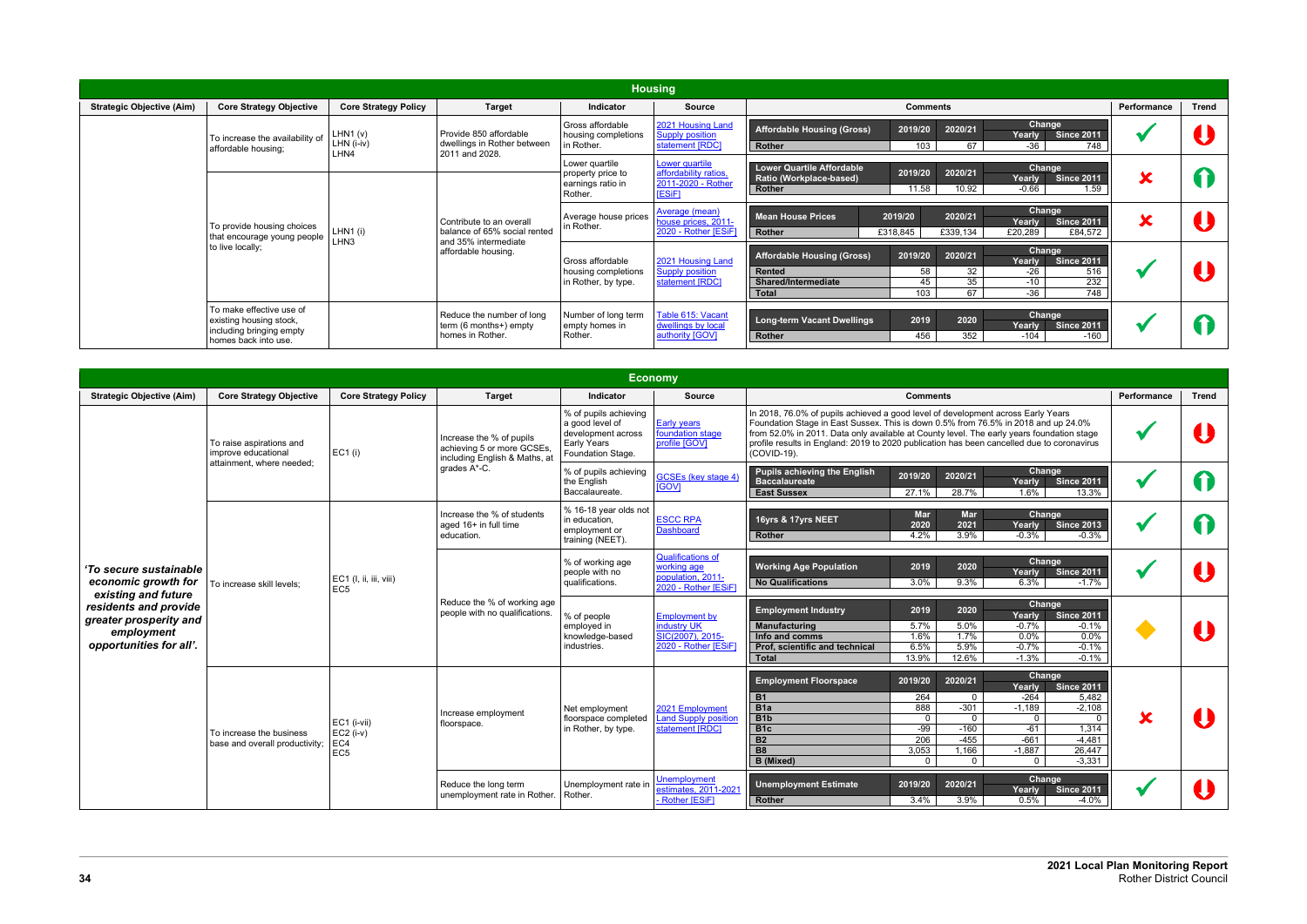|                                  |                                                                                                         |                               |                                                                                  |                                                                     | <b>Housing</b>                                                          |                                                                                                                                                                                                                                                     |             |       |
|----------------------------------|---------------------------------------------------------------------------------------------------------|-------------------------------|----------------------------------------------------------------------------------|---------------------------------------------------------------------|-------------------------------------------------------------------------|-----------------------------------------------------------------------------------------------------------------------------------------------------------------------------------------------------------------------------------------------------|-------------|-------|
| <b>Strategic Objective (Aim)</b> | <b>Core Strategy Objective</b>                                                                          | <b>Core Strategy Policy</b>   | <b>Target</b>                                                                    | <b>Indicator</b>                                                    | <b>Source</b>                                                           | <b>Comments</b>                                                                                                                                                                                                                                     | Performance | Trend |
|                                  | To increase the availability of<br>affordable housing;                                                  | LHM (v)<br>LHN (i-iv)<br>LHN4 | Provide 850 affordable<br>dwellings in Rother between<br>2011 and 2028.          | Gross affordable<br>housing completions<br>in Rother.               | 2021 Housing Land<br><b>Supply position</b><br>statement [RDC]          | Change<br><b>Affordable Housing (Gross)</b><br>2019/20<br>2020/21<br><b>Since 2011</b><br>Yearly<br>67<br>-36<br>748<br>Rother<br>103                                                                                                               |             |       |
|                                  |                                                                                                         |                               |                                                                                  | Lower quartile<br>property price to<br>earnings ratio in<br>Rother. | Lower quartile<br>affordability ratios,<br>2011-2020 - Rother<br>[ESiF] | <b>Lower Quartile Affordable</b><br>Change<br>2019/20<br>2020/21<br>Ratio (Workplace-based)<br><b>Since 2011</b><br>Yearly<br>10.92<br>11.58<br>$-0.66$<br>1.59<br><b>Rother</b>                                                                    | X           |       |
|                                  | To provide housing choices<br>that encourage young people<br>LHN <sub>3</sub>                           | LHN1(i)                       | Contribute to an overall<br>balance of 65% social rented<br>and 35% intermediate | Average house prices<br>in Rother.                                  | <b>Average (mean)</b><br>house prices, 2011-<br>2020 - Rother [ESiF]    | Change<br>2019/20<br>2020/21<br><b>Mean House Prices</b><br>Yearly<br><b>Since 2011</b><br>£318,845<br>£339,134<br>Rother<br>£20,289<br>£84,572                                                                                                     | X           |       |
|                                  | to live locally;                                                                                        |                               | affordable housing.                                                              | Gross affordable<br>housing completions<br>in Rother, by type.      | 2021 Housing Land<br><b>Supply position</b><br>statement [RDC]          | <b>Change</b><br>2020/21<br>2019/20<br><b>Affordable Housing (Gross)</b><br><b>Since 2011</b><br>Yearly<br>32 <sup>°</sup><br>516<br>Rented<br>58<br>$-26$<br>35<br>232<br>$-10$<br>45<br>Shared/Intermediate<br>67<br>$-36$<br>748<br>103<br>Total |             |       |
|                                  | To make effective use of<br>existing housing stock,<br>including bringing empty<br>homes back into use. |                               | Reduce the number of long<br>term (6 months+) empty<br>homes in Rother.          | Number of long term<br>empty homes in<br>Rother.                    | Table 615: Vacant<br>dwellings by local<br>authority [GOV]              | Change<br>2019<br><b>Long-term Vacant Dwellings</b><br>2020<br><b>Since 2011</b><br>Yearly<br>352<br>456<br><b>Rother</b><br>-160<br>$-104$                                                                                                         |             |       |

|                                                                                          |                                                                              |                                                      |                                                                                         |                                                                                                    | Economy                                                                               |                                                                                                                                                                                                                                                                                                                                                                                                                                                                                                                                           |             |              |
|------------------------------------------------------------------------------------------|------------------------------------------------------------------------------|------------------------------------------------------|-----------------------------------------------------------------------------------------|----------------------------------------------------------------------------------------------------|---------------------------------------------------------------------------------------|-------------------------------------------------------------------------------------------------------------------------------------------------------------------------------------------------------------------------------------------------------------------------------------------------------------------------------------------------------------------------------------------------------------------------------------------------------------------------------------------------------------------------------------------|-------------|--------------|
| <b>Strategic Objective (Aim)</b>                                                         | <b>Core Strategy Objective</b>                                               | <b>Core Strategy Policy</b>                          | <b>Target</b>                                                                           | Indicator                                                                                          | <b>Source</b>                                                                         | <b>Comments</b>                                                                                                                                                                                                                                                                                                                                                                                                                                                                                                                           | Performance | <b>Trend</b> |
|                                                                                          | To raise aspirations and<br>improve educational<br>attainment. where needed: | EC1(i)                                               | Increase the % of pupils<br>achieving 5 or more GCSEs,<br>including English & Maths, at | % of pupils achieving<br>a good level of<br>development across<br>Early Years<br>Foundation Stage. | <b>Early years</b><br>foundation stage<br>profile [GOV]                               | In 2018, 76.0% of pupils achieved a good level of development across Early Years<br>Foundation Stage in East Sussex. This is down 0.5% from 76.5% in 2018 and up 24.0%<br>from 52.0% in 2011. Data only available at County level. The early years foundation stage<br>profile results in England: 2019 to 2020 publication has been cancelled due to coronavirus<br>(COVID-19).                                                                                                                                                          |             |              |
|                                                                                          |                                                                              |                                                      | grades A*-C.                                                                            | % of pupils achieving<br>the English<br>Baccalaureate.                                             | <b>GCSEs (key stage 4)</b><br><b>IGOVI</b>                                            | <b>Pupils achieving the English</b><br>Change<br>2019/20<br>2020/21<br><b>Baccalaureate</b><br><b>Since 2011</b><br>Yearly<br>1.6%<br>28.7%<br><b>East Sussex</b><br>27.1%<br>13.3%                                                                                                                                                                                                                                                                                                                                                       |             |              |
|                                                                                          |                                                                              |                                                      | Increase the % of students<br>aged 16+ in full time<br>education.                       | % 16-18 year olds not<br>in education.<br>employment or<br>training (NEET).                        | <b>ESCC RPA</b><br><b>Dashboard</b>                                                   | Change<br><b>Mar</b><br>Mar<br>16yrs & 17yrs NEET<br>2020<br>2021<br><b>Since 2013</b><br>Yearly<br>3.9%<br>4.2%<br>$-0.3%$<br>$-0.3%$<br>Rother                                                                                                                                                                                                                                                                                                                                                                                          |             |              |
| 'To secure sustainable<br>economic growth for<br>existing and future                     | To increase skill levels:                                                    | EC1 (I, ii, iii, viii)<br>EC <sub>5</sub>            |                                                                                         | % of working age<br>people with no<br>qualifications.                                              | <b>Qualifications of</b><br>working age<br>population, 2011-<br>2020 - Rother [ESiF]  | Change<br><b>Working Age Population</b><br>2019<br>2020<br><b>Since 2011</b><br>Yearly<br>9.3%<br><b>No Qualifications</b><br>3.0%<br>6.3%<br>$-1.7%$                                                                                                                                                                                                                                                                                                                                                                                     |             |              |
| residents and provide<br>greater prosperity and<br>employment<br>opportunities for all'. |                                                                              |                                                      | Reduce the % of working age<br>people with no qualifications.                           | % of people<br>emploved in<br>knowledge-based<br>industries.                                       | <b>Employment by</b><br><b>ndustry UK</b><br>SIC(2007), 2015-<br>2020 - Rother [ESiF] | Change<br>2020<br><b>Employment Industry</b><br>2019<br>Yearly<br><b>Since 2011</b><br><b>Manufacturing</b><br>5.7%<br>5.0%<br>$-0.7%$<br>$-0.1%$<br>1.7%<br>1.6%<br>$0.0\%$<br>0.0%<br>Info and comms<br>6.5%<br>5.9%<br>$-0.7%$<br>$-0.1%$<br>Prof, scientific and technical<br>13.9%<br>12.6%<br>$-1.3%$<br>$-0.1%$<br><b>Total</b>                                                                                                                                                                                                    |             |              |
|                                                                                          | To increase the business<br>base and overall productivity;                   | EC1 (i-vii)<br>$EC2$ (i-v)<br>EC4<br>EC <sub>5</sub> | Increase employment<br>floorspace.                                                      | Net employment<br>floorspace completed<br>in Rother, by type.                                      | 2021 Employment<br><b>Land Supply position</b><br>statement [RDC]                     | Change<br>2019/20<br>2020/21<br><b>Employment Floorspace</b><br><b>Since 2011</b><br>Yearly<br>264<br>$-264$<br>5.482<br><b>B1</b><br>$\mathbf{0}$<br>888<br>$-301$<br>$-1,189$<br>B <sub>1</sub> a<br>$-2,108$<br>B <sub>1</sub> b<br>$\mathbf 0$<br>$\overline{0}$<br>$\mathbf{0}$<br>$\Omega$<br>$-99$<br>B <sub>1c</sub><br>$-160$<br>$-61$<br>1,314<br>206<br>$-455$<br>$-661$<br><b>B2</b><br>$-4,481$<br><b>B8</b><br>3,053<br>1,166<br>26,447<br>$-1,887$<br>$-3.331$<br><b>B</b> (Mixed)<br>$\Omega$<br>$\mathbf{0}$<br>$\Omega$ |             |              |
|                                                                                          |                                                                              |                                                      | Reduce the long term<br>unemployment rate in Rother.                                    | Unemployment rate in<br>Rother.                                                                    | <b>Unemployment</b><br>estimates, 2011-2021<br>Rother [ESiF]                          | Change<br>2020/21<br><b>Unemployment Estimate</b><br>2019/20<br><b>Since 2011</b><br>Yearly<br>0.5%<br>$-4.0%$<br>3.4%<br>3.9%<br>Rother                                                                                                                                                                                                                                                                                                                                                                                                  |             |              |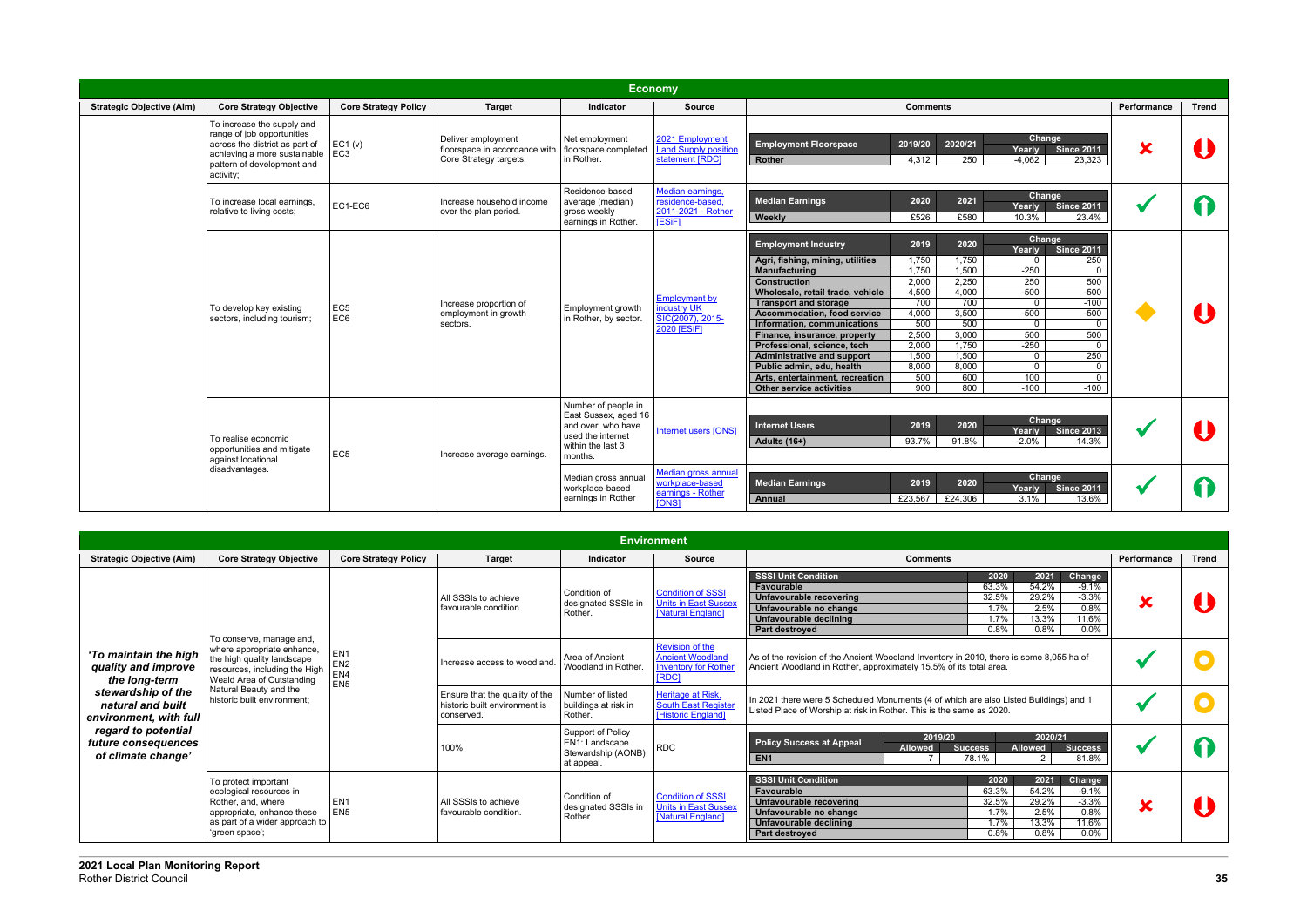|                                  | <b>Economy</b>                                                                                                                                                              |                             |                                                                               |                                                                                                                        |                                                                               |                                                                                                                                                                                                                                                                                                                                                                                                                                                               |                                                                                                                                                                                                                                        |                                                                                                                                                                                                                                                                                                               |                         |              |  |
|----------------------------------|-----------------------------------------------------------------------------------------------------------------------------------------------------------------------------|-----------------------------|-------------------------------------------------------------------------------|------------------------------------------------------------------------------------------------------------------------|-------------------------------------------------------------------------------|---------------------------------------------------------------------------------------------------------------------------------------------------------------------------------------------------------------------------------------------------------------------------------------------------------------------------------------------------------------------------------------------------------------------------------------------------------------|----------------------------------------------------------------------------------------------------------------------------------------------------------------------------------------------------------------------------------------|---------------------------------------------------------------------------------------------------------------------------------------------------------------------------------------------------------------------------------------------------------------------------------------------------------------|-------------------------|--------------|--|
| <b>Strategic Objective (Aim)</b> | <b>Core Strategy Objective</b>                                                                                                                                              | <b>Core Strategy Policy</b> | <b>Target</b>                                                                 | Indicator                                                                                                              | <b>Source</b>                                                                 |                                                                                                                                                                                                                                                                                                                                                                                                                                                               | <b>Comments</b>                                                                                                                                                                                                                        |                                                                                                                                                                                                                                                                                                               | Performance             | <b>Trend</b> |  |
|                                  | To increase the supply and<br>range of job opportunities<br>across the district as part of<br>achieving a more sustainable   EC3<br>pattern of development and<br>activity; | EC1 (v)                     | Deliver employment<br>floorspace in accordance with<br>Core Strategy targets. | Net employment<br>floorspace completed<br>in Rother.                                                                   | 2021 Employment<br><b>Land Supply position</b><br>statement [RDC]             | <b>Employment Floorspace</b><br>Rother                                                                                                                                                                                                                                                                                                                                                                                                                        | 2019/20<br>2020/21<br>4,312<br>250                                                                                                                                                                                                     | Change<br><b>Since 2011</b><br><b>Yearly</b><br>$-4,062$<br>23,323                                                                                                                                                                                                                                            | $\overline{\textbf{x}}$ |              |  |
|                                  | To increase local earnings.<br>relative to living costs;                                                                                                                    | EC1-EC6                     | Increase household income<br>over the plan period.                            | Residence-based<br>average (median)<br>gross weekly<br>earnings in Rother.                                             | Median earnings,<br>residence-based,<br>2011-2021 - Rother<br><b>[ESiF]</b>   | <b>Median Earnings</b><br>Weekly                                                                                                                                                                                                                                                                                                                                                                                                                              | 2020<br>2021<br>£526<br>£580                                                                                                                                                                                                           | Change<br><b>Since 2011</b><br>Yearly<br>10.3%<br>23.4%                                                                                                                                                                                                                                                       |                         | $\mathbf T$  |  |
|                                  | To develop key existing<br>sectors, including tourism;                                                                                                                      | EC <sub>5</sub><br>EC6      | Increase proportion of<br>employment in growth<br>sectors.                    | Employment growth<br>in Rother, by sector.                                                                             | <b>Employment by</b><br>industry UK<br>SIC(2007), 2015-<br><b>2020 [ESiF]</b> | <b>Employment Industry</b><br>Agri, fishing, mining, utilities<br><b>Manufacturing</b><br><b>Construction</b><br>Wholesale, retail trade, vehicle<br><b>Transport and storage</b><br><b>Accommodation, food service</b><br>Information, communications<br>Finance, insurance, property<br>Professional, science, tech<br><b>Administrative and support</b><br>Public admin, edu, health<br>Arts, entertainment, recreation<br><b>Other service activities</b> | 2019<br>2020<br>1,750<br>1,750<br>1,750<br>1,500<br>2,000<br>2,250<br>4,500<br>4,000<br>700<br>700<br>3,500<br>4,000<br>500<br>500<br>2,500<br>3,000<br>2,000<br>1,750<br>1,500<br>1,500<br>8,000<br>8,000<br>500<br>600<br>900<br>800 | Change<br><b>Since 2011</b><br>Yearly<br>250<br>$\Omega$<br>$-250$<br>$\Omega$<br>500<br>250<br>$-500$<br>$-500$<br>$\overline{0}$<br>$-100$<br>$-500$<br>$-500$<br>$\Omega$<br>500<br>500<br>$-250$<br>$\Omega$<br>250<br>$\mathbf{0}$<br>$\mathbf{0}$<br>$\mathbf 0$<br>100<br>$\Omega$<br>$-100$<br>$-100$ |                         |              |  |
|                                  | To realise economic<br>opportunities and mitigate<br>against locational                                                                                                     | EC <sub>5</sub>             | Increase average earnings.                                                    | Number of people in<br>East Sussex, aged 16<br>and over, who have<br>used the internet<br>within the last 3<br>months. | Internet users [ONS]                                                          | <b>Internet Users</b><br>Adults (16+)                                                                                                                                                                                                                                                                                                                                                                                                                         | 2020<br>2019<br>93.7%<br>91.8%                                                                                                                                                                                                         | Change<br><b>Since 2013</b><br>Yearly<br>$-2.0%$<br>14.3%                                                                                                                                                                                                                                                     |                         |              |  |
|                                  | disadvantages.                                                                                                                                                              |                             |                                                                               | Median gross annual<br>workplace-based<br>earnings in Rother                                                           | Median gross annual<br>workplace-based<br>earnings - Rother<br><b>TONS1</b>   | <b>Median Earnings</b><br>Annual                                                                                                                                                                                                                                                                                                                                                                                                                              | 2020<br>2019<br>£24,306<br>£23,567                                                                                                                                                                                                     | Change<br><b>Since 2011</b><br>Yearly<br>3.1%<br>13.6%                                                                                                                                                                                                                                                        |                         |              |  |

|                                                                         |                                                                                                                                                         |                                                              |                                               |                                                                                | <b>Environment</b>                                                                             |                                                                                                                                                                                                                                                                                                                           |                                                                       |                                                                                                                                                               |  |  |
|-------------------------------------------------------------------------|---------------------------------------------------------------------------------------------------------------------------------------------------------|--------------------------------------------------------------|-----------------------------------------------|--------------------------------------------------------------------------------|------------------------------------------------------------------------------------------------|---------------------------------------------------------------------------------------------------------------------------------------------------------------------------------------------------------------------------------------------------------------------------------------------------------------------------|-----------------------------------------------------------------------|---------------------------------------------------------------------------------------------------------------------------------------------------------------|--|--|
| <b>Strategic Objective (Aim)</b>                                        | <b>Core Strategy Objective</b>                                                                                                                          | <b>Core Strategy Policy</b>                                  | <b>Target</b>                                 | <b>Indicator</b>                                                               | <b>Source</b>                                                                                  | <b>Comments</b>                                                                                                                                                                                                                                                                                                           | Performance                                                           | <b>Trend</b>                                                                                                                                                  |  |  |
|                                                                         |                                                                                                                                                         |                                                              | All SSSIs to achieve<br>favourable condition. | Condition of<br>designated SSSIs in<br>Rother.                                 | <b>Condition of SSSI</b><br><b>Units in East Sussex</b><br>[Natural England]                   | <b>SSSI Unit Condition</b><br>2020<br>2021<br><b>Change</b><br>54.2%<br>63.3%<br>$-9.1%$<br>Favourable<br>29.2%<br>$-3.3%$<br>32.5%<br>Unfavourable recovering<br>0.8%<br>2.5%<br>1.7%<br>Unfavourable no change<br>13.3%<br>1.7%<br>11.6%<br>Unfavourable declining<br>0.8%<br>0.8%<br>$0.0\%$<br><b>Part destroved</b>  | Х                                                                     |                                                                                                                                                               |  |  |
| 'To maintain the high<br>quality and improve<br>the long-term           | To conserve, manage and,<br>where appropriate enhance,<br>the high quality landscape<br>resources, including the High<br>Weald Area of Outstanding      | EN <sub>1</sub><br>EN <sub>2</sub><br>EN4<br>EN <sub>5</sub> | Increase access to woodland                   | Area of Ancient<br>Woodland in Rother.                                         | <b>Revision of the</b><br><b>Ancient Woodland</b><br><b>Inventory for Rother</b><br><b>RDC</b> | As of the revision of the Ancient Woodland Inventory in 2010, there is some 8,055 ha of<br>Ancient Woodland in Rother, approximately 15.5% of its total area.                                                                                                                                                             |                                                                       |                                                                                                                                                               |  |  |
| stewardship of the<br>natural and built<br>environment, with full       | Natural Beauty and the<br>historic built environment:                                                                                                   |                                                              |                                               |                                                                                | Ensure that the quality of the<br>historic built environment is<br>conserved.                  | Number of listed<br>buildings at risk in<br>Rother.                                                                                                                                                                                                                                                                       | Heritage at Risk,<br><b>South East Register</b><br>[Historic England] | In 2021 there were 5 Scheduled Monuments (4 of which are also Listed Buildings) and 1<br>Listed Place of Worship at risk in Rother. This is the same as 2020. |  |  |
| regard to potential<br><i>future consequences</i><br>of climate change' |                                                                                                                                                         |                                                              | 100%                                          | Support of Policy<br><b>EN1: Landscape</b><br>Stewardship (AONB)<br>at appeal. | <b>RDC</b>                                                                                     | 2020/21<br>2019/20<br><b>Policy Success at Appeal</b><br><b>Allowed</b><br><b>Allowed</b><br><b>Success</b><br><b>Success</b><br>78.1%<br>81.8%<br>EN <sub>1</sub><br>$\mathcal{P}$                                                                                                                                       |                                                                       |                                                                                                                                                               |  |  |
|                                                                         | To protect important<br>ecological resources in<br>Rother, and, where<br>appropriate, enhance these<br>as part of a wider approach to<br>'green space'; | EN <sub>1</sub><br>EN <sub>5</sub>                           | All SSSIs to achieve<br>favourable condition. | Condition of<br>designated SSSIs in<br>Rother.                                 | <b>Condition of SSSI</b><br><b>Units in East Sussex</b><br>[Natural England]                   | <b>SSSI Unit Condition</b><br>2021<br>Change<br>2020<br>63.3%<br>54.2%<br>Favourable<br>$-9.1\%$<br>29.2%<br>$-3.3%$<br>32.5%<br>Unfavourable recovering<br>2.5%<br>0.8%<br>1.7%<br>Unfavourable no change<br>13.3%<br>11.6%<br>1.7%<br><b>Unfavourable declining</b><br>0.8%<br>$0.0\%$<br>0.8%<br><b>Part destroved</b> | Х                                                                     |                                                                                                                                                               |  |  |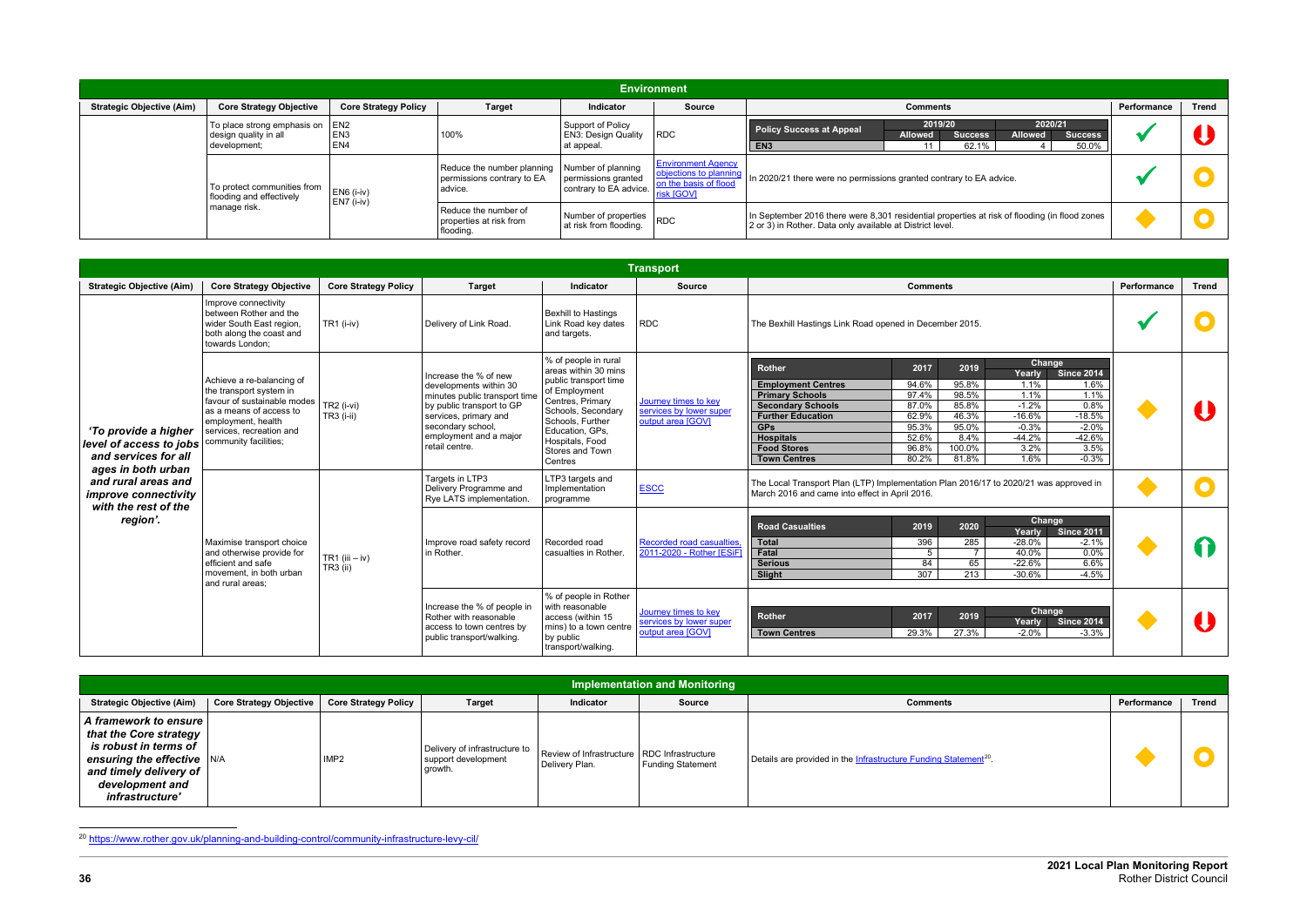<span id="page-33-0"></span>

| <b>Environment</b>               |                                                                          |                                    |                                                                     |                                                                     |                                                                                            |                                                                                                                                                                          |             |              |  |  |
|----------------------------------|--------------------------------------------------------------------------|------------------------------------|---------------------------------------------------------------------|---------------------------------------------------------------------|--------------------------------------------------------------------------------------------|--------------------------------------------------------------------------------------------------------------------------------------------------------------------------|-------------|--------------|--|--|
| <b>Strategic Objective (Aim)</b> | <b>Core Strategy Objective</b>                                           | <b>Core Strategy Policy</b>        | <b>Target</b>                                                       | Indicator                                                           | <b>Source</b>                                                                              | <b>Comments</b>                                                                                                                                                          | Performance | <b>Trend</b> |  |  |
|                                  | To place strong emphasis on EN2<br>design quality in all<br>development; | EN <sub>3</sub><br>EN <sub>4</sub> | 100%                                                                | Support of Policy<br><b>EN3: Design Quality</b><br>at appeal.       | <b>RDC</b>                                                                                 | 2019/20<br>2020/21<br><b>Policy Success at Appeal</b><br><b>Allowed</b><br><b>Success</b><br><b>Allowed</b><br><b>Success</b><br>EN <sub>3</sub><br>62.1%<br>50.0%<br>11 |             |              |  |  |
|                                  | To protect communities from<br>flooding and effectively                  | EN6 (i-iv)                         | Reduce the number planning<br>permissions contrary to EA<br>advice. | Number of planning<br>permissions granted<br>contrary to EA advice. | <b>Environment Agency</b><br>objections to planning<br>on the basis of flood<br>risk [GOV] | In 2020/21 there were no permissions granted contrary to EA advice.                                                                                                      |             |              |  |  |
|                                  | manage risk.                                                             | EN7 (i-iv)                         | l Reduce the number of<br>properties at risk from<br>flooding.      | Number of properties<br>at risk from flooding.                      | <b>RDC</b>                                                                                 | In September 2016 there were 8,301 residential properties at risk of flooding (in flood zones<br>2 or 3) in Rother. Data only available at District level.               |             |              |  |  |

|                                                                                                                                                                                                                                                                                                                                                                                                                                                                                                                                                                                                                                                                                                                                                                                                                                                                                                                                                                                                                                                                                                                                                                                                                                                                                                                                                                                                                                                                                                                                                                                                                                                                                                                                                                                                                                |                                                                                                                                         |                             |                        |                                                                   | <b>Transport</b>                                                                                                                                                                                                                                                                                                                                                                                                                                                                                                                                  |                                                                                                                                                                                                                                                                 |             |              |
|--------------------------------------------------------------------------------------------------------------------------------------------------------------------------------------------------------------------------------------------------------------------------------------------------------------------------------------------------------------------------------------------------------------------------------------------------------------------------------------------------------------------------------------------------------------------------------------------------------------------------------------------------------------------------------------------------------------------------------------------------------------------------------------------------------------------------------------------------------------------------------------------------------------------------------------------------------------------------------------------------------------------------------------------------------------------------------------------------------------------------------------------------------------------------------------------------------------------------------------------------------------------------------------------------------------------------------------------------------------------------------------------------------------------------------------------------------------------------------------------------------------------------------------------------------------------------------------------------------------------------------------------------------------------------------------------------------------------------------------------------------------------------------------------------------------------------------|-----------------------------------------------------------------------------------------------------------------------------------------|-----------------------------|------------------------|-------------------------------------------------------------------|---------------------------------------------------------------------------------------------------------------------------------------------------------------------------------------------------------------------------------------------------------------------------------------------------------------------------------------------------------------------------------------------------------------------------------------------------------------------------------------------------------------------------------------------------|-----------------------------------------------------------------------------------------------------------------------------------------------------------------------------------------------------------------------------------------------------------------|-------------|--------------|
| <b>Strategic Objective (Aim)</b>                                                                                                                                                                                                                                                                                                                                                                                                                                                                                                                                                                                                                                                                                                                                                                                                                                                                                                                                                                                                                                                                                                                                                                                                                                                                                                                                                                                                                                                                                                                                                                                                                                                                                                                                                                                               | <b>Core Strategy Objective</b>                                                                                                          | <b>Core Strategy Policy</b> | <b>Target</b>          | <b>Indicator</b>                                                  | <b>Source</b>                                                                                                                                                                                                                                                                                                                                                                                                                                                                                                                                     | <b>Comments</b>                                                                                                                                                                                                                                                 | Performance | <b>Trend</b> |
|                                                                                                                                                                                                                                                                                                                                                                                                                                                                                                                                                                                                                                                                                                                                                                                                                                                                                                                                                                                                                                                                                                                                                                                                                                                                                                                                                                                                                                                                                                                                                                                                                                                                                                                                                                                                                                | Improve connectivity<br>between Rother and the<br>wider South East region,<br>both along the coast and<br>towards London;               | TR1 (i-iv)                  | Delivery of Link Road. | <b>Bexhill to Hastings</b><br>Link Road key dates<br>and targets. | <b>RDC</b>                                                                                                                                                                                                                                                                                                                                                                                                                                                                                                                                        | The Bexhill Hastings Link Road opened in December 2015.                                                                                                                                                                                                         |             |              |
| % of people in rural<br><b>Rother</b><br>areas within 30 mins<br>Increase the % of new<br>public transport time<br>Achieve a re-balancing of<br>developments within 30<br>of Employment<br>the transport system in<br>minutes public transport time<br>favour of sustainable modes<br>Centres, Primary<br>Journey times to key<br>$TR2$ (i-vi)<br>by public transport to GP<br>as a means of access to<br>Schools, Secondary<br>services by lower super<br>$TR3 (i - ii)$<br>services, primary and<br>Schools, Further<br>output area IGOVI<br>employment, health<br>secondary school,<br><b>GPs</b><br>'To provide a higher<br>services, recreation and<br>Education, GPs.<br>employment and a major<br>community facilities;<br>Hospitals, Food<br>level of access to jobs<br>retail centre.<br>Stores and Town<br>and services for all<br>Centres<br>ages in both urban<br>Targets in LTP3<br>LTP3 targets and<br>and rural areas and<br><b>ESCC</b><br>Delivery Programme and<br>Implementation<br>improve connectivity<br>Rye LATS implementation.<br>programme<br>with the rest of the<br>region'.<br>Maximise transport choice<br>Improve road safety record<br>Recorded road<br><b>Recorded road casualties</b><br><b>Total</b><br>2011-2020 - Rother [ESiF]<br>and otherwise provide for<br>in Rother.<br>casualties in Rother.<br>Fatal<br>TR1 (iii $-$ iv)<br>efficient and safe<br><b>Serious</b><br>$TR3$ (ii)<br>movement, in both urban<br><b>Slight</b><br>and rural areas:<br>% of people in Rother<br>Increase the % of people in<br>with reasonable<br>Journey times to key<br>Rother<br>Rother with reasonable<br>access (within 15<br>services by lower super<br>mins) to a town centre<br>access to town centres by<br>output area [GOV]<br>by public<br>public transport/walking.<br>transport/walking. |                                                                                                                                         |                             |                        |                                                                   | Change<br>2019<br>2017<br><b>Since 2014</b><br>Yearly<br>94.6%<br>95.8%<br>1.1%<br>1.6%<br><b>Employment Centres</b><br>98.5%<br>97.4%<br>1.1%<br>1.1%<br><b>Primary Schools</b><br>$-1.2%$<br>0.8%<br><b>Secondary Schools</b><br>87.0%<br>85.8%<br>$-16.6%$<br>$-18.5%$<br>62.9%<br>46.3%<br><b>Further Education</b><br>95.3%<br>95.0%<br>$-0.3%$<br>$-2.0%$<br>$-42.6%$<br>52.6%<br>8.4%<br>$-44.2%$<br><b>Hospitals</b><br>3.2%<br>3.5%<br><b>Food Stores</b><br>96.8%<br>100.0%<br><b>Town Centres</b><br>80.2%<br>81.8%<br>1.6%<br>$-0.3%$ |                                                                                                                                                                                                                                                                 |             |              |
|                                                                                                                                                                                                                                                                                                                                                                                                                                                                                                                                                                                                                                                                                                                                                                                                                                                                                                                                                                                                                                                                                                                                                                                                                                                                                                                                                                                                                                                                                                                                                                                                                                                                                                                                                                                                                                | The Local Transport Plan (LTP) Implementation Plan 2016/17 to 2020/21 was approved in<br>March 2016 and came into effect in April 2016. |                             |                        |                                                                   |                                                                                                                                                                                                                                                                                                                                                                                                                                                                                                                                                   |                                                                                                                                                                                                                                                                 |             |              |
|                                                                                                                                                                                                                                                                                                                                                                                                                                                                                                                                                                                                                                                                                                                                                                                                                                                                                                                                                                                                                                                                                                                                                                                                                                                                                                                                                                                                                                                                                                                                                                                                                                                                                                                                                                                                                                |                                                                                                                                         |                             |                        |                                                                   |                                                                                                                                                                                                                                                                                                                                                                                                                                                                                                                                                   | Change<br><b>Road Casualties</b><br>2020<br>2019<br><b>Since 2011</b><br>Yearly<br>396<br>285<br>$-28.0%$<br>$-2.1%$<br>$\overline{7}$<br>40.0%<br>$0.0\%$<br>$5\overline{5}$<br>65<br>84<br>$-22.6%$<br>6.6%<br>307<br>$\overline{213}$<br>$-30.6%$<br>$-4.5%$ |             | 11           |
|                                                                                                                                                                                                                                                                                                                                                                                                                                                                                                                                                                                                                                                                                                                                                                                                                                                                                                                                                                                                                                                                                                                                                                                                                                                                                                                                                                                                                                                                                                                                                                                                                                                                                                                                                                                                                                |                                                                                                                                         |                             |                        |                                                                   |                                                                                                                                                                                                                                                                                                                                                                                                                                                                                                                                                   | Change<br>2017<br>2019<br><b>Since 2014</b><br>Yearly<br>29.3%<br>27.3%<br>$-2.0%$<br>$-3.3%$<br><b>Town Centres</b>                                                                                                                                            |             |              |

|                                                                                                                                                                                 | <b>Implementation and Monitoring</b> |                             |                                                                 |                                                                 |                   |                                                                              |             |              |  |  |
|---------------------------------------------------------------------------------------------------------------------------------------------------------------------------------|--------------------------------------|-----------------------------|-----------------------------------------------------------------|-----------------------------------------------------------------|-------------------|------------------------------------------------------------------------------|-------------|--------------|--|--|
| <b>Strategic Objective (Aim)</b>                                                                                                                                                | <b>Core Strategy Objective</b>       | <b>Core Strategy Policy</b> | <b>Target</b>                                                   | Indicator                                                       | <b>Source</b>     | <b>Comments</b>                                                              | Performance | <b>Trend</b> |  |  |
| A framework to ensure  <br>that the Core strategy<br>is robust in terms of<br>ensuring the effective N/A<br>and timely delivery of<br>development and<br><i>infrastructure'</i> |                                      | IMP <sub>2</sub>            | Delivery of infrastructure to<br>support development<br>growth. | Review of Infrastructure   RDC Infrastructure<br>Delivery Plan. | Funding Statement | Details are provided in the Infrastructure Funding Statement <sup>20</sup> . |             |              |  |  |

<sup>20</sup> <https://www.rother.gov.uk/planning-and-building-control/community-infrastructure-levy-cil/>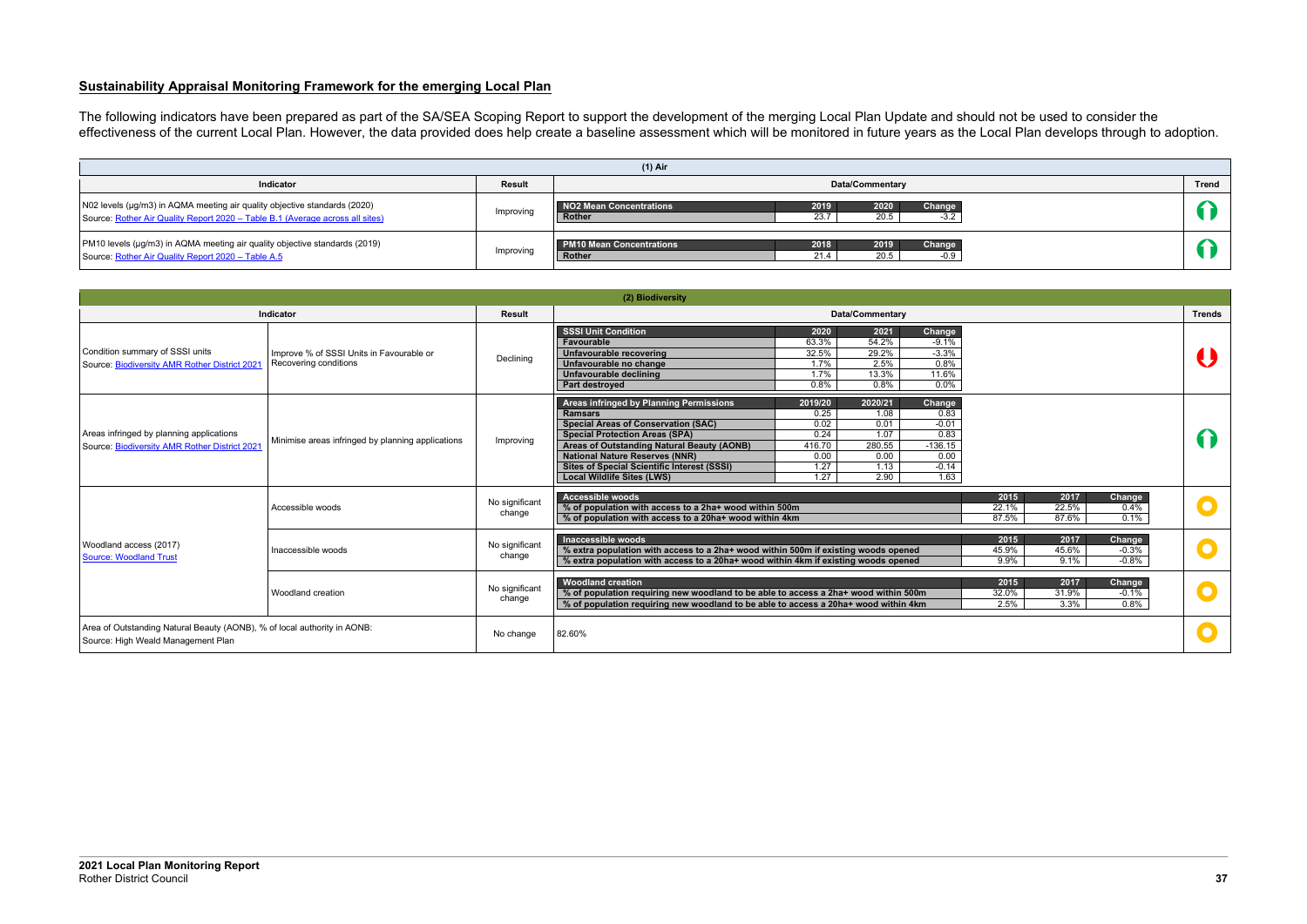#### **Sustainability Appraisal Monitoring Framework for the emerging Local Plan**

The following indicators have been prepared as part of the SA/SEA Scoping Report to support the development of the merging Local Plan Update and should not be used to consider the effectiveness of the current Local Plan. However, the data provided does help create a baseline assessment which will be monitored in future years as the Local Plan develops through to adoption.

| $(1)$ Air                                                                                                                                                  |           |                                                                                               |              |  |  |  |  |  |  |  |
|------------------------------------------------------------------------------------------------------------------------------------------------------------|-----------|-----------------------------------------------------------------------------------------------|--------------|--|--|--|--|--|--|--|
| Indicator                                                                                                                                                  | Result    | <b>Data/Commentary</b>                                                                        | <b>Trend</b> |  |  |  |  |  |  |  |
| N02 levels (µg/m3) in AQMA meeting air quality objective standards (2020)<br>Source: Rother Air Quality Report 2020 - Table B.1 (Average across all sites) | Improving | 2020<br>2019<br>NO2 Mean Concentrations<br>Change<br>23.7<br>20.5<br>$-3.2$<br>Rother         |              |  |  |  |  |  |  |  |
| PM10 levels (µg/m3) in AQMA meeting air quality objective standards (2019)<br>Source: Rother Air Quality Report 2020 - Table A.5                           | Improving | 2018<br>2019<br><b>PM10 Mean Concentrations</b><br>Change<br>20.5<br>21.4<br>$-0.9$<br>Rother |              |  |  |  |  |  |  |  |

|                                                                                                                |                                                                   |                          | (2) Biodiversity                                                                                                                                                                                                                                                                                                                                                                                                                                                                                                                                          |               |
|----------------------------------------------------------------------------------------------------------------|-------------------------------------------------------------------|--------------------------|-----------------------------------------------------------------------------------------------------------------------------------------------------------------------------------------------------------------------------------------------------------------------------------------------------------------------------------------------------------------------------------------------------------------------------------------------------------------------------------------------------------------------------------------------------------|---------------|
|                                                                                                                | <b>Indicator</b>                                                  | <b>Result</b>            | <b>Data/Commentary</b>                                                                                                                                                                                                                                                                                                                                                                                                                                                                                                                                    | <b>Trends</b> |
| Condition summary of SSSI units<br>Source: Biodiversity AMR Rother District 2021                               | Improve % of SSSI Units in Favourable or<br>Recovering conditions | Declining                | <b>SSSI Unit Condition</b><br>2020<br>2021<br>Change<br>63.3%<br>54.2%<br>Favourable<br>$-9.1%$<br>32.5%<br>29.2%<br>Unfavourable recovering<br>$-3.3%$<br>2.5%<br>Unfavourable no change<br>1.7%<br>0.8%<br>1.7%<br>13.3%<br>11.6%<br>Unfavourable declining<br>0.0%<br>0.8%<br>0.8%<br>Part destroyed                                                                                                                                                                                                                                                   |               |
| Areas infringed by planning applications<br>Source: Biodiversity AMR Rother District 2021                      | Minimise areas infringed by planning applications                 | Improving                | Areas infringed by Planning Permissions<br>2019/20<br>2020/21<br>Change<br>0.25<br>1.08<br>0.83<br><b>Ramsars</b><br><b>Special Areas of Conservation (SAC)</b><br>0.02<br>0.01<br>$-0.01$<br>0.24<br>1.07<br>0.83<br><b>Special Protection Areas (SPA)</b><br>Areas of Outstanding Natural Beauty (AONB)<br>416.70<br>280.55<br>$-136.15$<br><b>National Nature Reserves (NNR)</b><br>0.00<br>0.00<br>0.00<br>1.27<br>1.13<br>$-0.14$<br><b>Sites of Special Scientific Interest (SSSI)</b><br>1.27<br>2.90<br>1.63<br><b>Local Wildlife Sites (LWS)</b> |               |
| Woodland access (2017)<br><b>Source: Woodland Trust</b>                                                        | Accessible woods                                                  | No significant<br>change | <b>Accessible woods</b><br>2015<br>2017<br>Change<br>22.5%<br>% of population with access to a 2ha+ wood within 500m<br>22.1%<br>0.4%<br>% of population with access to a 20ha+ wood within 4km<br>87.5%<br>87.6%<br>0.1%                                                                                                                                                                                                                                                                                                                                 |               |
|                                                                                                                | Inaccessible woods                                                | No significant<br>change | Inaccessible woods<br>2015<br>2017<br>Change<br>% extra population with access to a 2ha+ wood within 500m if existing woods opened<br>45.9%<br>45.6%<br>$-0.3%$<br>% extra population with access to a 20ha+ wood within 4km if existing woods opened<br>$-0.8%$<br>9.9%<br>9.1%                                                                                                                                                                                                                                                                          |               |
|                                                                                                                | Woodland creation                                                 | No significant<br>change | <b>Woodland creation</b><br>2015<br>2017<br>Change<br>% of population requiring new woodland to be able to access a 2ha+ wood within 500m<br>32.0%<br>31.9%<br>$-0.1\%$<br>% of population requiring new woodland to be able to access a 20ha+ wood within 4km<br>3.3%<br>0.8%<br>2.5%                                                                                                                                                                                                                                                                    |               |
| Area of Outstanding Natural Beauty (AONB), % of local authority in AONB:<br>Source: High Weald Management Plan |                                                                   | No change                | 82.60%                                                                                                                                                                                                                                                                                                                                                                                                                                                                                                                                                    |               |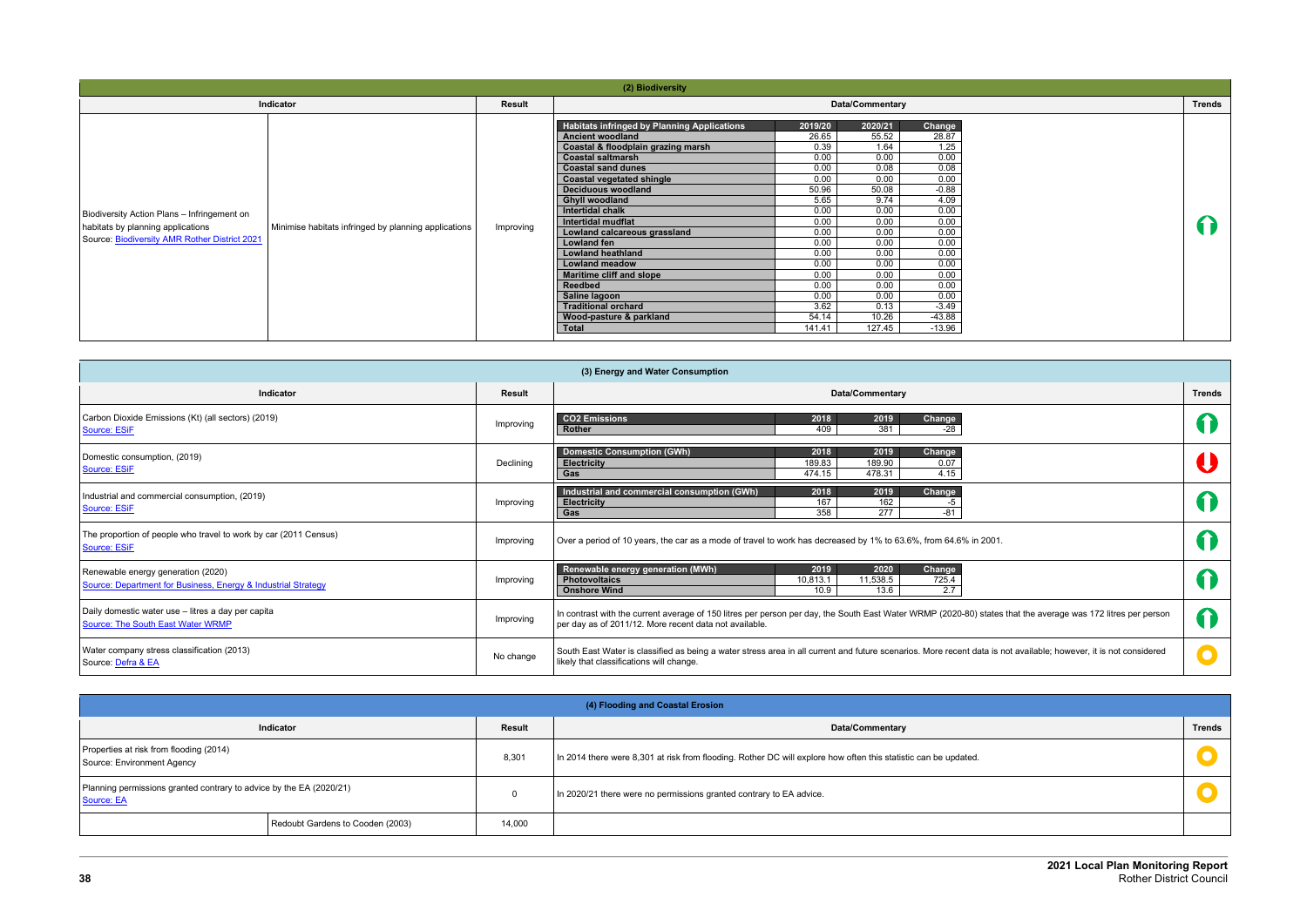|                                                                                                                                   |                                                      |               | (2) Biodiversity                                                                                                                                                                                                                                                                                                                                                                                                                                                                                                                                             |                                                                                                                                                                      |                                                                                                                                                                      |                                                                                                                                                                               |               |
|-----------------------------------------------------------------------------------------------------------------------------------|------------------------------------------------------|---------------|--------------------------------------------------------------------------------------------------------------------------------------------------------------------------------------------------------------------------------------------------------------------------------------------------------------------------------------------------------------------------------------------------------------------------------------------------------------------------------------------------------------------------------------------------------------|----------------------------------------------------------------------------------------------------------------------------------------------------------------------|----------------------------------------------------------------------------------------------------------------------------------------------------------------------|-------------------------------------------------------------------------------------------------------------------------------------------------------------------------------|---------------|
|                                                                                                                                   | Indicator                                            | <b>Result</b> |                                                                                                                                                                                                                                                                                                                                                                                                                                                                                                                                                              |                                                                                                                                                                      | <b>Data/Commentary</b>                                                                                                                                               |                                                                                                                                                                               | <b>Trends</b> |
| Biodiversity Action Plans - Infringement on<br>habitats by planning applications<br>Source: Biodiversity AMR Rother District 2021 | Minimise habitats infringed by planning applications | Improving     | <b>Habitats infringed by Planning Applications</b><br><b>Ancient woodland</b><br>Coastal & floodplain grazing marsh<br><b>Coastal saltmarsh</b><br><b>Coastal sand dunes</b><br><b>Coastal vegetated shingle</b><br>Deciduous woodland<br><b>Ghyll woodland</b><br>Intertidal chalk<br>Intertidal mudflat<br>Lowland calcareous grassland<br><b>Lowland fen</b><br><b>Lowland heathland</b><br><b>Lowland meadow</b><br><b>Maritime cliff and slope</b><br>Reedbed<br>Saline lagoon<br><b>Traditional orchard</b><br>Wood-pasture & parkland<br><b>Total</b> | 2019/20<br>26.65<br>0.39<br>0.00<br>0.00<br>0.00<br>50.96<br>5.65<br>0.00<br>0.00<br>0.00<br>0.00<br>0.00<br>0.00<br>0.00<br>0.00<br>0.00<br>3.62<br>54.14<br>141.41 | 2020/21<br>55.52<br>1.64<br>0.00<br>0.08<br>0.00<br>50.08<br>9.74<br>0.00<br>0.00<br>0.00<br>0.00<br>0.00<br>0.00<br>0.00<br>0.00<br>0.00<br>0.13<br>10.26<br>127.45 | Change<br>28.87<br>1.25<br>0.00<br>0.08<br>0.00<br>$-0.88$<br>4.09<br>0.00<br>0.00<br>0.00<br>0.00<br>0.00<br>0.00<br>0.00<br>0.00<br>0.00<br>$-3.49$<br>$-43.88$<br>$-13.96$ | 1             |

| <b>Trends</b> |
|---------------|
| $\Omega$      |
|               |

| (3) Energy and Water Consumption                                                                    |               |                                                                                                                                                                                                                        |                      |  |  |  |
|-----------------------------------------------------------------------------------------------------|---------------|------------------------------------------------------------------------------------------------------------------------------------------------------------------------------------------------------------------------|----------------------|--|--|--|
| Indicator                                                                                           | <b>Result</b> | <b>Data/Commentary</b>                                                                                                                                                                                                 | <b>Trends</b>        |  |  |  |
| Carbon Dioxide Emissions (Kt) (all sectors) (2019)<br>Source: ESiF                                  | Improving     | <b>CO2 Emissions</b><br>2019<br>2018<br><b>Change</b><br>381<br>409<br>$-28$<br>Rother                                                                                                                                 |                      |  |  |  |
| Domestic consumption, (2019)<br>Source: ESiF                                                        | Declining     | <b>Domestic Consumption (GWh)</b><br>2018<br>2019<br>Change<br>189.83<br>189.90<br>0.07<br><b>Electricity</b><br>478.31<br>474.15<br>4.15<br>Gas                                                                       |                      |  |  |  |
| Industrial and commercial consumption, (2019)<br>Source: ESiF                                       | Improving     | Industrial and commercial consumption (GWh)<br>Change<br>2018<br>2019<br>167<br>162<br><b>Electricity</b><br>-5<br>358<br>277<br>$-81$<br>Gas                                                                          | T                    |  |  |  |
| The proportion of people who travel to work by car (2011 Census)<br>Source: ESiF                    | Improving     | Over a period of 10 years, the car as a mode of travel to work has decreased by 1% to 63.6%, from 64.6% in 2001.                                                                                                       |                      |  |  |  |
| Renewable energy generation (2020)<br>Source: Department for Business, Energy & Industrial Strategy | Improving     | Renewable energy generation (MWh)<br>2019<br>2020<br>Change<br>11,538.5<br>725.4<br><b>Photovoltaics</b><br>10,813.1<br>10.9<br>13.6<br>2.7<br><b>Onshore Wind</b>                                                     | $\bigcap$            |  |  |  |
| Daily domestic water use - litres a day per capita<br>Source: The South East Water WRMP             | Improving     | In contrast with the current average of 150 litres per person per day, the South East Water WRMP (2020-80) states that the average was 172 litres per person<br>per day as of 2011/12. More recent data not available. | 1                    |  |  |  |
| Water company stress classification (2013)<br>Source: Defra & EA                                    | No change     | South East Water is classified as being a water stress area in all current and future scenarios. More recent data is not available; however, it is not considered<br>likely that classifications will change.          | $\overline{\bullet}$ |  |  |  |

|                                                                                   | (4) Flooding and Coastal Erosion |                                                                                                                 |               |  |  |  |  |  |
|-----------------------------------------------------------------------------------|----------------------------------|-----------------------------------------------------------------------------------------------------------------|---------------|--|--|--|--|--|
| <b>Indicator</b>                                                                  | <b>Result</b>                    | <b>Data/Commentary</b>                                                                                          | <b>Trends</b> |  |  |  |  |  |
| Properties at risk from flooding (2014)<br>Source: Environment Agency             | 8,301                            | In 2014 there were 8,301 at risk from flooding. Rother DC will explore how often this statistic can be updated. |               |  |  |  |  |  |
| Planning permissions granted contrary to advice by the EA (2020/21)<br>Source: EA |                                  | In 2020/21 there were no permissions granted contrary to EA advice.                                             |               |  |  |  |  |  |
| Redoubt Gardens to Cooden (2003)                                                  | 14,000                           |                                                                                                                 |               |  |  |  |  |  |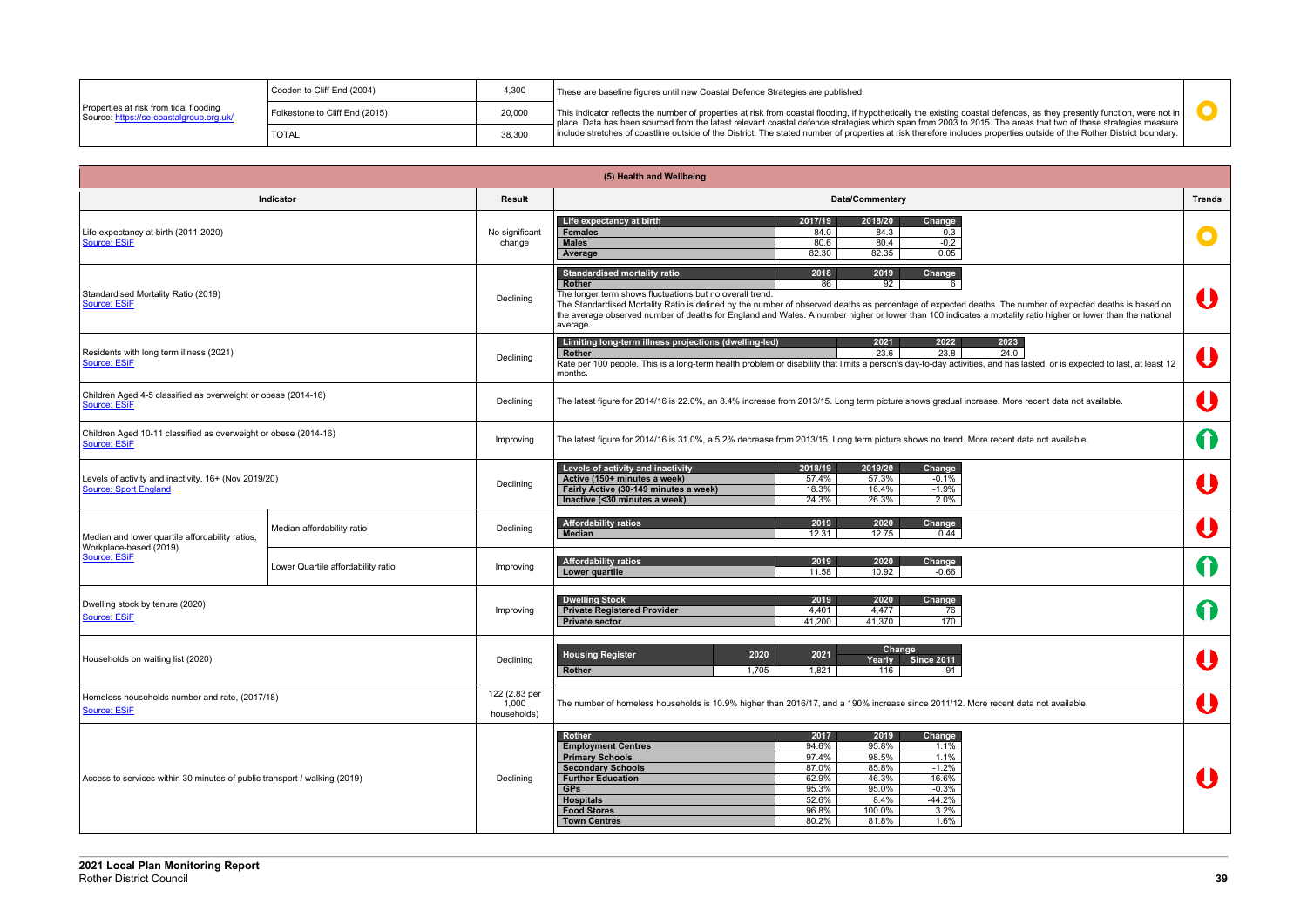

|                                                                                   | Cooden to Cliff End (2004)     | 4,300  | These are baseline figures until new Coastal Defence Strategies are published.                                                                                                                                                                                                                                                                           |
|-----------------------------------------------------------------------------------|--------------------------------|--------|----------------------------------------------------------------------------------------------------------------------------------------------------------------------------------------------------------------------------------------------------------------------------------------------------------------------------------------------------------|
| Properties at risk from tidal flooding<br>Source: https://se-coastalgroup.org.uk/ | Folkestone to Cliff End (2015) | 20,000 | This indicator reflects the number of properties at risk from coastal flooding, if hypothetically the existing coastal defences, as they presently function, were not in<br>$\overline{ }$ place. Data has been sourced from the latest relevant coastal defence strategies which span from 2003 to 2015. The areas that two of these strategies measure |
|                                                                                   | <b>TOTAL</b>                   | 38,300 | include stretches of coastline outside of the District. The stated number of properties at risk therefore includes properties outside of the Rother District boundary.                                                                                                                                                                                   |

|                                                                                      |                                    |                                       | (5) Health and Wellbeing                                                                                                                                                                                                                                                                                                                                                                                                                                                                     |               |
|--------------------------------------------------------------------------------------|------------------------------------|---------------------------------------|----------------------------------------------------------------------------------------------------------------------------------------------------------------------------------------------------------------------------------------------------------------------------------------------------------------------------------------------------------------------------------------------------------------------------------------------------------------------------------------------|---------------|
|                                                                                      | Indicator                          | <b>Result</b>                         | Data/Commentary                                                                                                                                                                                                                                                                                                                                                                                                                                                                              | <b>Trends</b> |
| Life expectancy at birth (2011-2020)<br>Source: ESiF                                 |                                    | No significant<br>change              | Life expectancy at birth<br>2017/19<br>2018/20<br>Change<br>84.0<br>84.3<br><b>Females</b><br>0.3<br>$-0.2$<br><b>Males</b><br>80.6<br>80.4<br>82.30<br>82.35<br>0.05<br>Average                                                                                                                                                                                                                                                                                                             |               |
| Standardised Mortality Ratio (2019)<br>Source: ESiF                                  |                                    | Declining                             | <b>Standardised mortality ratio</b><br>2018<br>2019<br>Change<br>92<br>Rother<br>86<br>6<br>The longer term shows fluctuations but no overall trend.<br>The Standardised Mortality Ratio is defined by the number of observed deaths as percentage of expected deaths. The number of expected deaths is based on<br>the average observed number of deaths for England and Wales. A number higher or lower than 100 indicates a mortality ratio higher or lower than the national<br>average. |               |
| Residents with long term illness (2021)<br>Source: ESiF                              |                                    | Declining                             | Limiting long-term illness projections (dwelling-led)<br>2023<br>2021<br>2022<br>23.6<br>23.8<br>24.0<br>Rother<br>Rate per 100 people. This is a long-term health problem or disability that limits a person's day-to-day activities, and has lasted, or is expected to last, at least 12<br>months.                                                                                                                                                                                        |               |
| Children Aged 4-5 classified as overweight or obese (2014-16)<br>Source: ESiF        |                                    | Declining                             | The latest figure for 2014/16 is 22.0%, an 8.4% increase from 2013/15. Long term picture shows gradual increase. More recent data not available.                                                                                                                                                                                                                                                                                                                                             |               |
| Children Aged 10-11 classified as overweight or obese (2014-16)<br>Source: ESiF      |                                    | Improving                             | The latest figure for 2014/16 is 31.0%, a 5.2% decrease from 2013/15. Long term picture shows no trend. More recent data not available.                                                                                                                                                                                                                                                                                                                                                      | $\bigcap$     |
| Levels of activity and inactivity, 16+ (Nov 2019/20)<br><b>Source: Sport England</b> |                                    | Declining                             | Levels of activity and inactivity<br>2018/19<br>2019/20<br>Change<br>Active (150+ minutes a week)<br>57.4%<br>57.3%<br>$-0.1%$<br>Fairly Active (30-149 minutes a week)<br>18.3%<br>16.4%<br>$-1.9%$<br>2.0%<br>Inactive (<30 minutes a week)<br>24.3%<br>26.3%                                                                                                                                                                                                                              |               |
| Median and lower quartile affordability ratios,                                      | Median affordability ratio         | Declining                             | <b>Affordability ratios</b><br>2019<br>2020<br>Change<br>12.31<br><b>Median</b><br>12.75<br>0.44                                                                                                                                                                                                                                                                                                                                                                                             |               |
| Workplace-based (2019)<br>Source: ESiF                                               | Lower Quartile affordability ratio | Improving                             | <b>Affordability ratios</b><br>2019<br>2020<br>Change<br>11.58<br>10.92<br>Lower quartile<br>$-0.66$                                                                                                                                                                                                                                                                                                                                                                                         | 1             |
| Dwelling stock by tenure (2020)<br>Source: ESiF                                      |                                    | Improving                             | <b>Dwelling Stock</b><br>2019<br>2020<br><b>Change</b><br><b>Private Registered Provider</b><br>4,401<br>4.477<br>76<br>41,200<br>41,370<br>170<br><b>Private sector</b>                                                                                                                                                                                                                                                                                                                     |               |
| Households on waiting list (2020)                                                    |                                    | Declining                             | Change<br><b>Housing Register</b><br>2020<br>2021<br>Yearly<br><b>Since 2011</b><br>1,705<br>1,821<br>Rother<br>116<br>-91                                                                                                                                                                                                                                                                                                                                                                   | U             |
| Homeless households number and rate, (2017/18)<br>Source: ESiF                       |                                    | 122 (2.83 per<br>1,000<br>households) | The number of homeless households is 10.9% higher than 2016/17, and a 190% increase since 2011/12. More recent data not available.                                                                                                                                                                                                                                                                                                                                                           | U             |
| Access to services within 30 minutes of public transport / walking (2019)            |                                    | Declining                             | Rother<br>2017<br>2019<br>Change<br><b>Employment Centres</b><br>94.6%<br>95.8%<br>1.1%<br><b>Primary Schools</b><br>97.4%<br>98.5%<br>1.1%<br>87.0%<br>$-1.2%$<br><b>Secondary Schools</b><br>85.8%<br><b>Further Education</b><br>62.9%<br>$-16.6%$<br>46.3%<br>95.3%<br>$-0.3%$<br><b>GPs</b><br>95.0%<br><b>Hospitals</b><br>$-44.2%$<br>52.6%<br>8.4%<br><b>Food Stores</b><br>3.2%<br>96.8%<br>100.0%<br>1.6%<br>80.2%<br>81.8%<br><b>Town Centres</b>                                 | $\bf{J}$      |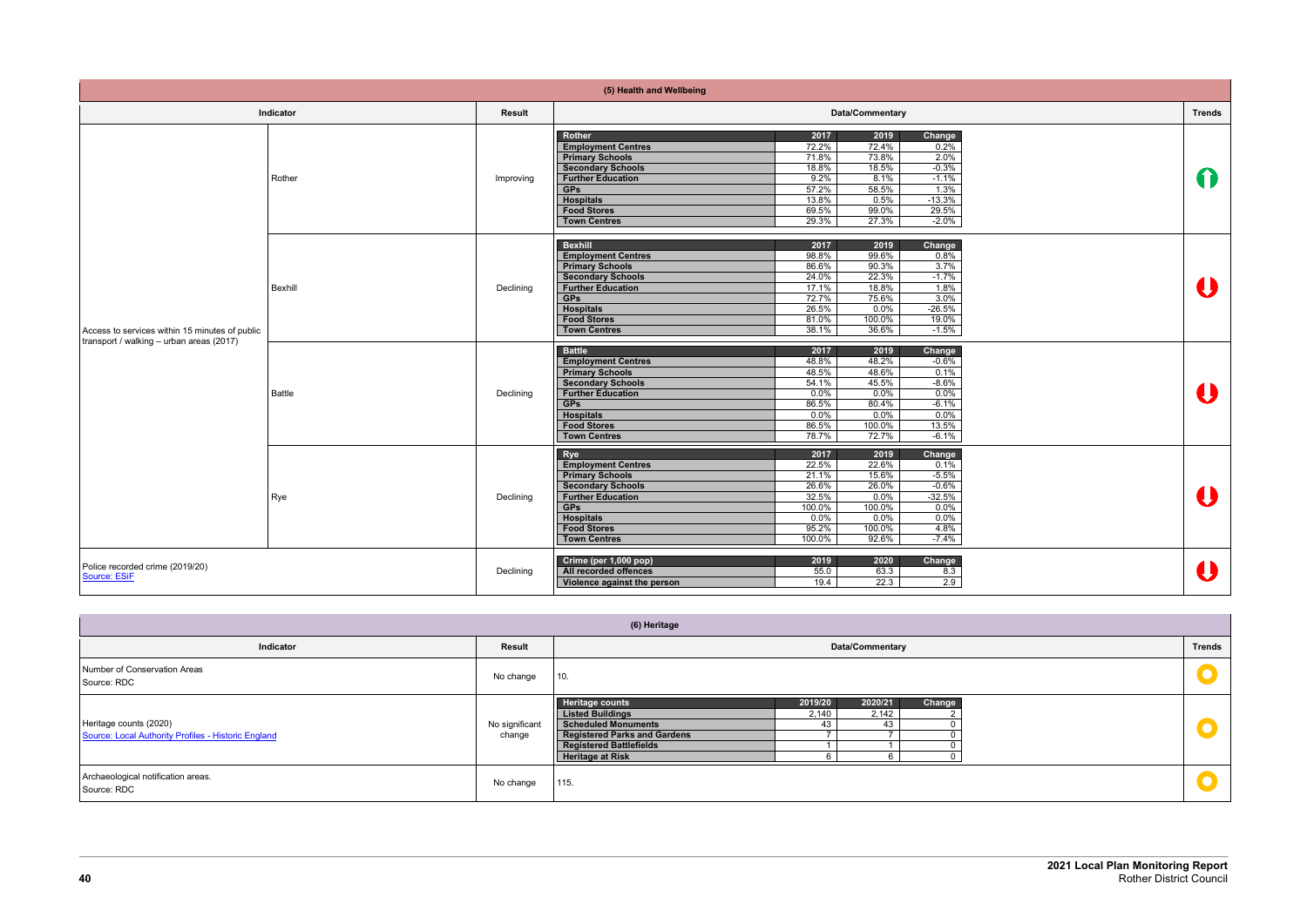|                                                                                            |               |               | (5) Health and Wellbeing                                                                                                                                                                                     |                                                                               |                                                                              |                                                                                       |               |
|--------------------------------------------------------------------------------------------|---------------|---------------|--------------------------------------------------------------------------------------------------------------------------------------------------------------------------------------------------------------|-------------------------------------------------------------------------------|------------------------------------------------------------------------------|---------------------------------------------------------------------------------------|---------------|
|                                                                                            | Indicator     | <b>Result</b> |                                                                                                                                                                                                              |                                                                               | Data/Commentary                                                              |                                                                                       | <b>Trends</b> |
| Access to services within 15 minutes of public<br>transport / walking - urban areas (2017) | Rother        | Improving     | Rother<br><b>Employment Centres</b><br><b>Primary Schools</b><br><b>Secondary Schools</b><br><b>Further Education</b><br><b>GPs</b><br><b>Hospitals</b><br><b>Food Stores</b><br><b>Town Centres</b>         | 2017<br>72.2%<br>71.8%<br>18.8%<br>9.2%<br>57.2%<br>13.8%<br>69.5%<br>29.3%   | 2019<br>72.4%<br>73.8%<br>18.5%<br>8.1%<br>58.5%<br>0.5%<br>99.0%<br>27.3%   | Change<br>0.2%<br>2.0%<br>$-0.3%$<br>$-1.1%$<br>1.3%<br>$-13.3%$<br>29.5%<br>$-2.0\%$ | 1             |
|                                                                                            | Bexhill       | Declining     | <b>Bexhill</b><br><b>Employment Centres</b><br><b>Primary Schools</b><br><b>Secondary Schools</b><br><b>Further Education</b><br><b>GPs</b><br><b>Hospitals</b><br><b>Food Stores</b><br><b>Town Centres</b> | 2017<br>98.8%<br>86.6%<br>24.0%<br>17.1%<br>72.7%<br>26.5%<br>81.0%<br>38.1%  | 2019<br>99.6%<br>90.3%<br>22.3%<br>18.8%<br>75.6%<br>0.0%<br>100.0%<br>36.6% | Change<br>0.8%<br>3.7%<br>$-1.7%$<br>1.8%<br>3.0%<br>$-26.5%$<br>19.0%<br>$-1.5%$     |               |
|                                                                                            | <b>Battle</b> | Declining     | <b>Battle</b><br><b>Employment Centres</b><br><b>Primary Schools</b><br><b>Secondary Schools</b><br><b>Further Education</b><br><b>GPs</b><br><b>Hospitals</b><br><b>Food Stores</b><br><b>Town Centres</b>  | 2017<br>48.8%<br>48.5%<br>54.1%<br>0.0%<br>86.5%<br>0.0%<br>86.5%<br>78.7%    | 2019<br>48.2%<br>48.6%<br>45.5%<br>0.0%<br>80.4%<br>0.0%<br>100.0%<br>72.7%  | Change<br>$-0.6\%$<br>0.1%<br>$-8.6%$<br>0.0%<br>$-6.1%$<br>0.0%<br>13.5%<br>$-6.1%$  | IJ            |
|                                                                                            | Rye           | Declining     | Rye<br><b>Employment Centres</b><br><b>Primary Schools</b><br><b>Secondary Schools</b><br><b>Further Education</b><br><b>GPs</b><br><b>Hospitals</b><br><b>Food Stores</b><br><b>Town Centres</b>            | 2017<br>22.5%<br>21.1%<br>26.6%<br>32.5%<br>100.0%<br>0.0%<br>95.2%<br>100.0% | 2019<br>22.6%<br>15.6%<br>26.0%<br>0.0%<br>100.0%<br>0.0%<br>100.0%<br>92.6% | Change<br>0.1%<br>$-5.5%$<br>$-0.6%$<br>$-32.5%$<br>0.0%<br>0.0%<br>4.8%<br>$-7.4%$   |               |
| Police recorded crime (2019/20)<br>Source: ESiF                                            |               | Declining     | Crime (per 1,000 pop)<br>All recorded offences<br>Violence against the person                                                                                                                                | 2019<br>55.0<br>19.4                                                          | 2020<br>63.3<br>22.3                                                         | Change<br>8.3<br>2.9                                                                  |               |

|                                                                               |                          | (6) Heritage                                                                                                                                                                                                                        |           |  |  |
|-------------------------------------------------------------------------------|--------------------------|-------------------------------------------------------------------------------------------------------------------------------------------------------------------------------------------------------------------------------------|-----------|--|--|
| Indicator                                                                     | Result                   | <b>Trends</b><br><b>Data/Commentary</b>                                                                                                                                                                                             |           |  |  |
| Number of Conservation Areas<br>Source: RDC                                   | No change                | 10.                                                                                                                                                                                                                                 | $\bullet$ |  |  |
| Heritage counts (2020)<br>Source: Local Authority Profiles - Historic England | No significant<br>change | Heritage counts<br>2019/20<br>2020/21<br>Change<br><b>Listed Buildings</b><br>2,140<br>2,142<br>Scheduled Monuments<br>43<br>43<br><b>Registered Parks and Gardens</b><br><b>Registered Battlefields</b><br><b>Heritage at Risk</b> | $\bullet$ |  |  |
| Archaeological notification areas.<br>Source: RDC                             | No change                | 115.                                                                                                                                                                                                                                | $\bullet$ |  |  |

| <b>Trends</b><br>0<br>$\mathbf 0$<br>$\boldsymbol{\mathsf{U}}$<br>$\mathbf 0$<br>IJ |  |
|-------------------------------------------------------------------------------------|--|
|                                                                                     |  |
|                                                                                     |  |
|                                                                                     |  |
|                                                                                     |  |
|                                                                                     |  |
|                                                                                     |  |
|                                                                                     |  |
|                                                                                     |  |
| <b>Trends</b>                                                                       |  |
| $\bullet$                                                                           |  |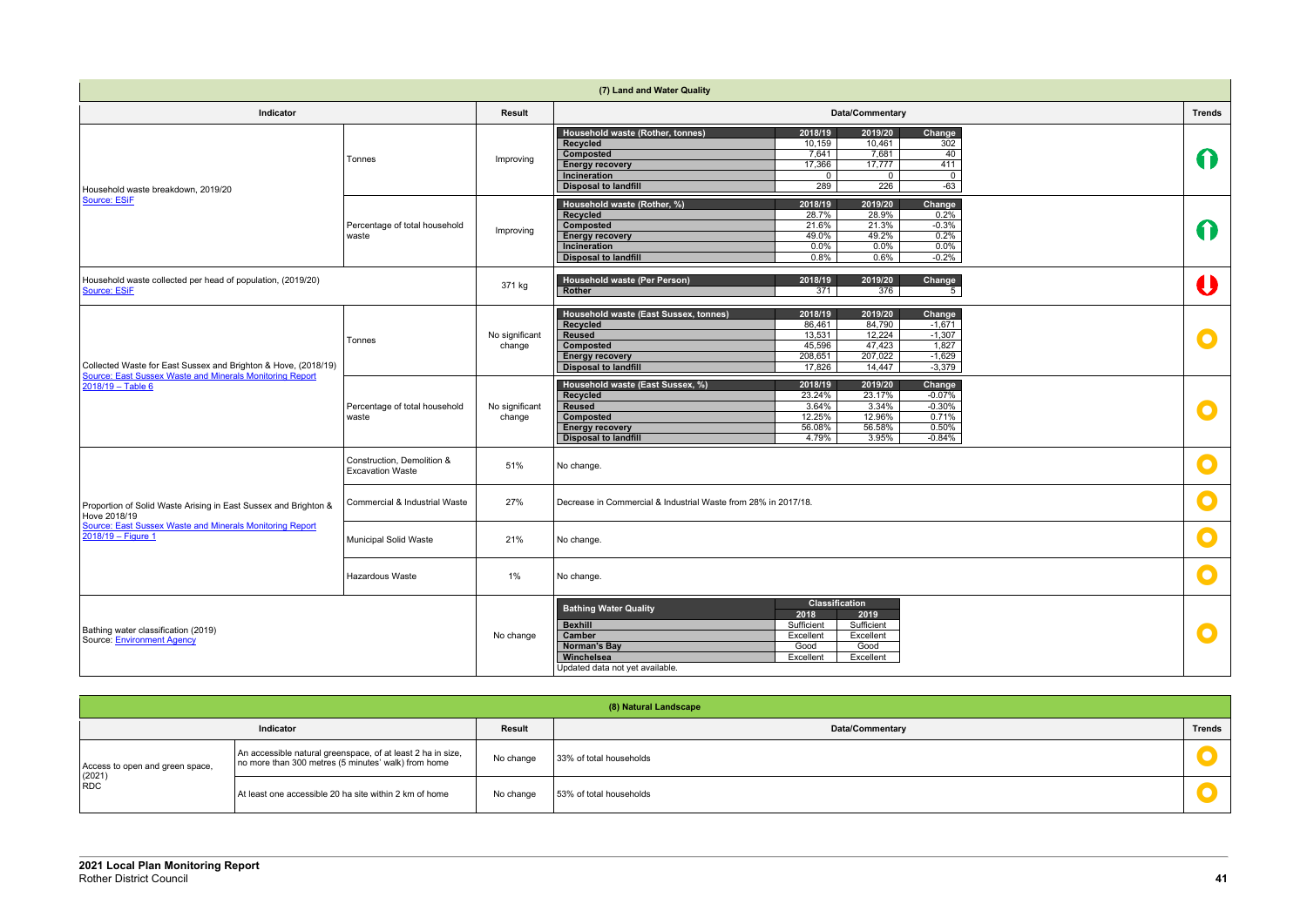| <b>Trends</b>         |
|-----------------------|
| $\Omega$              |
| $\boldsymbol{\Omega}$ |
| $\bullet$             |
| $\bullet$             |
| $\bullet$             |
| $\mathbf 0$           |
| $\bullet$             |
|                       |
|                       |
| $\bullet$             |
|                       |
|                       |
| <b>Trends</b>         |

|                                                                                  |                                                       |                          | (7) Land and Water Quality                                                                                                                      |                                                                               |                                                             |                                                                 |               |
|----------------------------------------------------------------------------------|-------------------------------------------------------|--------------------------|-------------------------------------------------------------------------------------------------------------------------------------------------|-------------------------------------------------------------------------------|-------------------------------------------------------------|-----------------------------------------------------------------|---------------|
| Indicator                                                                        |                                                       | <b>Result</b>            |                                                                                                                                                 |                                                                               | Data/Commentary                                             |                                                                 | <b>Trends</b> |
|                                                                                  | Tonnes                                                | Improving                | Household waste (Rother, tonnes)<br>Recycled<br>Composted<br><b>Energy recovery</b><br>Incineration<br><b>Disposal to landfill</b>              | 2018/19<br>10,159<br>7,641<br>17,366<br>$\overline{0}$<br>289                 | 2019/20<br>10,461<br>7,681<br>17,777<br>$\mathbf{0}$<br>226 | Change<br>302<br>40<br>411<br>$\overline{0}$<br>$-63$           | $\bigcap$     |
| Household waste breakdown, 2019/20<br>Source: ESiF                               | Percentage of total household<br>waste                | Improving                | Household waste (Rother, %)<br>Recycled<br>Composted<br><b>Energy recovery</b><br>Incineration<br><b>Disposal to landfill</b>                   | 2018/19<br>28.7%<br>21.6%<br>49.0%<br>0.0%<br>0.8%                            | 2019/20<br>28.9%<br>21.3%<br>49.2%<br>$0.0\%$<br>0.6%       | Change<br>0.2%<br>$-0.3%$<br>0.2%<br>0.0%<br>$-0.2%$            | 11            |
| Household waste collected per head of population, (2019/20)<br>Source: ESiF      |                                                       | 371 kg                   | Household waste (Per Person)<br>Rother                                                                                                          | 2018/19<br>371                                                                | 2019/20<br>376                                              | Change<br>5                                                     | U             |
| Collected Waste for East Sussex and Brighton & Hove, (2018/19)                   | Tonnes                                                | No significant<br>change | Household waste (East Sussex, tonnes)<br>Recycled<br><b>Reused</b><br><b>Composted</b><br><b>Energy recovery</b><br><b>Disposal to landfill</b> | 2018/19<br>86,461<br>13,531<br>45,596<br>208,651<br>17,826                    | 2019/20<br>84,790<br>12,224<br>47,423<br>207,022<br>14,447  | Change<br>$-1,671$<br>$-1,307$<br>1,827<br>$-1,629$<br>$-3,379$ | O             |
| Source: East Sussex Waste and Minerals Monitoring Report<br>$2018/19 - Table 6$  | Percentage of total household<br>waste                | No significant<br>change | Household waste (East Sussex, %)<br>Recycled<br><b>Reused</b><br>Composted<br><b>Energy recovery</b><br><b>Disposal to landfill</b>             | 2018/19<br>23.24%<br>3.64%<br>12.25%<br>56.08%<br>4.79%                       | 2019/20<br>23.17%<br>3.34%<br>12.96%<br>56.58%<br>3.95%     | Change<br>$-0.07%$<br>$-0.30%$<br>0.71%<br>0.50%<br>$-0.84%$    | $\bullet$     |
|                                                                                  | Construction, Demolition &<br><b>Excavation Waste</b> | 51%                      | No change.                                                                                                                                      |                                                                               |                                                             |                                                                 | $\bullet$     |
| Proportion of Solid Waste Arising in East Sussex and Brighton &<br>Hove 2018/19  | Commercial & Industrial Waste                         | 27%                      | Decrease in Commercial & Industrial Waste from 28% in 2017/18.                                                                                  |                                                                               |                                                             |                                                                 | $\bullet$     |
| Source: East Sussex Waste and Minerals Monitoring Report<br>$2018/19 -$ Figure 1 | Municipal Solid Waste                                 | 21%                      | No change.                                                                                                                                      |                                                                               |                                                             |                                                                 | $\bullet$     |
|                                                                                  | Hazardous Waste                                       | 1%                       | No change.                                                                                                                                      |                                                                               |                                                             |                                                                 |               |
| Bathing water classification (2019)<br>Source: Environment Agency                |                                                       | No change                | <b>Bathing Water Quality</b><br><b>Bexhill</b><br>Camber<br><b>Norman's Bay</b><br>Winchelsea<br>Updated data not yet available.                | <b>Classification</b><br>2018<br>Sufficient<br>Excellent<br>Good<br>Excellent | 2019<br>Sufficient<br>Excellent<br>Good<br>Excellent        |                                                                 | $\bullet$     |

| (8) Natural Landscape                              |                                                                                                                    |               |                         |               |  |
|----------------------------------------------------|--------------------------------------------------------------------------------------------------------------------|---------------|-------------------------|---------------|--|
| Indicator                                          |                                                                                                                    | <b>Result</b> | <b>Data/Commentary</b>  | <b>Trends</b> |  |
| Access to open and green space,<br>$(2021)$<br>RDC | An accessible natural greenspace, of at least 2 ha in size,<br>no more than 300 metres (5 minutes' walk) from home | No change     | 33% of total households |               |  |
|                                                    | At least one accessible 20 ha site within 2 km of home                                                             | No change     | 53% of total households |               |  |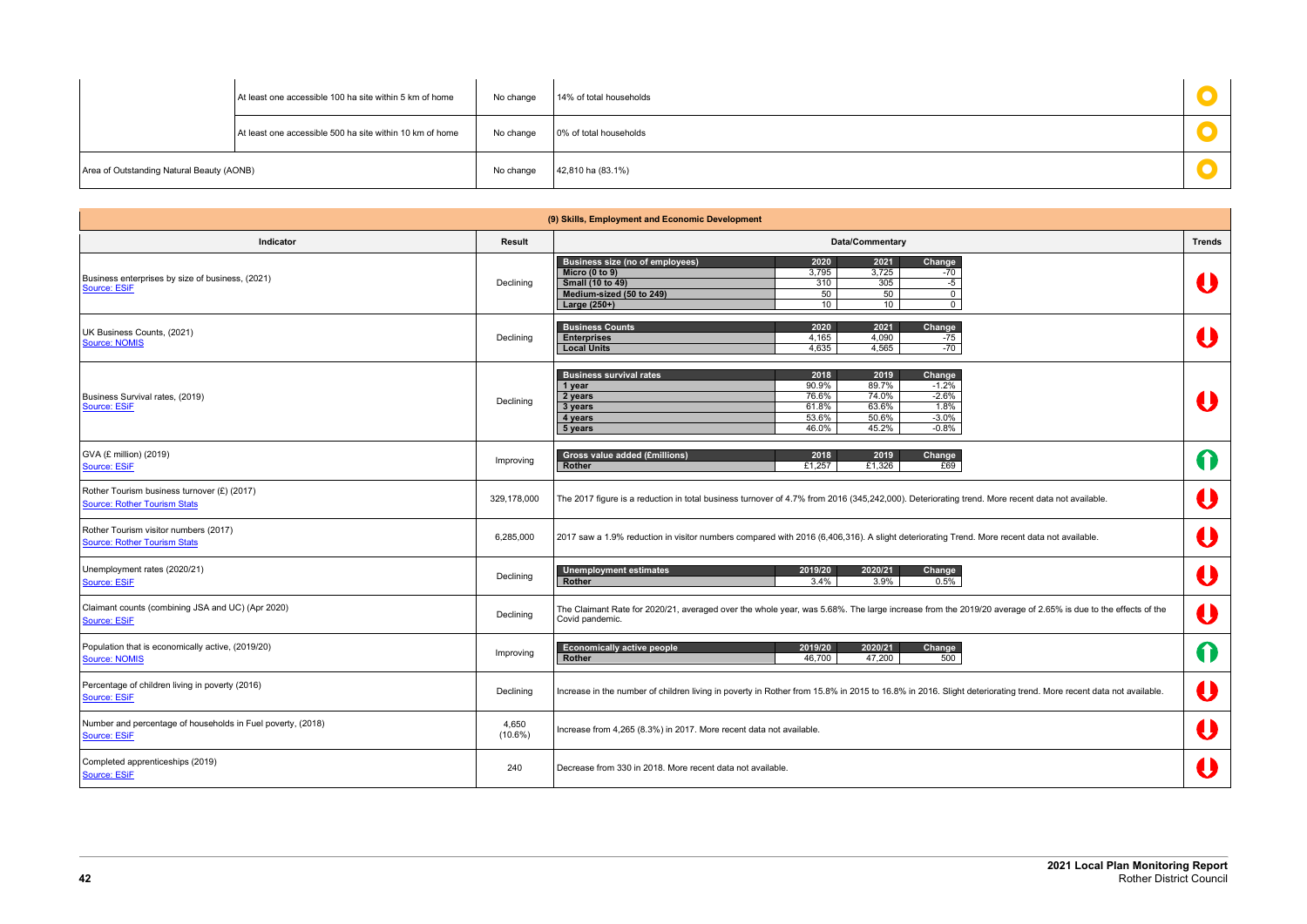|                                           | At least one accessible 100 ha site within 5 km of home  | No change | 14% of total households |  |
|-------------------------------------------|----------------------------------------------------------|-----------|-------------------------|--|
|                                           | At least one accessible 500 ha site within 10 km of home | No change | 0% of total households  |  |
| Area of Outstanding Natural Beauty (AONB) |                                                          | No change | 42,810 ha (83.1%)       |  |

| (9) Skills, Employment and Economic Development                                    |                     |                                                                                                                                                                                                                                                                                               |   |  |
|------------------------------------------------------------------------------------|---------------------|-----------------------------------------------------------------------------------------------------------------------------------------------------------------------------------------------------------------------------------------------------------------------------------------------|---|--|
| Indicator                                                                          | <b>Result</b>       | <b>Data/Commentary</b>                                                                                                                                                                                                                                                                        |   |  |
| Business enterprises by size of business, (2021)<br>Source: ESiF                   | Declining           | Change<br><b>Business size (no of employees)</b><br>2020<br>2021<br>Micro $(0 to 9)$<br>3,795<br>3,725<br>$-70$<br><b>Small (10 to 49)</b><br>310<br>305<br>$-5$<br>Medium-sized (50 to 249)<br>50<br>50<br>$\mathbf{0}$<br>Large (250+)<br>10 <sup>1</sup><br>10 <sup>1</sup><br>$\mathbf 0$ | J |  |
| UK Business Counts, (2021)<br>Source: NOMIS                                        | Declining           | <b>Business Counts</b><br>2020<br>2021<br>Change<br>4,165<br>4,090<br><b>Enterprises</b><br>$-75$<br>4,635<br>4,565<br>$-70$<br><b>Local Units</b>                                                                                                                                            | U |  |
| Business Survival rates, (2019)<br>Source: ESiF                                    | Declining           | <b>Business survival rates</b><br>2018<br>Change<br>2019<br>90.9%<br>89.7%<br>$-1.2%$<br>1 year<br>76.6%<br>74.0%<br>$-2.6%$<br>2 years<br>61.8%<br>63.6%<br>1.8%<br>3 years<br>53.6%<br>50.6%<br>$-3.0%$<br>4 years<br>45.2%<br>46.0%<br>$-0.8\%$<br>5 years                                 |   |  |
| GVA (£ million) (2019)<br>Source: ESiF                                             | Improving           | <b>Gross value added (£millions)</b><br>2018<br>2019<br>Change<br>£1,257<br>£1,326<br>£69<br>Rother                                                                                                                                                                                           | 0 |  |
| Rother Tourism business turnover (£) (2017)<br><b>Source: Rother Tourism Stats</b> | 329,178,000         | The 2017 figure is a reduction in total business turnover of 4.7% from 2016 (345,242,000). Deteriorating trend. More recent data not available.                                                                                                                                               | U |  |
| Rother Tourism visitor numbers (2017)<br>Source: Rother Tourism Stats              | 6,285,000           | 2017 saw a 1.9% reduction in visitor numbers compared with 2016 (6,406,316). A slight deteriorating Trend. More recent data not available.                                                                                                                                                    |   |  |
| Unemployment rates (2020/21)<br>Source: ESiF                                       | Declining           | <b>Unemployment estimates</b><br>2019/20<br>2020/21<br>Change<br>Rother<br>3.4%<br>3.9%<br>0.5%                                                                                                                                                                                               | U |  |
| Claimant counts (combining JSA and UC) (Apr 2020)<br>Source: ESiF                  | Declining           | The Claimant Rate for 2020/21, averaged over the whole year, was 5.68%. The large increase from the 2019/20 average of 2.65% is due to the effects of the<br>Covid pandemic.                                                                                                                  | U |  |
| Population that is economically active, (2019/20)<br>Source: NOMIS                 | Improving           | 2019/20<br>2020/21<br>Change<br><b>Economically active people</b><br>Rother<br>46,700<br>47,200<br>500                                                                                                                                                                                        | 6 |  |
| Percentage of children living in poverty (2016)<br>Source: ESiF                    | Declining           | Increase in the number of children living in poverty in Rother from 15.8% in 2015 to 16.8% in 2016. Slight deteriorating trend. More recent data not available.                                                                                                                               | U |  |
| Number and percentage of households in Fuel poverty, (2018)<br>Source: ESiF        | 4,650<br>$(10.6\%)$ | Increase from 4,265 (8.3%) in 2017. More recent data not available.                                                                                                                                                                                                                           | U |  |
| Completed apprenticeships (2019)<br>Source: ESiF                                   | 240                 | Decrease from 330 in 2018. More recent data not available.                                                                                                                                                                                                                                    | U |  |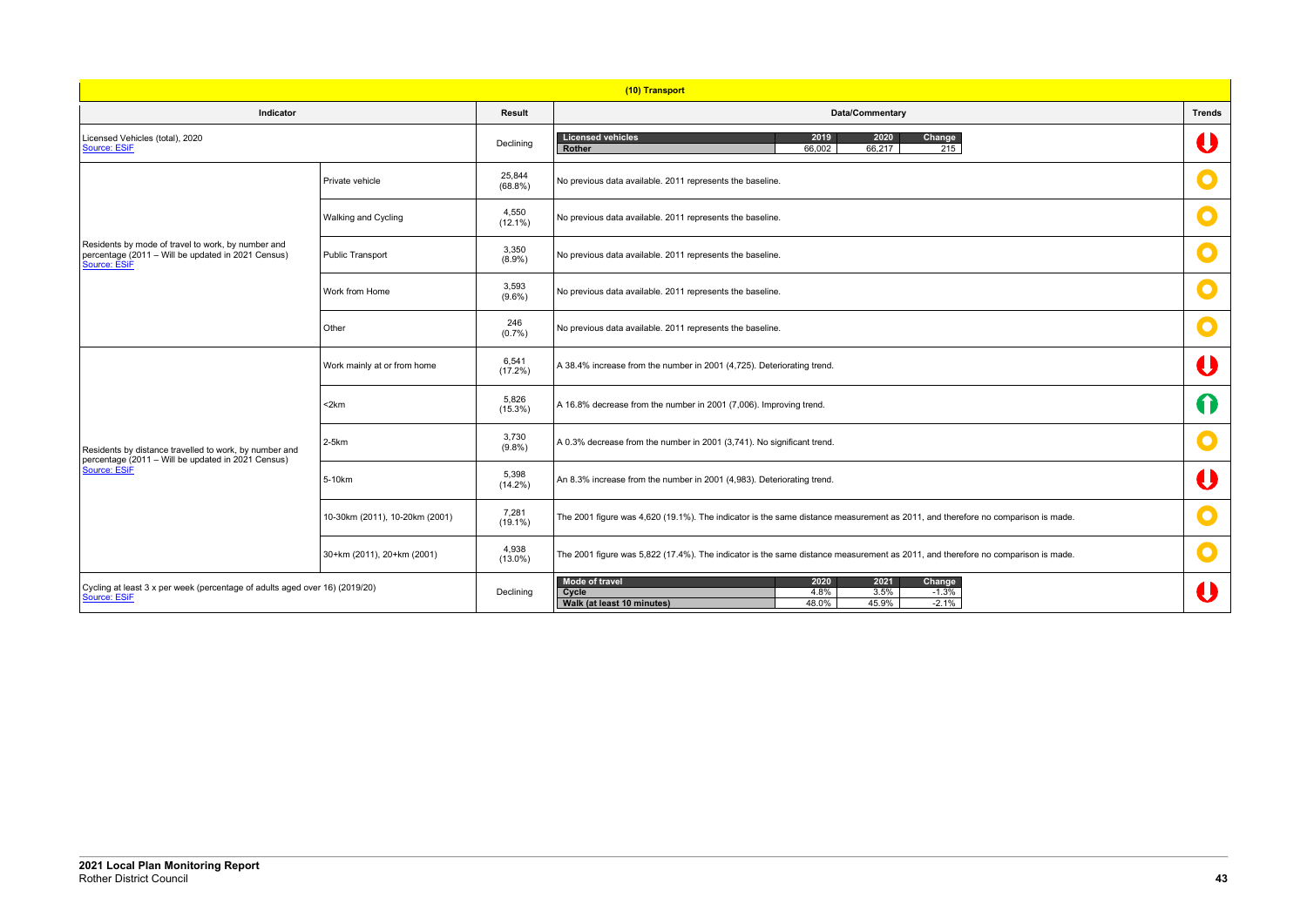|                       | <b>Trends</b>                                     |
|-----------------------|---------------------------------------------------|
|                       | $\begin{array}{c} \bullet \\ \bullet \end{array}$ |
|                       | O                                                 |
|                       | C                                                 |
|                       |                                                   |
|                       | C                                                 |
|                       | $\overline{\mathbf{C}}$                           |
|                       | $\bigcup$                                         |
|                       | 0                                                 |
|                       | C                                                 |
|                       | $\overline{\mathbf{0}}$                           |
| o comparison is made. | $\bullet$                                         |
| o comparison is made. |                                                   |
|                       |                                                   |
|                       |                                                   |

| (10) Transport                                                                                                           |                                |                      |                                                                                                                                         |               |
|--------------------------------------------------------------------------------------------------------------------------|--------------------------------|----------------------|-----------------------------------------------------------------------------------------------------------------------------------------|---------------|
| <b>Indicator</b>                                                                                                         |                                | <b>Result</b>        | <b>Data/Commentary</b>                                                                                                                  | <b>Trends</b> |
| Licensed Vehicles (total), 2020<br>Source: ESiF                                                                          |                                | Declining            | <b>Licensed vehicles</b><br>2019<br>2020<br>Change<br>66,002<br>66,217<br>215<br>Rother                                                 | U             |
| Residents by mode of travel to work, by number and<br>percentage (2011 - Will be updated in 2021 Census)<br>Source: ESiF | Private vehicle                | 25,844<br>$(68.8\%)$ | No previous data available. 2011 represents the baseline.                                                                               | $\bullet$     |
|                                                                                                                          | Walking and Cycling            | 4,550<br>$(12.1\%)$  | No previous data available. 2011 represents the baseline.                                                                               | $\mathbf O$   |
|                                                                                                                          | Public Transport               | 3,350<br>$(8.9\%)$   | No previous data available. 2011 represents the baseline.                                                                               | $\mathbf O$   |
|                                                                                                                          | Work from Home                 | 3,593<br>$(9.6\%)$   | No previous data available. 2011 represents the baseline.                                                                               | $\mathbf O$   |
|                                                                                                                          | Other                          | 246<br>(0.7%         | No previous data available. 2011 represents the baseline.                                                                               | $\bullet$     |
|                                                                                                                          | Work mainly at or from home    | 6,541<br>(17.2%)     | A 38.4% increase from the number in 2001 (4,725). Deteriorating trend.                                                                  | U             |
|                                                                                                                          | <2km                           | 5,826<br>$(15.3\%)$  | A 16.8% decrease from the number in 2001 (7,006). Improving trend.                                                                      | 0             |
| Residents by distance travelled to work, by number and<br>percentage (2011 – Will be updated in 2021 Census)             | $2-5km$                        | 3,730<br>(9.8%)      | A 0.3% decrease from the number in 2001 (3,741). No significant trend.                                                                  |               |
| <b>Source: ESiF</b>                                                                                                      | 5-10km                         | 5,398<br>$(14.2\%)$  | An 8.3% increase from the number in 2001 (4,983). Deteriorating trend.                                                                  | Û             |
|                                                                                                                          | 10-30km (2011), 10-20km (2001) | 7,281<br>$(19.1\%)$  | The 2001 figure was 4,620 (19.1%). The indicator is the same distance measurement as 2011, and therefore no comparison is made.         | $\mathbf O$   |
|                                                                                                                          | 30+km (2011), 20+km (2001)     | 4,938<br>$(13.0\%)$  | The 2001 figure was 5,822 (17.4%). The indicator is the same distance measurement as 2011, and therefore no comparison is made.         | $\bullet$     |
| Cycling at least 3 x per week (percentage of adults aged over 16) (2019/20)<br>Declining<br>Source: ESiF                 |                                |                      | 2021<br>Change<br>Mode of travel<br>2020<br>Cycle<br>4.8%<br>3.5%<br>$-1.3%$<br>48.0%<br>45.9%<br>$-2.1%$<br>Walk (at least 10 minutes) |               |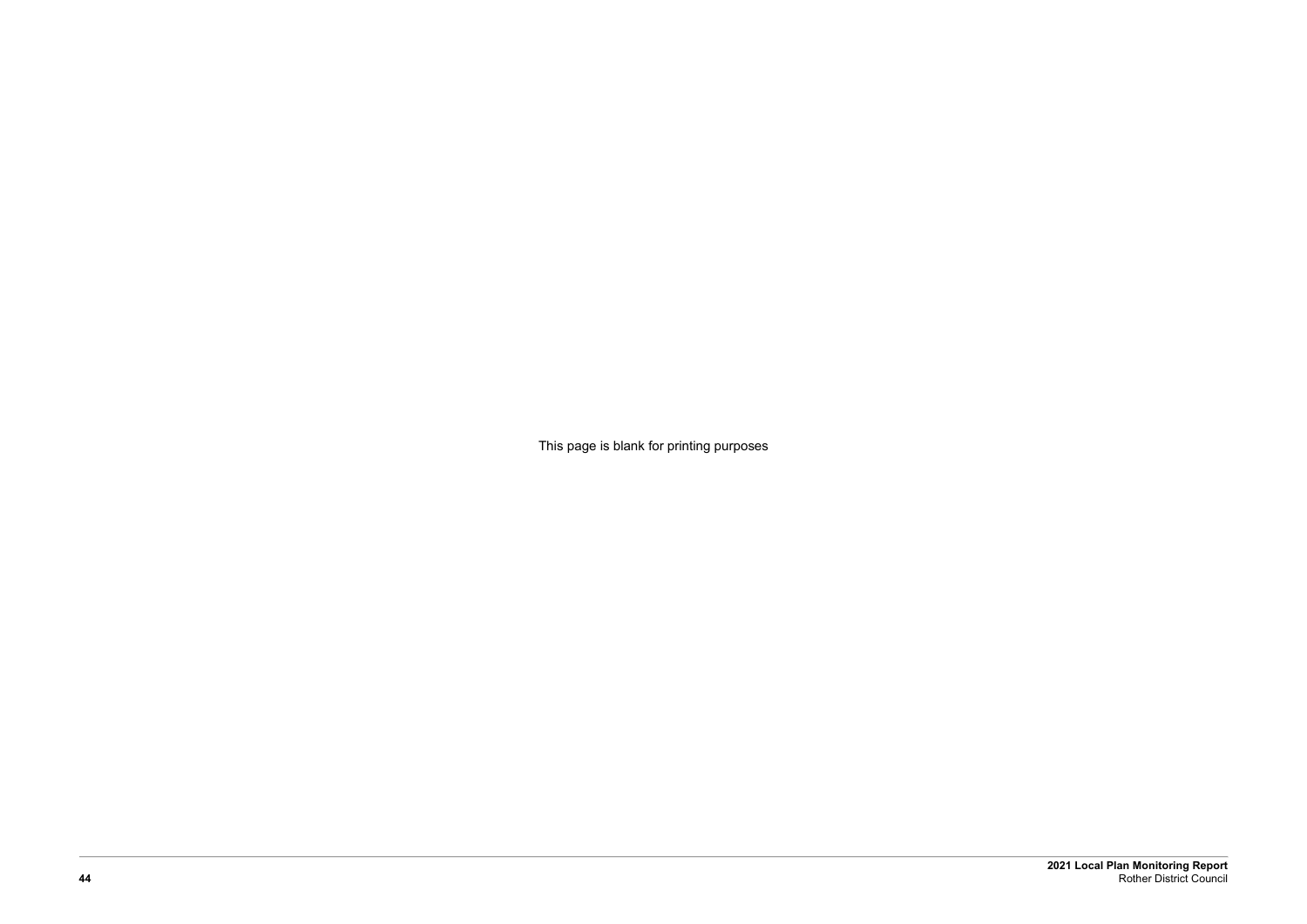**2021 Local Plan Monitoring Report 44** Rother District Council

This page is blank for printing purposes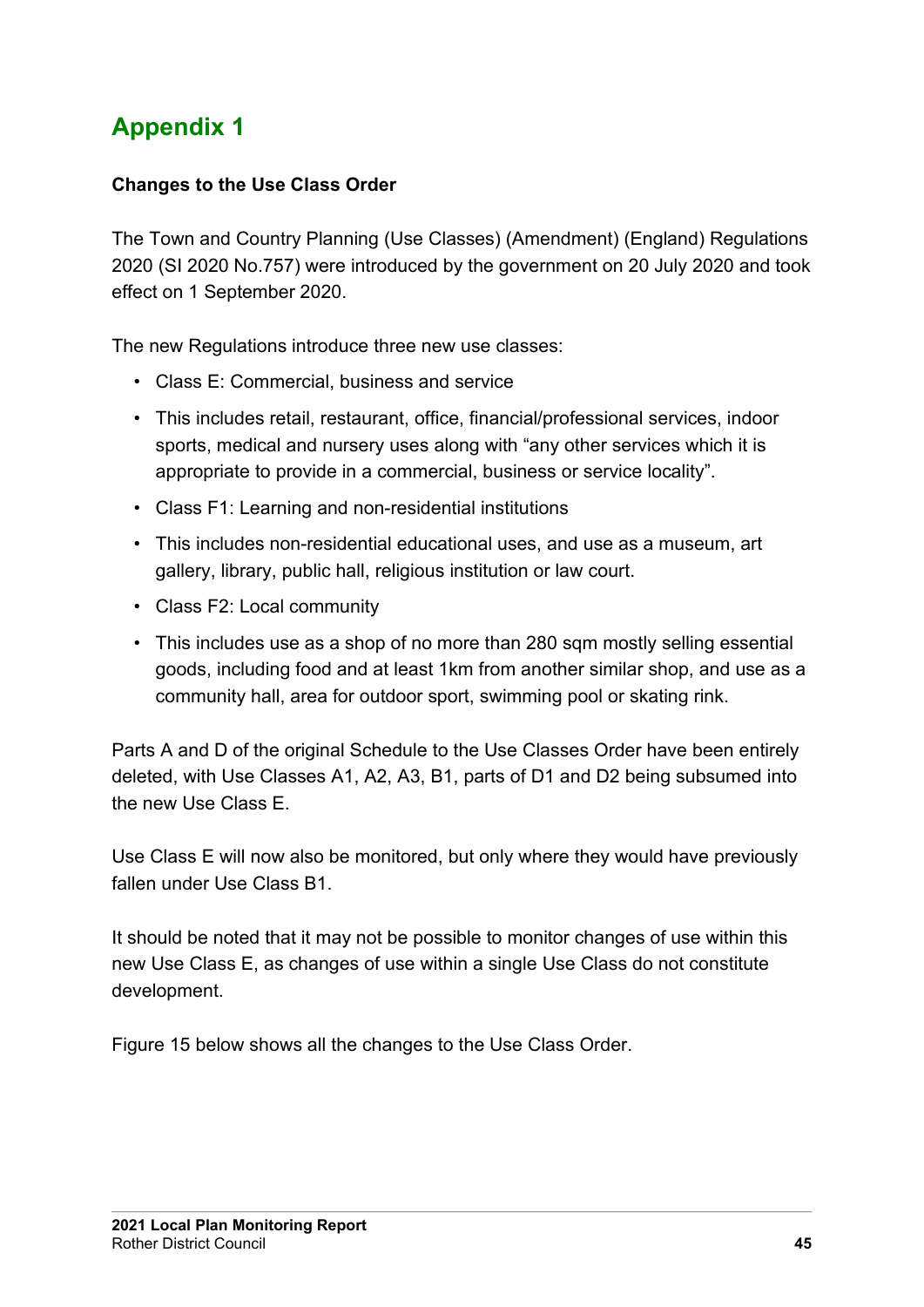# <span id="page-42-0"></span>**Appendix 1**

#### **Changes to the Use Class Order**

The Town and Country Planning (Use Classes) (Amendment) (England) Regulations 2020 (SI 2020 No.757) were introduced by the government on 20 July 2020 and took effect on 1 September 2020.

The new Regulations introduce three new use classes:

- Class E: Commercial, business and service
- This includes retail, restaurant, office, financial/professional services, indoor sports, medical and nursery uses along with "any other services which it is appropriate to provide in a commercial, business or service locality".
- Class F1: Learning and non-residential institutions
- This includes non-residential educational uses, and use as a museum, art gallery, library, public hall, religious institution or law court.
- Class F2: Local community
- This includes use as a shop of no more than 280 sqm mostly selling essential goods, including food and at least 1km from another similar shop, and use as a community hall, area for outdoor sport, swimming pool or skating rink.

Parts A and D of the original Schedule to the Use Classes Order have been entirely deleted, with Use Classes A1, A2, A3, B1, parts of D1 and D2 being subsumed into the new Use Class E.

Use Class E will now also be monitored, but only where they would have previously fallen under Use Class B1.

It should be noted that it may not be possible to monitor changes of use within this new Use Class E, as changes of use within a single Use Class do not constitute development.

Figure 15 below shows all the changes to the Use Class Order.